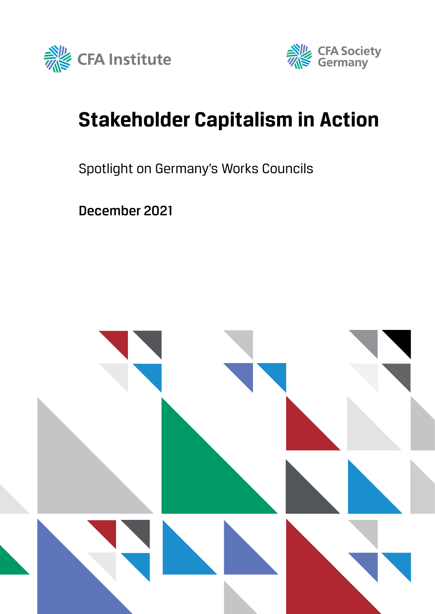



# **Stakeholder Capitalism in Action**

## Spotlight on Germany's Works Councils

December 2021

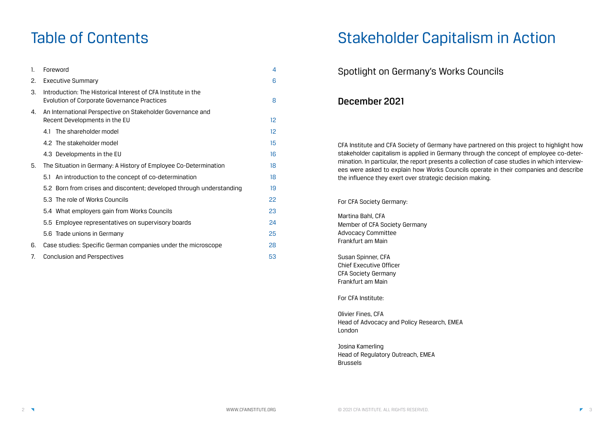# Table of Contents

| $\mathbf{1}$ . | Foreword                                                                                                     | 4                 |
|----------------|--------------------------------------------------------------------------------------------------------------|-------------------|
| 2.             | <b>Executive Summary</b>                                                                                     | 6                 |
| З.             | Introduction: The Historical Interest of CFA Institute in the<br>Evolution of Corporate Governance Practices | 8                 |
| 4.             | An International Perspective on Stakeholder Governance and<br>Recent Developments in the EU                  | $12 \overline{ }$ |
|                | The shareholder model<br>4.1                                                                                 | $12 \overline{)}$ |
|                | 4.2 The stakeholder model                                                                                    | 15                |
|                | 4.3 Developments in the EU                                                                                   | 16                |
| 5.             | The Situation in Germany: A History of Employee Co-Determination                                             | 18                |
|                | An introduction to the concept of co-determination<br>5.1                                                    | 18                |
|                | 5.2 Born from crises and discontent; developed through understanding                                         | 19                |
|                | 5.3 The role of Works Councils                                                                               | 22                |
|                | 5.4 What employers gain from Works Councils                                                                  | 23                |
|                | 5.5 Employee representatives on supervisory boards                                                           | 24                |
|                | 5.6 Trade unions in Germany                                                                                  | 25                |
| 6.             | Case studies: Specific German companies under the microscope                                                 | 28                |
| 7.             | <b>Conclusion and Perspectives</b>                                                                           | 53                |

# Stakeholder Capitalism in Action

# Spotlight on Germany's Works Councils

## December 2021

CFA Institute and CFA Society of Germany have partnered on this project to highlight how stakeholder capitalism is applied in Germany through the concept of employee co-determination. In particular, the report presents a collection of case studies in which interviewees were asked to explain how Works Councils operate in their companies and describe the influence they exert over strategic decision making.

For CFA Society Germany:

Martina Bahl, CFA Member of CFA Society Germany Advocacy Committee Frankfurt am Main

Susan Spinner, CFA Chief Executive Officer CFA Society Germany Frankfurt am Main

For CFA Institute:

Olivier Fines, CFA Head of Advocacy and Policy Research, EMEA London

Josina Kamerling Head of Regulatory Outreach, EMEA Brussels

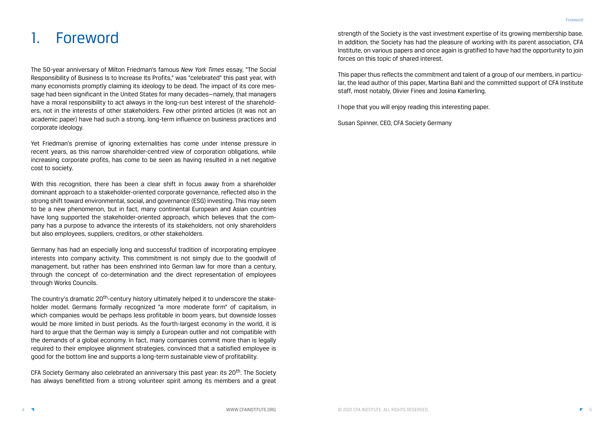strength of the Society is the vast investment expertise of its growing membership base. In addition, the Society has had the pleasure of working with its parent association, CFA Institute, on various papers and once again is gratified to have had the opportunity to join forces on this topic of shared interest.

This paper thus reflects the commitment and talent of a group of our members, in particular, the lead author of this paper, Martina Bahl and the committed support of CFA Institute staff, most notably, Olivier Fines and Josina Kamerling.

I hope that you will enjoy reading this interesting paper.

Susan Spinner, CEO, CFA Society Germany

# **Foreword**

The 50-year anniversary of Milton Friedman's famous *New York Times* essay, "The Social Responsibility of Business Is to Increase Its Profits," was "celebrated" this past year, with many economists promptly claiming its ideology to be dead. The impact of its core message had been significant in the United States for many decades—namely, that managers have a moral responsibility to act always in the long-run best interest of the shareholders, not in the interests of other stakeholders. Few other printed articles (it was not an academic paper) have had such a strong, long-term influence on business practices and corporate ideology.

Yet Friedman's premise of ignoring externalities has come under intense pressure in recent years, as this narrow shareholder-centred view of corporation obligations, while increasing corporate profits, has come to be seen as having resulted in a net negative cost to society.

The country's dramatic 20<sup>th</sup>-century history ultimately helped it to underscore the stakeholder model. Germans formally recognized "a more moderate form" of capitalism, in which companies would be perhaps less profitable in boom years, but downside losses would be more limited in bust periods. As the fourth-largest economy in the world, it is hard to argue that the German way is simply a European outlier and not compatible with the demands of a global economy. In fact, many companies commit more than is legally required to their employee alignment strategies, convinced that a satisfied employee is good for the bottom line and supports a long-term sustainable view of profitability.

CFA Society Germany also celebrated an anniversary this past year: its 20<sup>th</sup>. The Society has always benefitted from a strong volunteer spirit among its members and a great

With this recognition, there has been a clear shift in focus away from a shareholder dominant approach to a stakeholder-oriented corporate governance, reflected also in the strong shift toward environmental, social, and governance (ESG) investing. This may seem to be a new phenomenon, but in fact, many continental European and Asian countries have long supported the stakeholder-oriented approach, which believes that the company has a purpose to advance the interests of its stakeholders, not only shareholders but also employees, suppliers, creditors, or other stakeholders.

Germany has had an especially long and successful tradition of incorporating employee interests into company activity. This commitment is not simply due to the goodwill of management, but rather has been enshrined into German law for more than a century, through the concept of co-determination and the direct representation of employees through Works Councils.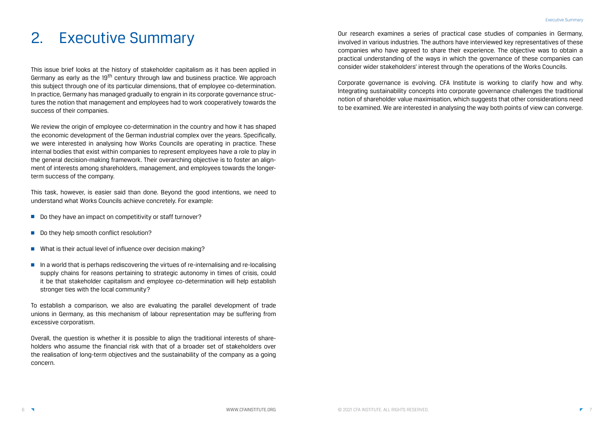Our research examines a series of practical case studies of companies in Germany, involved in various industries. The authors have interviewed key representatives of these companies who have agreed to share their experience. The objective was to obtain a practical understanding of the ways in which the governance of these companies can consider wider stakeholders' interest through the operations of the Works Councils.

Corporate governance is evolving. CFA Institute is working to clarify how and why. Integrating sustainability concepts into corporate governance challenges the traditional notion of shareholder value maximisation, which suggests that other considerations need to be examined. We are interested in analysing the way both points of view can converge.

# 2. Executive Summary

This issue brief looks at the history of stakeholder capitalism as it has been applied in Germany as early as the 19<sup>th</sup> century through law and business practice. We approach this subject through one of its particular dimensions, that of employee co-determination. In practice, Germany has managed gradually to engrain in its corporate governance structures the notion that management and employees had to work cooperatively towards the success of their companies.

- Do they have an impact on competitivity or staff turnover?
- Do they help smooth conflict resolution?
- What is their actual level of influence over decision making?
- In a world that is perhaps rediscovering the virtues of re-internalising and re-localising supply chains for reasons pertaining to strategic autonomy in times of crisis, could it be that stakeholder capitalism and employee co-determination will help establish stronger ties with the local community?

We review the origin of employee co-determination in the country and how it has shaped the economic development of the German industrial complex over the years. Specifically, we were interested in analysing how Works Councils are operating in practice. These internal bodies that exist within companies to represent employees have a role to play in the general decision-making framework. Their overarching objective is to foster an alignment of interests among shareholders, management, and employees towards the longerterm success of the company.

This task, however, is easier said than done. Beyond the good intentions, we need to understand what Works Councils achieve concretely. For example:

To establish a comparison, we also are evaluating the parallel development of trade unions in Germany, as this mechanism of labour representation may be suffering from excessive corporatism.

Overall, the question is whether it is possible to align the traditional interests of shareholders who assume the financial risk with that of a broader set of stakeholders over the realisation of long-term objectives and the sustainability of the company as a going concern.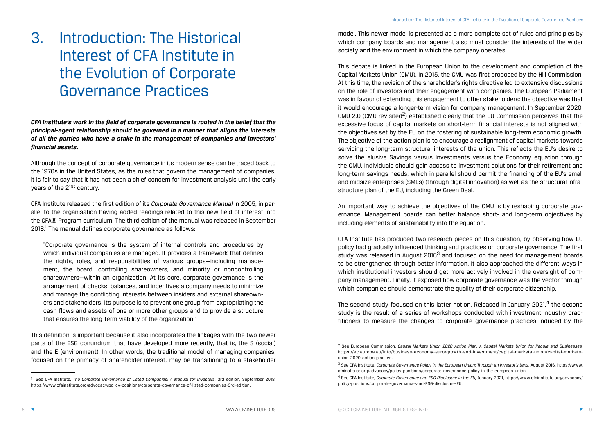model. This newer model is presented as a more complete set of rules and principles by which company boards and management also must consider the interests of the wider society and the environment in which the company operates.

This debate is linked in the European Union to the development and completion of the Capital Markets Union (CMU). In 2015, the CMU was first proposed by the Hill Commission. At this time, the revision of the shareholder's rights directive led to extensive discussions on the role of investors and their engagement with companies. The European Parliament was in favour of extending this engagement to other stakeholders: the objective was that it would encourage a longer-term vision for company management. In September 2020, CMU 2.0 (CMU revisited<sup>2</sup>) established clearly that the EU Commission perceives that the excessive focus of capital markets on short-term financial interests is not aligned with the objectives set by the EU on the fostering of sustainable long-term economic growth. The objective of the action plan is to encourage a realignment of capital markets towards servicing the long-term structural interests of the union. This reflects the EU's desire to solve the elusive Savings versus Investments versus the Economy equation through the CMU. Individuals should gain access to investment solutions for their retirement and long-term savings needs, which in parallel should permit the financing of the EU's small and midsize enterprises (SMEs) (through digital innovation) as well as the structural infrastructure plan of the EU, including the Green Deal.

The second study focused on this latter notion. Released in January 2021, $4$  the second study is the result of a series of workshops conducted with investment industry practitioners to measure the changes to corporate governance practices induced by the

An important way to achieve the objectives of the CMU is by reshaping corporate governance. Management boards can better balance short- and long-term objectives by including elements of sustainability into the equation.

Although the concept of corporate governance in its modern sense can be traced back to the 1970s in the United States, as the rules that govern the management of companies, it is fair to say that it has not been a chief concern for investment analysis until the early years of the 21<sup>st</sup> century.

CFA Institute released the first edition of its *Corporate Governance Manual* in 2005, in parallel to the organisation having added readings related to this new field of interest into the CFA® Program curriculum. The third edition of the manual was released in September 2018.<sup>1</sup> The manual defines corporate governance as follows:

> CFA Institute has produced two research pieces on this question, by observing how EU policy had gradually influenced thinking and practices on corporate governance. The first study was released in August 2016<sup>3</sup> and focused on the need for management boards to be strengthened through better information. It also approached the different ways in which institutional investors should get more actively involved in the oversight of company management. Finally, it exposed how corporate governance was the vector through which companies should demonstrate the quality of their corporate citizenship.

> 2 See European Commission, *Capital Markets Union 2020 Action Plan: A Capital Markets Union for People and Businesses,*

3 See CFA Institute, *Corporate Governance Policy in the European Union: Through an Investor's Lens,* August 2016, https://www.

# 3. Introduction: The Historical Interest of CFA Institute in the Evolution of Corporate Governance Practices

*CFA Institute's work in the field of corporate governance is rooted in the belief that the principal-agent relationship should be governed in a manner that aligns the interests of all the parties who have a stake in the management of companies and investors' financial assets.*

"Corporate governance is the system of internal controls and procedures by which individual companies are managed. It provides a framework that defines the rights, roles, and responsibilities of various groups—including management, the board, controlling shareowners, and minority or noncontrolling shareowners—within an organization. At its core, corporate governance is the arrangement of checks, balances, and incentives a company needs to minimize and manage the conflicting interests between insiders and external shareowners and stakeholders. Its purpose is to prevent one group from expropriating the cash flows and assets of one or more other groups and to provide a structure that ensures the long-term viability of the organization."

This definition is important because it also incorporates the linkages with the two newer parts of the ESG conundrum that have developed more recently, that is, the S (social) and the E (environment). In other words, the traditional model of managing companies, focused on the primacy of shareholder interest, may be transitioning to a stakeholder

<sup>&</sup>lt;sup>1</sup> See CFA Institute, *The Corporate Governance of Listed Companies: A Manual for Investors, 3rd edition, September 2018,* https://www.cfainstitute.org/advocacy/policy-positions/corporate-governance-of-listed-companies-3rd-edition.

https://ec.europa.eu/info/business-economy-euro/growth-and-investment/capital-markets-union/capital-marketsunion-2020-action-plan\_en.

cfainstitute.org/advocacy/policy-positions/corporate-governance-policy-in-the-european-union.

<sup>4</sup> See CFA Institute, *Corporate Governance and ESG Disclosure in the EU,* January 2021, https://www.cfainstitute.org/advocacy/ policy-positions/corporate-governance-and-ESG-disclosure-EU.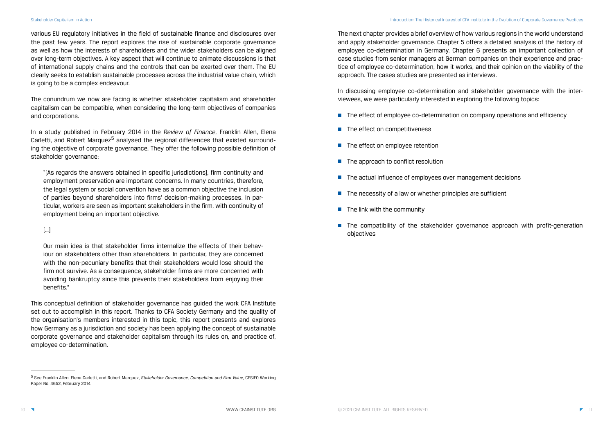The next chapter provides a brief overview of how various regions in the world understand and apply stakeholder governance. Chapter 5 offers a detailed analysis of the history of employee co-determination in Germany. Chapter 6 presents an important collection of case studies from senior managers at German companies on their experience and practice of employee co-determination, how it works, and their opinion on the viability of the approach. The cases studies are presented as interviews.

- The effect of employee co-determination on company operations and efficiency
- The effect on competitiveness
- The effect on employee retention
- The approach to conflict resolution
- The actual influence of employees over management decisions
- The necessity of a law or whether principles are sufficient
- The link with the community
- The compatibility of the stakeholder governance approach with profit-generation objectives

In discussing employee co-determination and stakeholder governance with the interviewees, we were particularly interested in exploring the following topics:

various EU regulatory initiatives in the field of sustainable finance and disclosures over the past few years. The report explores the rise of sustainable corporate governance as well as how the interests of shareholders and the wider stakeholders can be aligned over long-term objectives. A key aspect that will continue to animate discussions is that of international supply chains and the controls that can be exerted over them. The EU clearly seeks to establish sustainable processes across the industrial value chain, which is going to be a complex endeavour.

The conundrum we now are facing is whether stakeholder capitalism and shareholder capitalism can be compatible, when considering the long-term objectives of companies and corporations.

In a study published in February 2014 in the *Review of Finance*, Franklin Allen, Elena Carletti, and Robert Marquez<sup>5</sup> analysed the regional differences that existed surrounding the objective of corporate governance. They offer the following possible definition of stakeholder governance:

"[As regards the answers obtained in specific jurisdictions], firm continuity and employment preservation are important concerns. In many countries, therefore, the legal system or social convention have as a common objective the inclusion of parties beyond shareholders into firms' decision-making processes. In particular, workers are seen as important stakeholders in the firm, with continuity of employment being an important objective.

#### […]

Our main idea is that stakeholder firms internalize the effects of their behaviour on stakeholders other than shareholders. In particular, they are concerned with the non-pecuniary benefits that their stakeholders would lose should the firm not survive. As a consequence, stakeholder firms are more concerned with avoiding bankruptcy since this prevents their stakeholders from enjoying their benefits."

This conceptual definition of stakeholder governance has guided the work CFA Institute set out to accomplish in this report. Thanks to CFA Society Germany and the quality of the organisation's members interested in this topic, this report presents and explores how Germany as a jurisdiction and society has been applying the concept of sustainable corporate governance and stakeholder capitalism through its rules on, and practice of, employee co-determination.

<sup>5</sup> See Franklin Allen, Elena Carletti, and Robert Marquez, *Stakeholder Governance, Competition and Firm Value,* CESIFO Working Paper No. 4652, February 2014.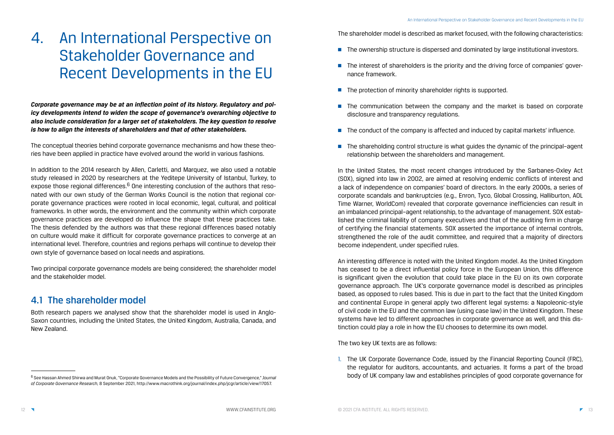The shareholder model is described as market focused, with the following characteristics:

- The ownership structure is dispersed and dominated by large institutional investors.
- The interest of shareholders is the priority and the driving force of companies' governance framework.
- The protection of minority shareholder rights is supported.
- The communication between the company and the market is based on corporate disclosure and transparency regulations.
- The conduct of the company is affected and induced by capital markets' influence.
- The shareholding control structure is what quides the dynamic of the principal-agent relationship between the shareholders and management.

In the United States, the most recent changes introduced by the Sarbanes-Oxley Act (SOX), signed into law in 2002, are aimed at resolving endemic conflicts of interest and a lack of independence on companies' board of directors. In the early 2000s, a series of corporate scandals and bankruptcies (e.g., Enron, Tyco, Global Crossing, Halliburton, AOL Time Warner, WorldCom) revealed that corporate governance inefficiencies can result in an imbalanced principal–agent relationship, to the advantage of management. SOX established the criminal liability of company executives and that of the auditing firm in charge of certifying the financial statements. SOX asserted the importance of internal controls, strengthened the role of the audit committee, and required that a majority of directors become independent, under specified rules.

An interesting difference is noted with the United Kingdom model. As the United Kingdom has ceased to be a direct influential policy force in the European Union, this difference is significant given the evolution that could take place in the EU on its own corporate governance approach. The UK's corporate governance model is described as principles based, as opposed to rules based. This is due in part to the fact that the United Kingdom and continental Europe in general apply two different legal systems: a Napoleonic-style of civil code in the EU and the common law (using case law) in the United Kingdom. These systems have led to different approaches in corporate governance as well, and this distinction could play a role in how the EU chooses to determine its own model.

The two key UK texts are as follows:

1. The UK Corporate Governance Code, issued by the Financial Reporting Council (FRC),

the regulator for auditors, accountants, and actuaries. It forms a part of the broad body of UK company law and establishes principles of good corporate governance for

# 4. An International Perspective on Stakeholder Governance and Recent Developments in the EU

*Corporate governance may be at an inflection point of its history. Regulatory and policy developments intend to widen the scope of governance's overarching objective to also include consideration for a larger set of stakeholders. The key question to resolve is how to align the interests of shareholders and that of other stakeholders.* 

The conceptual theories behind corporate governance mechanisms and how these theories have been applied in practice have evolved around the world in various fashions.

In addition to the 2014 research by Allen, Carletti, and Marquez, we also used a notable study released in 2020 by researchers at the Yeditepe University of Istanbul, Turkey, to expose those regional differences.<sup>6</sup> One interesting conclusion of the authors that resonated with our own study of the German Works Council is the notion that regional corporate governance practices were rooted in local economic, legal, cultural, and political frameworks. In other words, the environment and the community within which corporate governance practices are developed do influence the shape that these practices take. The thesis defended by the authors was that these regional differences based notably on culture would make it difficult for corporate governance practices to converge at an international level. Therefore, countries and regions perhaps will continue to develop their own style of governance based on local needs and aspirations.

Two principal corporate governance models are being considered; the shareholder model and the stakeholder model.

### 4.1 The shareholder model

Both research papers we analysed show that the shareholder model is used in Anglo-Saxon countries, including the United States, the United Kingdom, Australia, Canada, and New Zealand.

<sup>6</sup> See Hassan Ahmed Shirwa and Murat Onuk, "Corporate Governance Models and the Possibility of Future Convergence," *Journal of Corporate Governance Research,* 8 September 2021, http://www.macrothink.org/journal/index.php/jcgr/article/view/17057.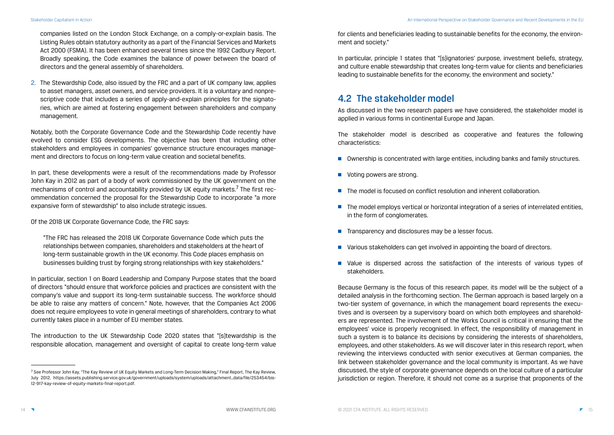for clients and beneficiaries leading to sustainable benefits for the economy, the environment and society."

In particular, principle 1 states that "[s]ignatories' purpose, investment beliefs, strategy, and culture enable stewardship that creates long-term value for clients and beneficiaries leading to sustainable benefits for the economy, the environment and society."

## 4.2 The stakeholder model

As discussed in the two research papers we have considered, the stakeholder model is applied in various forms in continental Europe and Japan.

- Ownership is concentrated with large entities, including banks and family structures.
- Voting powers are strong.
- The model is focused on conflict resolution and inherent collaboration.
- The model employs vertical or horizontal integration of a series of interrelated entities, in the form of conglomerates.
- Transparency and disclosures may be a lesser focus.
- Various stakeholders can get involved in appointing the board of directors.
- Value is dispersed across the satisfaction of the interests of various types of stakeholders.

The stakeholder model is described as cooperative and features the following characteristics:

Because Germany is the focus of this research paper, its model will be the subject of a detailed analysis in the forthcoming section. The German approach is based largely on a two-tier system of governance, in which the management board represents the executives and is overseen by a supervisory board on which both employees and shareholders are represented. The involvement of the Works Council is critical in ensuring that the employees' voice is properly recognised. In effect, the responsibility of management in such a system is to balance its decisions by considering the interests of shareholders, employees, and other stakeholders. As we will discover later in this research report, when reviewing the interviews conducted with senior executives at German companies, the link between stakeholder governance and the local community is important. As we have discussed, the style of corporate governance depends on the local culture of a particular jurisdiction or region. Therefore, it should not come as a surprise that proponents of the

- 
- 

companies listed on the London Stock Exchange, on a comply-or-explain basis. The Listing Rules obtain statutory authority as a part of the Financial Services and Markets Act 2000 (FSMA). It has been enhanced several times since the 1992 Cadbury Report. Broadly speaking, the Code examines the balance of power between the board of directors and the general assembly of shareholders.

2. The Stewardship Code, also issued by the FRC and a part of UK company law, applies to asset managers, asset owners, and service providers. It is a voluntary and nonprescriptive code that includes a series of apply-and-explain principles for the signatories, which are aimed at fostering engagement between shareholders and company management.

Notably, both the Corporate Governance Code and the Stewardship Code recently have evolved to consider ESG developments. The objective has been that including other stakeholders and employees in companies' governance structure encourages management and directors to focus on long-term value creation and societal benefits.

In part, these developments were a result of the recommendations made by Professor John Kay in 2012 as part of a body of work commissioned by the UK government on the mechanisms of control and accountability provided by UK equity markets.<sup>7</sup> The first recommendation concerned the proposal for the Stewardship Code to incorporate "a more expansive form of stewardship" to also include strategic issues.

Of the 2018 UK Corporate Governance Code, the FRC says:

"The FRC has released the 2018 UK Corporate Governance Code which puts the relationships between companies, shareholders and stakeholders at the heart of long-term sustainable growth in the UK economy. This Code places emphasis on businesses building trust by forging strong relationships with key stakeholders."

In particular, section 1 on Board Leadership and Company Purpose states that the board of directors "should ensure that workforce policies and practices are consistent with the company's value and support its long-term sustainable success. The workforce should be able to raise any matters of concern." Note, however, that the Companies Act 2006 does not require employees to vote in general meetings of shareholders, contrary to what currently takes place in a number of EU member states.

The introduction to the UK Stewardship Code 2020 states that "[s]tewardship is the responsible allocation, management and oversight of capital to create long-term value

<sup>&</sup>lt;sup>7</sup> See Professor John Kay, "The Kay Review of UK Equity Markets and Long-Term Decision Making," Final Report, The Kay Review, July 2012, https://assets.publishing.service.gov.uk/government/uploads/system/uploads/attachment\_data/file/253454/bis-12-917-kay-review-of-equity-markets-final-report.pdf.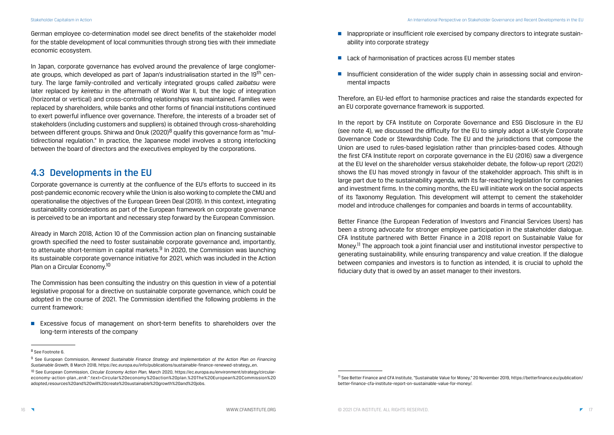- Inappropriate or insufficient role exercised by company directors to integrate sustainability into corporate strategy
- Lack of harmonisation of practices across EU member states
- Insufficient consideration of the wider supply chain in assessing social and environmental impacts

Therefore, an EU-led effort to harmonise practices and raise the standards expected for an EU corporate governance framework is supported.

In the report by CFA Institute on Corporate Governance and ESG Disclosure in the EU (see note 4), we discussed the difficulty for the EU to simply adopt a UK-style Corporate Governance Code or Stewardship Code. The EU and the jurisdictions that compose the Union are used to rules-based legislation rather than principles-based codes. Although the first CFA Institute report on corporate governance in the EU (2016) saw a divergence at the EU level on the shareholder versus stakeholder debate, the follow-up report (2021) shows the EU has moved strongly in favour of the stakeholder approach. This shift is in large part due to the sustainability agenda, with its far-reaching legislation for companies and investment firms. In the coming months, the EU will initiate work on the social aspects of its Taxonomy Regulation. This development will attempt to cement the stakeholder model and introduce challenges for companies and boards in terms of accountability.

Better Finance (the European Federation of Investors and Financial Services Users) has been a strong advocate for stronger employee participation in the stakeholder dialogue. CFA Institute partnered with Better Finance in a 2018 report on Sustainable Value for Money.<sup>11</sup> The approach took a joint financial user and institutional investor perspective to generating sustainability, while ensuring transparency and value creation. If the dialogue between companies and investors is to function as intended, it is crucial to uphold the fiduciary duty that is owed by an asset manager to their investors.

Already in March 2018, Action 10 of the Commission action plan on financing sustainable growth specified the need to foster sustainable corporate governance and, importantly, to attenuate short-termism in capital markets. $9$  In 2020, the Commission was launching its sustainable corporate governance initiative for 2021, which was included in the Action Plan on a Circular Economy.<sup>10</sup>

■ Excessive focus of management on short-term benefits to shareholders over the long-term interests of the company

German employee co-determination model see direct benefits of the stakeholder model for the stable development of local communities through strong ties with their immediate economic ecosystem.

In Japan, corporate governance has evolved around the prevalence of large conglomerate groups, which developed as part of Japan's industrialisation started in the 19<sup>th</sup> century. The large family-controlled and vertically integrated groups called *zaibatsu* were later replaced by *keiretsu* in the aftermath of World War II, but the logic of integration (horizontal or vertical) and cross-controlling relationships was maintained. Families were replaced by shareholders, while banks and other forms of financial institutions continued to exert powerful influence over governance. Therefore, the interests of a broader set of stakeholders (including customers and suppliers) is obtained through cross-shareholding between different groups. Shirwa and Onuk (2020)<sup>8</sup> qualify this governance form as "multidirectional regulation." In practice, the Japanese model involves a strong interlocking between the board of directors and the executives employed by the corporations.

### 4.3 Developments in the EU

Corporate governance is currently at the confluence of the EU's efforts to succeed in its post-pandemic economic recovery while the Union is also working to complete the CMU and operationalise the objectives of the European Green Deal (2019). In this context, integrating sustainability considerations as part of the European framework on corporate governance is perceived to be an important and necessary step forward by the European Commission.

The Commission has been consulting the industry on this question in view of a potential legislative proposal for a directive on sustainable corporate governance, which could be adopted in the course of 2021. The Commission identified the following problems in the current framework:

<sup>11</sup> See Better Finance and CFA Institute, "Sustainable Value for Money," 20 November 2019, https://betterfinance.eu/publication/ better-finance-cfa-institute-report-on-sustainable-value-for-money/.

<sup>8</sup> See Footnote 6.

<sup>9</sup> See European Commission, *Renewed Sustainable Finance Strategy and Implementation of the Action Plan on Financing Sustainable Growth,* 8 March 2018, https://ec.europa.eu/info/publications/sustainable-finance-renewed-strategy\_en.

<sup>10</sup> See European Commission, *Circular Economy Action Plan,* March 2020, https://ec.europa.eu/environment/strategy/circulareconomy-action-plan\_en#:~:text=Circular%20economy%20action%20plan.%20The%20European%20Commission%20 adopted,resources%20and%20will%20create%20sustainable%20growth%20and%20jobs.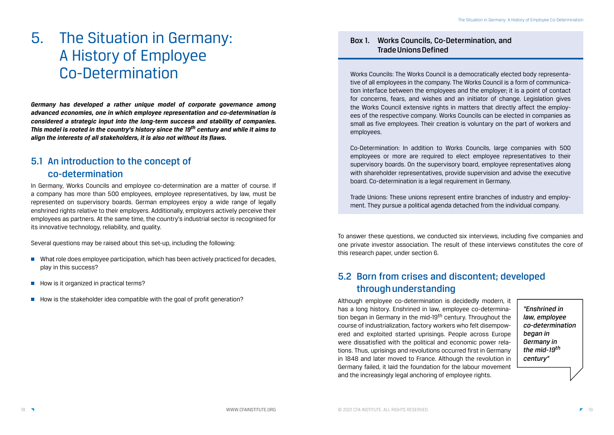To answer these questions, we conducted six interviews, including five companies and one private investor association. The result of these interviews constitutes the core of this research paper, under section 6.

## 5.2 Born from crises and discontent; developed through understanding

Although employee co-determination is decidedly modern, it has a long history. Enshrined in law, employee co-determination began in Germany in the mid-19<sup>th</sup> century. Throughout the course of industrialization, factory workers who felt disempowered and exploited started uprisings. People across Europe were dissatisfied with the political and economic power relations. Thus, uprisings and revolutions occurred first in Germany in 1848 and later moved to France. Although the revolution in Germany failed, it laid the foundation for the labour movement and the increasingly legal anchoring of employee rights.

*"Enshrined in law, employee co-determination began in Germany in the mid-19th century"*

# 5. The Situation in Germany: A History of Employee Co-Determination

*Germany has developed a rather unique model of corporate governance among advanced economies, one in which employee representation and co-determination is considered a strategic input into the long-term success and stability of companies. This model is rooted in the country's history since the 19th century and while it aims to align the interests of all stakeholders, it is also not without its flaws.*

## 5.1 An introduction to the concept of co-determination

In Germany, Works Councils and employee co-determination are a matter of course. If a company has more than 500 employees, employee representatives, by law, must be represented on supervisory boards. German employees enjoy a wide range of legally enshrined rights relative to their employers. Additionally, employers actively perceive their employees as partners. At the same time, the country's industrial sector is recognised for its innovative technology, reliability, and quality.

Several questions may be raised about this set-up, including the following:

- What role does employee participation, which has been actively practiced for decades, play in this success?
- How is it organized in practical terms?
- How is the stakeholder idea compatible with the goal of profit generation?

### Box 1. Works Councils, Co-Determination, and Trade Unions Defined

Works Councils: The Works Council is a democratically elected body representative of all employees in the company. The Works Council is a form of communication interface between the employees and the employer; it is a point of contact for concerns, fears, and wishes and an initiator of change. Legislation gives the Works Council extensive rights in matters that directly affect the employees of the respective company. Works Councils can be elected in companies as small as five employees. Their creation is voluntary on the part of workers and employees.

Co-Determination: In addition to Works Councils, large companies with 500 employees or more are required to elect employee representatives to their supervisory boards. On the supervisory board, employee representatives along with shareholder representatives, provide supervision and advise the executive board. Co-determination is a legal requirement in Germany.

Trade Unions: These unions represent entire branches of industry and employment. They pursue a political agenda detached from the individual company.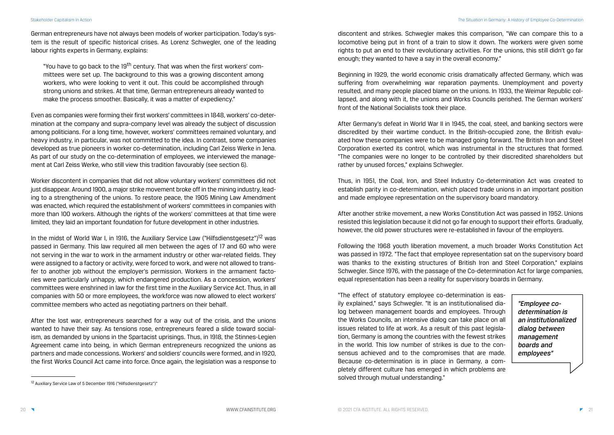German entrepreneurs have not always been models of worker participation. Today's system is the result of specific historical crises. As Lorenz Schwegler, one of the leading labour rights experts in Germany, explains:

"You have to go back to the 19<sup>th</sup> century. That was when the first workers' committees were set up. The background to this was a growing discontent among workers, who were looking to vent it out. This could be accomplished through strong unions and strikes. At that time, German entrepreneurs already wanted to make the process smoother. Basically, it was a matter of expediency."

Even as companies were forming their first workers' committees in 1848, workers' co-determination at the company and supra-company level was already the subject of discussion among politicians. For a long time, however, workers' committees remained voluntary, and heavy industry, in particular, was not committed to the idea. In contrast, some companies developed as true pioneers in worker co-determination, including Carl Zeiss Werke in Jena. As part of our study on the co-determination of employees, we interviewed the management at Carl Zeiss Werke, who still view this tradition favourably (see section 6).

In the midst of World War I, in 1916, the Auxiliary Service Law ("Hilfsdienstgesetz")<sup>12</sup> was passed in Germany. This law required all men between the ages of 17 and 60 who were not serving in the war to work in the armament industry or other war-related fields. They were assigned to a factory or activity, were forced to work, and were not allowed to transfer to another job without the employer's permission. Workers in the armament factories were particularly unhappy, which endangered production. As a concession, workers' committees were enshrined in law for the first time in the Auxiliary Service Act. Thus, in all companies with 50 or more employees, the workforce was now allowed to elect workers' committee members who acted as negotiating partners on their behalf.

Worker discontent in companies that did not allow voluntary workers' committees did not just disappear. Around 1900, a major strike movement broke off in the mining industry, leading to a strengthening of the unions. To restore peace, the 1905 Mining Law Amendment was enacted, which required the establishment of workers' committees in companies with more than 100 workers. Although the rights of the workers' committees at that time were limited, they laid an important foundation for future development in other industries.

> "The effect of statutory employee co-determination is easily explained," says Schwegler. "It is an institutionalised dialog between management boards and employees. Through the Works Councils, an intensive dialog can take place on all issues related to life at work. As a result of this past legislation, Germany is among the countries with the fewest strikes in the world. This low number of strikes is due to the consensus achieved and to the compromises that are made. Because co-determination is in place in Germany, a completely different culture has emerged in which problems are solved through mutual understanding."

After the lost war, entrepreneurs searched for a way out of the crisis, and the unions wanted to have their say. As tensions rose, entrepreneurs feared a slide toward socialism, as demanded by unions in the Spartacist uprisings. Thus, in 1918, the Stinnes-Legien Agreement came into being, in which German entrepreneurs recognized the unions as partners and made concessions. Workers' and soldiers' councils were formed, and in 1920, the first Works Council Act came into force. Once again, the legislation was a response to

discontent and strikes. Schwegler makes this comparison, "We can compare this to a locomotive being put in front of a train to slow it down. The workers were given some rights to put an end to their revolutionary activities. For the unions, this still didn't go far enough; they wanted to have a say in the overall economy."

Beginning in 1929, the world economic crisis dramatically affected Germany, which was suffering from overwhelming war reparation payments. Unemployment and poverty resulted, and many people placed blame on the unions. In 1933, the Weimar Republic collapsed, and along with it, the unions and Works Councils perished. The German workers' front of the National Socialists took their place.

After Germany's defeat in World War II in 1945, the coal, steel, and banking sectors were discredited by their wartime conduct. In the British-occupied zone, the British evaluated how these companies were to be managed going forward. The British Iron and Steel Corporation exerted its control, which was instrumental in the structures that formed. "The companies were no longer to be controlled by their discredited shareholders but rather by unused forces," explains Schwegler.

Thus, in 1951, the Coal, Iron, and Steel Industry Co-determination Act was created to establish parity in co-determination, which placed trade unions in an important position and made employee representation on the supervisory board mandatory.

After another strike movement, a new Works Constitution Act was passed in 1952. Unions resisted this legislation because it did not go far enough to support their efforts. Gradually, however, the old power structures were re-established in favour of the employers.

Following the 1968 youth liberation movement, a much broader Works Constitution Act was passed in 1972. "The fact that employee representation sat on the supervisory board was thanks to the existing structures of British Iron and Steel Corporation," explains Schwegler. Since 1976, with the passage of the Co-determination Act for large companies, equal representation has been a reality for supervisory boards in Germany.

> *"Employee codetermination is an institutionalized dialog between management boards and employees"*

<sup>12</sup> Auxiliary Service Law of 5 December 1916 ("Hilfsdienstgesetz")"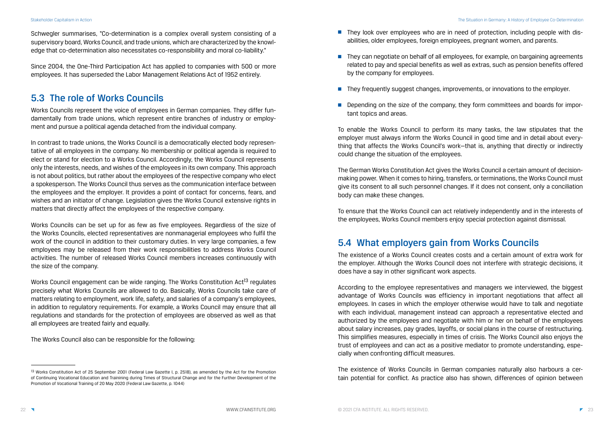Schwegler summarises, "Co-determination is a complex overall system consisting of a supervisory board, Works Council, and trade unions, which are characterized by the knowledge that co-determination also necessitates co-responsibility and moral co-liability."

Since 2004, the One-Third Participation Act has applied to companies with 500 or more employees. It has superseded the Labor Management Relations Act of 1952 entirely.

### 5.3 The role of Works Councils

Works Councils represent the voice of employees in German companies. They differ fundamentally from trade unions, which represent entire branches of industry or employment and pursue a political agenda detached from the individual company.

In contrast to trade unions, the Works Council is a democratically elected body representative of all employees in the company. No membership or political agenda is required to elect or stand for election to a Works Council. Accordingly, the Works Council represents only the interests, needs, and wishes of the employees in its own company. This approach is not about politics, but rather about the employees of the respective company who elect a spokesperson. The Works Council thus serves as the communication interface between the employees and the employer. It provides a point of contact for concerns, fears, and wishes and an initiator of change. Legislation gives the Works Council extensive rights in matters that directly affect the employees of the respective company.

Works Council engagement can be wide ranging. The Works Constitution Act<sup>13</sup> regulates precisely what Works Councils are allowed to do. Basically, Works Councils take care of matters relating to employment, work life, safety, and salaries of a company's employees, in addition to regulatory requirements. For example, a Works Council may ensure that all regulations and standards for the protection of employees are observed as well as that all employees are treated fairly and equally.

- They look over employees who are in need of protection, including people with disabilities, older employees, foreign employees, pregnant women, and parents.
- They can negotiate on behalf of all employees, for example, on bargaining agreements by the company for employees.
- They frequently suggest changes, improvements, or innovations to the employer.
- Depending on the size of the company, they form committees and boards for important topics and areas.

Works Councils can be set up for as few as five employees. Regardless of the size of the Works Councils, elected representatives are nonmanagerial employees who fulfil the work of the council in addition to their customary duties. In very large companies, a few employees may be released from their work responsibilities to address Works Council activities. The number of released Works Council members increases continuously with the size of the company.

The Works Council also can be responsible for the following:

related to pay and special benefits as well as extras, such as pension benefits offered

To enable the Works Council to perform its many tasks, the law stipulates that the employer must always inform the Works Council in good time and in detail about everything that affects the Works Council's work—that is, anything that directly or indirectly could change the situation of the employees.

The German Works Constitution Act gives the Works Council a certain amount of decisionmaking power. When it comes to hiring, transfers, or terminations, the Works Council must give its consent to all such personnel changes. If it does not consent, only a conciliation body can make these changes.

To ensure that the Works Council can act relatively independently and in the interests of the employees, Works Council members enjoy special protection against dismissal.

### 5.4 What employers gain from Works Councils

The existence of a Works Council creates costs and a certain amount of extra work for the employer. Although the Works Council does not interfere with strategic decisions, it does have a say in other significant work aspects.

According to the employee representatives and managers we interviewed, the biggest advantage of Works Councils was efficiency in important negotiations that affect all employees. In cases in which the employer otherwise would have to talk and negotiate with each individual, management instead can approach a representative elected and authorized by the employees and negotiate with him or her on behalf of the employees about salary increases, pay grades, layoffs, or social plans in the course of restructuring. This simplifies measures, especially in times of crisis. The Works Council also enjoys the trust of employees and can act as a positive mediator to promote understanding, especially when confronting difficult measures.

The existence of Works Councils in German companies naturally also harbours a certain potential for conflict. As practice also has shown, differences of opinion between

<sup>&</sup>lt;sup>13</sup> Works Constitution Act of 25 September 2001 (Federal Law Gazette I, p. 2518), as amended by the Act for the Promotion of Continuing Vocational Education and Trainining during Times of Structural Change and for the Further Development of the Promotion of Vocational Training of 20 May 2020 (Federal Law Gazette, p. 1044)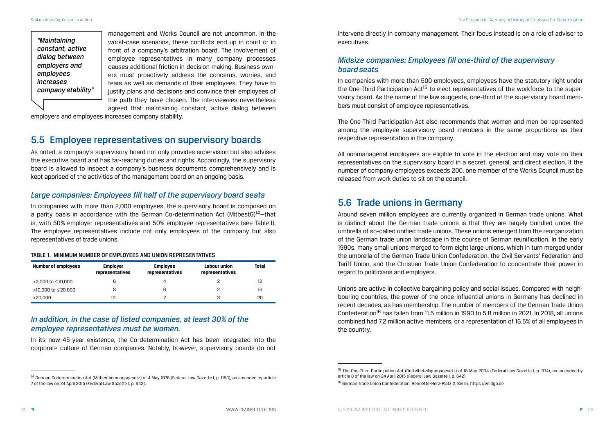intervene directly in company management. Their focus instead is on a role of adviser to executives.

### *Midsize companies: Employees fill one-third of the supervisory board seats*

In companies with more than 500 employees, employees have the statutory right under the One-Third Participation Act<sup>15</sup> to elect representatives of the workforce to the supervisory board. As the name of the law suggests, one-third of the supervisory board members must consist of employee representatives.

The One-Third Participation Act also recommends that women and men be represented among the employee supervisory board members in the same proportions as their respective representation in the company.

All nonmanagerial employees are eligible to vote in the election and may vote on their representatives on the supervisory board in a secret, general, and direct election. If the number of company employees exceeds 200, one member of the Works Council must be released from work duties to sit on the council.

### 5.6 Trade unions in Germany

Around seven million employees are currently organized in German trade unions. What is distinct about the German trade unions is that they are largely bundled under the umbrella of so-called unified trade unions. These unions emerged from the reorganization of the German trade union landscape in the course of German reunification. In the early 1990s, many small unions merged to form eight large unions, which in turn merged under the umbrella of the German Trade Union Confederation, the Civil Servants' Federation and Tariff Union, and the Christian Trade Union Confederation to concentrate their power in regard to politicians and employers.

Unions are active in collective bargaining policy and social issues. Compared with neighbouring countries, the power of the once-influential unions in Germany has declined in recent decades, as has membership. The number of members of the German Trade Union Confederation<sup>16</sup> has fallen from 11.5 million in 1990 to 5.8 million in 2021. In 2018, all unions combined had 7.2 million active members, or a representation of 16.5% of all employees in the country.

management and Works Council are not uncommon. In the worst-case scenarios, these conflicts end up in court or in front of a company's arbitration board. The involvement of employee representatives in many company processes causes additional friction in decision making. Business owners must proactively address the concerns, worries, and fears as well as demands of their employees. They have to justify plans and decisions and convince their employees of the path they have chosen. The interviewees nevertheless agreed that maintaining constant, active dialog between

employers and employees increases company stability.

### 5.5 Employee representatives on supervisory boards

As noted, a company's supervisory board not only provides supervision but also advises the executive board and has far-reaching duties and rights. Accordingly, the supervisory board is allowed to inspect a company's business documents comprehensively and is kept apprised of the activities of the management board on an ongoing basis.

### *Large companies: Employees fill half of the supervisory board seats*

In companies with more than 2,000 employees, the supervisory board is composed on a parity basis in accordance with the German Co-determination Act (MitbestG)<sup>14</sup>-that is, with 50% employer representatives and 50% employee representatives (see Table 1). The employee representatives include not only employees of the company but also representatives of trade unions.

#### TABLE 1. MINIMUM NUMBER OF EMPLOYEES AND UNION REPRESENTATIVES

| <b>Number of employees</b> | <b>Employer</b><br>representatives | <b>Employee</b><br>representatives | Labour union<br>representatives | <b>Total</b> |
|----------------------------|------------------------------------|------------------------------------|---------------------------------|--------------|
| >2,000 to ≤10,000          | 6                                  | 4                                  |                                 | 12           |
| $>10,000$ to $\leq 20,000$ | 8                                  | 6                                  | っ                               | 16           |
| >20,000                    |                                    |                                    | 3                               | 20           |

### *In addition, in the case of listed companies, at least 30% of the employee representatives must be women.*

In its now-45-year existence, the Co-determination Act has been integrated into the corporate culture of German companies. Notably, however, supervisory boards do not

*"Maintaining constant, active dialog between employers and employees increases company stability"*

<sup>&</sup>lt;sup>15</sup> The One-Third Participation Act (Drittelbeteiligungsgesetz) of 18 May 2004 (Federal Law Gazette I, p. 974), as amended by article 8 of the law on 24 April 2015 (Federal Law Gazette I, p. 642).

<sup>&</sup>lt;sup>14</sup> German Codetermination Act (Mitbestimmungsgesetz) of 4 May 1976 (Federal Law Gazette I, p. 1153), as amended by article 7 of the law on 24 April 2015 (Federal Law Gazette I, p. 642).

<sup>16</sup> German Trade Union Confederation, Henriette-Herz-Platz 2, Berlin, https://en.dgb.de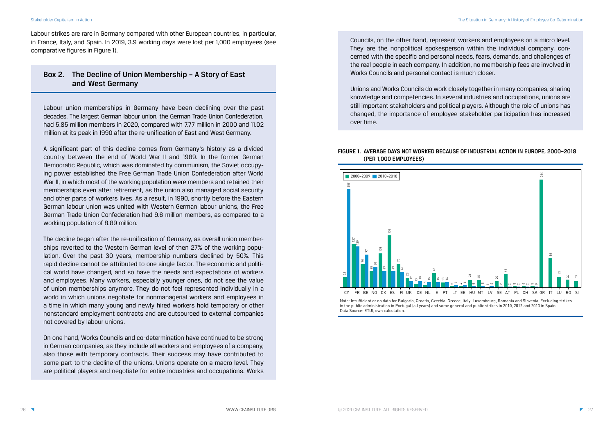Labour strikes are rare in Germany compared with other European countries, in particular, in France, Italy, and Spain. In 2019, 3.9 working days were lost per 1,000 employees (see comparative figures in Figure 1).

### Box 2. The Decline of Union Membership – A Story of East and West Germany

Labour union memberships in Germany have been declining over the past decades. The largest German labour union, the German Trade Union Confederation, had 5.85 million members in 2020, compared with 7.77 million in 2000 and 11.02 million at its peak in 1990 after the re-unification of East and West Germany.

A significant part of this decline comes from Germany's history as a divided country between the end of World War II and 1989. In the former German Democratic Republic, which was dominated by communism, the Soviet occupying power established the Free German Trade Union Confederation after World War II, in which most of the working population were members and retained their memberships even after retirement, as the union also managed social security and other parts of workers lives. As a result, in 1990, shortly before the Eastern German labour union was united with Western German labour unions, the Free German Trade Union Confederation had 9.6 million members, as compared to a working population of 8.89 million.

> Note: Insufficient or no data for Bulgaria, Croatia, Czechia, Greece, Italy, Luxembourg, Romania and Slovenia. Excluding strikes in the public administration in Portugal (all years) and some general and public strikes in 2010, 2012 and 2013 in Spain. Data Source: FTUI, own calculation.

The decline began after the re-unification of Germany, as overall union memberships reverted to the Western German level of then 27% of the working population. Over the past 30 years, membership numbers declined by 50%. This rapid decline cannot be attributed to one single factor. The economic and political world have changed, and so have the needs and expectations of workers and employees. Many workers, especially younger ones, do not see the value of union memberships anymore. They do not feel represented individually in a world in which unions negotiate for nonmanagerial workers and employees in a time in which many young and newly hired workers hold temporary or other nonstandard employment contracts and are outsourced to external companies not covered by labour unions.

On one hand, Works Councils and co-determination have continued to be strong in German companies, as they include all workers and employees of a company, also those with temporary contracts. Their success may have contributed to some part to the decline of the unions. Unions operate on a macro level. They are political players and negotiate for entire industries and occupations. Works Councils, on the other hand, represent workers and employees on a micro level. They are the nonpolitical spokesperson within the individual company, concerned with the specific and personal needs, fears, demands, and challenges of the real people in each company. In addition, no membership fees are involved in Works Councils and personal contact is much closer.

Unions and Works Councils do work closely together in many companies, sharing knowledge and competencies. In several industries and occupations, unions are still important stakeholders and political players. Although the role of unions has changed, the importance of employee stakeholder participation has increased over time.

#### FIGURE 1. AVERAGE DAYS NOT WORKED BECAUSE OF INDUSTRIAL ACTION IN EUROPE, 2000–2018 (PER 1,000 EMPLOYEES)

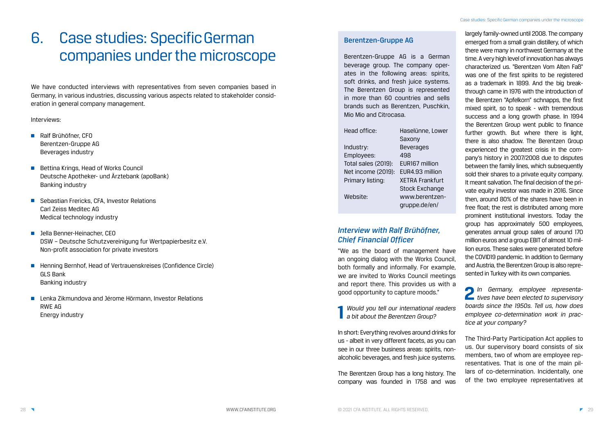# 6. Case studies: Specific German companies under the microscope

We have conducted interviews with representatives from seven companies based in Germany, in various industries, discussing various aspects related to stakeholder consideration in general company management.

#### Interviews:

- Ralf Brühöfner, CFO Berentzen-Gruppe AG Beverages industry
- Bettina Krings, Head of Works Council Deutsche Apotheker- und Ärztebank (apoBank) Banking industry
- Sebastian Frericks, CFA, Investor Relations Carl Zeiss Meditec AG Medical technology industry
- Jella Benner-Heinacher, CEO DSW – Deutsche Schutzvereinigung fur Wertpapierbesitz e.V. Non-profit association for private investors
- Henning Bernhof, Head of Vertrauenskreises (Confidence Circle) GLS Bank Banking industry
- Lenka Zikmundova and Jérome Hörmann, Investor Relations RWE AG Energy industry

### Berentzen-Gruppe AG

Berentzen-Gruppe AG is a German beverage group. The company operates in the following areas: spirits, soft drinks, and fresh juice systems. The Berentzen Group is represented in more than 60 countries and sells brands such as Berentzen, Puschkin, Mio Mio and Citrocasa.

| Head office:        | Haselünne, Lower       |  |
|---------------------|------------------------|--|
|                     | Saxony                 |  |
| Industry:           | <b>Beverages</b>       |  |
| Employees:          | 498                    |  |
| Total sales (2019): | EUR167 million         |  |
| Net income (2019):  | EUR4.93 million        |  |
| Primary listing:    | <b>XETRA Frankfurt</b> |  |
|                     | <b>Stock Exchange</b>  |  |
| Website:            | www.berentzen-         |  |
|                     | qruppe.de/en/          |  |
|                     |                        |  |

### *Interview with Ralf Brühöfner, Chief Financial Officer*

"We as the board of management have an ongoing dialog with the Works Council, both formally and informally. For example, we are invited to Works Council meetings and report there. This provides us with a good opportunity to capture moods."

**1** *Would you tell our international readers a bit about the Berentzen Group?*

In short: Everything revolves around drinks for us - albeit in very different facets, as you can see in our three business areas: spirits, nonalcoholic beverages, and fresh juice systems.

The Berentzen Group has a long history. The company was founded in 1758 and was largely family-owned until 2008. The company emerged from a small grain distillery, of which there were many in northwest Germany at the time. A very high level of innovation has always characterized us. "Berentzen Vom Alten Faß" was one of the first spirits to be registered as a trademark in 1899. And the big breakthrough came in 1976 with the introduction of the Berentzen "Apfelkorn" schnapps, the first mixed spirit, so to speak - with tremendous success and a long growth phase. In 1994 the Berentzen Group went public to finance further growth. But where there is light, there is also shadow. The Berentzen Group experienced the greatest crisis in the company's history in 2007/2008 due to disputes between the family lines, which subsequently sold their shares to a private equity company. It meant salvation. The final decision of the private equity investor was made in 2016. Since then, around 80% of the shares have been in free float; the rest is distributed among more prominent institutional investors. Today the group has approximately 500 employees, generates annual group sales of around 170 million euros and a group EBIT of almost 10 million euros. These sales were generated before the COVID19 pandemic. In addition to Germany and Austria, the Berentzen Group is also represented in Turkey with its own companies.

**2** *In Germany, employee representa-tives have been elected to supervisory boards since the 1950s. Tell us, how does employee co-determination work in practice at your company?*

The Third-Party Participation Act applies to us. Our supervisory board consists of six members, two of whom are employee representatives. That is one of the main pillars of co-determination. Incidentally, one of the two employee representatives at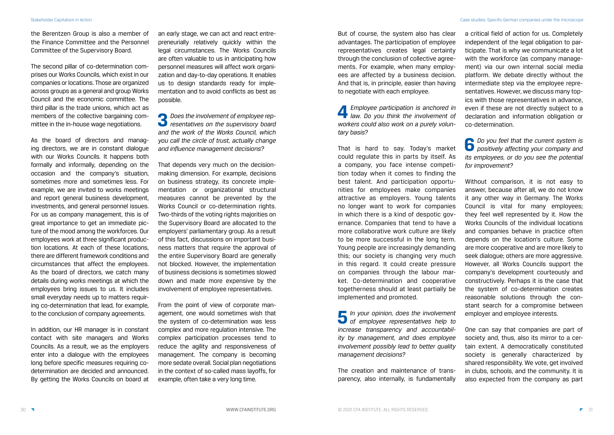the Berentzen Group is also a member of the Finance Committee and the Personnel Committee of the Supervisory Board.

The second pillar of co-determination comprises our Works Councils, which exist in our companies or locations. Those are organized across groups as a general and group Works Council and the economic committee. The third pillar is the trade unions, which act as members of the collective bargaining committee in the in-house wage negotiations.

As the board of directors and managing directors, we are in constant dialogue with our Works Councils. It happens both formally and informally, depending on the occasion and the company's situation, sometimes more and sometimes less. For example, we are invited to works meetings and report general business development, investments, and general personnel issues. For us as company management, this is of great importance to get an immediate picture of the mood among the workforces. Our employees work at three significant production locations. At each of these locations, there are different framework conditions and circumstances that affect the employees. As the board of directors, we catch many details during works meetings at which the employees bring issues to us. It includes small everyday needs up to matters requiring co-determination that lead, for example, to the conclusion of company agreements.

In addition, our HR manager is in constant contact with site managers and Works Councils. As a result, we as the employers enter into a dialogue with the employees long before specific measures requiring codetermination are decided and announced. By getting the Works Councils on board at an early stage, we can act and react entrepreneurially relatively quickly within the legal circumstances. The Works Councils are often valuable to us in anticipating how personnel measures will affect work organization and day-to-day operations. It enables us to design standards ready for implementation and to avoid conflicts as best as possible.

**3** *Does the involvement of employee representatives on the supervisory board and the work of the Works Council, which you call the circle of trust, actually change and influence management decisions?*

That depends very much on the decisionmaking dimension. For example, decisions on business strategy, its concrete implementation or organizational structural measures cannot be prevented by the Works Council or co-determination rights. Two-thirds of the voting rights majorities on the Supervisory Board are allocated to the employers' parliamentary group. As a result of this fact, discussions on important business matters that require the approval of the entire Supervisory Board are generally not blocked. However, the implementation of business decisions is sometimes slowed down and made more expensive by the involvement of employee representatives.

From the point of view of corporate management, one would sometimes wish that the system of co-determination was less complex and more regulation intensive. The complex participation processes tend to reduce the agility and responsiveness of management. The company is becoming more sedate overall. Social plan negotiations in the context of so-called mass layoffs, for example, often take a very long time.

But of course, the system also has clear advantages. The participation of employee representatives creates legal certainty through the conclusion of collective agreements. For example, when many employees are affected by a business decision. And that is, in principle, easier than having to negotiate with each employee.

**4** *Employee participation is anchored in law. Do you think the involvement of workers could also work on a purely voluntary basis?*

That is hard to say. Today's market could regulate this in parts by itself. As a company, you face intense competition today when it comes to finding the best talent. And participation opportunities for employees make companies attractive as employers. Young talents no longer want to work for companies in which there is a kind of despotic governance. Companies that tend to have a more collaborative work culture are likely to be more successful in the long term. Young people are increasingly demanding this; our society is changing very much in this regard. It could create pressure on companies through the labour market. Co-determination and cooperative togetherness should at least partially be implemented and promoted.

**5** *In your opinion, does the involvement of employee representatives help to increase transparency and accountability by management, and does employee involvement possibly lead to better quality management decisions?*

The creation and maintenance of transparency, also internally, is fundamentally a critical field of action for us. Completely independent of the legal obligation to participate. That is why we communicate a lot with the workforce (as company management) via our own internal social media platform. We debate directly without the intermediate step via the employee representatives. However, we discuss many topics with those representatives in advance, even if these are not directly subject to a declaration and information obligation or co-determination.

**6** *Do you feel that the current system is positively affecting your company and its employees, or do you see the potential for improvement?*

Without comparison, it is not easy to answer, because after all, we do not know it any other way in Germany. The Works Council is vital for many employees; they feel well represented by it. How the Works Councils of the individual locations and companies behave in practice often depends on the location's culture. Some are more cooperative and are more likely to seek dialogue; others are more aggressive. However, all Works Councils support the company's development courteously and constructively. Perhaps it is the case that the system of co-determination creates reasonable solutions through the constant search for a compromise between employer and employee interests.

One can say that companies are part of society and, thus, also its mirror to a certain extent. A democratically constituted society is generally characterized by shared responsibility. We vote, get involved in clubs, schools, and the community. It is also expected from the company as part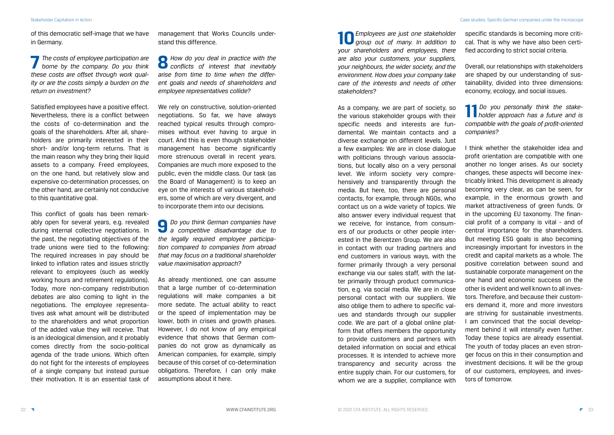of this democratic self-image that we have in Germany.

**7** *The costs of employee participation are borne by the company. Do you think these costs are offset through work quality or are the costs simply a burden on the return on investment?*

Satisfied employees have a positive effect. Nevertheless, there is a conflict between the costs of co-determination and the goals of the shareholders. After all, shareholders are primarily interested in their short- and/or long-term returns. That is the main reason why they bring their liquid assets to a company. Freed employees, on the one hand, but relatively slow and expensive co-determination processes, on the other hand, are certainly not conducive to this quantitative goal.

This conflict of goals has been remarkably open for several years, e.g. revealed during internal collective negotiations. In the past, the negotiating objectives of the trade unions were tied to the following: The required increases in pay should be linked to inflation rates and issues strictly relevant to employees (such as weekly working hours and retirement regulations). Today, more non-company redistribution debates are also coming to light in the negotiations. The employee representatives ask what amount will be distributed to the shareholders and what proportion of the added value they will receive. That is an ideological dimension, and it probably comes directly from the socio-political agenda of the trade unions. Which often do not fight for the interests of employees of a single company but instead pursue their motivation. It is an essential task of management that Works Councils understand this difference.

**8** *How do you deal in practice with the conflicts of interest that inevitably arise from time to time when the different goals and needs of shareholders and employee representatives collide?*

We rely on constructive, solution-oriented negotiations. So far, we have always reached typical results through compromises without ever having to argue in court. And this is even though stakeholder management has become significantly more strenuous overall in recent years. Companies are much more exposed to the public, even the middle class. Our task (as the Board of Management) is to keep an eye on the interests of various stakeholders, some of which are very divergent, and to incorporate them into our decisions.

**9** *Do you think German companies have a competitive disadvantage due to the legally required employee participation compared to companies from abroad that may focus on a traditional shareholder value maximisation approach?*

As already mentioned, one can assume that a large number of co-determination regulations will make companies a bit more sedate. The actual ability to react or the speed of implementation may be lower, both in crises and growth phases. However, I do not know of any empirical evidence that shows that German companies do not grow as dynamically as American companies, for example, simply because of this corset of co-determination obligations. Therefore, I can only make assumptions about it here.

**10***Employees are just one stakeholder group out of many. In addition to your shareholders and employees, there are also your customers, your suppliers, your neighbours, the wider society, and the environment. How does your company take care of the interests and needs of other stakeholders?*

As a company, we are part of society, so the various stakeholder groups with their specific needs and interests are fundamental. We maintain contacts and a diverse exchange on different levels. Just a few examples: We are in close dialogue with politicians through various associations, but locally also on a very personal level. We inform society very comprehensively and transparently through the media. But here, too, there are personal contacts, for example, through NGOs, who contact us on a wide variety of topics. We also answer every individual request that we receive, for instance, from consumers of our products or other people interested in the Berentzen Group. We are also in contact with our trading partners and end customers in various ways, with the former primarily through a very personal exchange via our sales staff, with the latter primarily through product communication, e.g. via social media. We are in close personal contact with our suppliers. We also oblige them to adhere to specific values and standards through our supplier code. We are part of a global online platform that offers members the opportunity to provide customers and partners with detailed information on social and ethical processes. It is intended to achieve more transparency and security across the entire supply chain. For our customers, for whom we are a supplier, compliance with

specific standards is becoming more critical. That is why we have also been certified according to strict social criteria.

Overall, our relationships with stakeholders are shaped by our understanding of sustainability, divided into three dimensions: economy, ecology, and social issues.

**11***Do you personally think the stakeholder approach has a future and is compatible with the goals of profit-oriented companies?*

I think whether the stakeholder idea and profit orientation are compatible with one another no longer arises. As our society changes, these aspects will become inextricably linked. This development is already becoming very clear, as can be seen, for example, in the enormous growth and market attractiveness of green funds. Or in the upcoming EU taxonomy. The financial profit of a company is vital - and of central importance for the shareholders. But meeting ESG goals is also becoming increasingly important for investors in the credit and capital markets as a whole. The positive correlation between sound and sustainable corporate management on the one hand and economic success on the other is evident and well known to all investors. Therefore, and because their customers demand it, more and more investors are striving for sustainable investments. I am convinced that the social development behind it will intensify even further. Today these topics are already essential. The youth of today places an even stronger focus on this in their consumption and investment decisions. It will be the group of our customers, employees, and investors of tomorrow.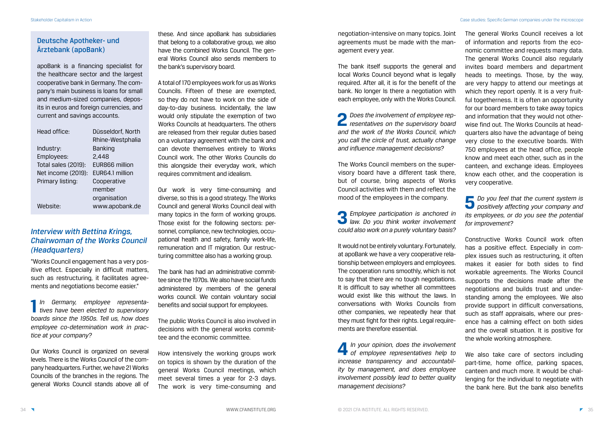### Deutsche Apotheker- und Ärztebank (apoBank)

apoBank is a financing specialist for the healthcare sector and the largest cooperative bank in Germany. The company's main business is loans for small and medium-sized companies, deposits in euros and foreign currencies, and current and savings accounts.

| Head office:        | Düsseldorf, North     |
|---------------------|-----------------------|
|                     | Rhine-Westphalia      |
| Industry:           | <b>Banking</b>        |
| Employees:          | 2,448                 |
| Total sales (2019): | <b>EUR866 million</b> |
| Net income (2019):  | EUR64.1 million       |
| Primary listing:    | Cooperative           |
|                     | member                |
|                     | organisation          |
| Website:            | www.apobank.de        |

### *Interview with Bettina Krings, Chairwoman of the Works Council (Headquarters)*

"Works Council engagement has a very positive effect. Especially in difficult matters, such as restructuring, it facilitates agreements and negotiations become easier."

**1** *In Germany, employee representa-tives have been elected to supervisory boards since the 1950s. Tell us, how does employee co-determination work in practice at your company?*

Our Works Council is organized on several levels. There is the Works Council of the company headquarters. Further, we have 21 Works Councils of the branches in the regions. The general Works Council stands above all of these. And since apoBank has subsidiaries that belong to a collaborative group, we also have the combined Works Council. The general Works Council also sends members to the bank's supervisory board.

A total of 170 employees work for us as Works Councils. Fifteen of these are exempted, so they do not have to work on the side of day-to-day business. Incidentally, the law would only stipulate the exemption of two Works Councils at headquarters. The others are released from their regular duties based on a voluntary agreement with the bank and can devote themselves entirely to Works Council work. The other Works Councils do this alongside their everyday work, which requires commitment and idealism.

Our work is very time-consuming and diverse, so this is a good strategy. The Works Council and general Works Council deal with many topics in the form of working groups. Those exist for the following sectors: personnel, compliance, new technologies, occupational health and safety, family work-life, remuneration and IT migration. Our restructuring committee also has a working group.

The bank has had an administrative committee since the 1970s. We also have social funds administered by members of the general works council. We contain voluntary social benefits and social support for employees.

The public Works Council is also involved in decisions with the general works committee and the economic committee.

How intensively the working groups work on topics is shown by the duration of the general Works Council meetings, which meet several times a year for 2-3 days. The work is very time-consuming and negotiation-intensive on many topics. Joint agreements must be made with the management every year.

> We also take care of sectors including part-time, home office, parking spaces, canteen and much more. It would be challenging for the individual to negotiate with the bank here. But the bank also benefits

The bank itself supports the general and local Works Council beyond what is legally required. After all, it is for the benefit of the bank. No longer Is there a negotiation with each employee, only with the Works Council.

**2** *Does the involvement of employee rep-resentatives on the supervisory board and the work of the Works Council, which you call the circle of trust, actually change and influence management decisions?*

The Works Council members on the supervisory board have a different task there, but of course, bring aspects of Works Council activities with them and reflect the mood of the employees in the company.

**3** *Employee participation is anchored in law. Do you think worker involvement could also work on a purely voluntary basis?*

It would not be entirely voluntary. Fortunately, at apoBank we have a very cooperative relationship between employers and employees. The cooperation runs smoothly, which is not to say that there are no tough negotiations. It is difficult to say whether all committees would exist like this without the laws. In conversations with Works Councils from other companies, we repeatedly hear that they must fight for their rights. Legal requirements are therefore essential.

**4** *In your opinion, does the involvement of employee representatives help to increase transparency and accountability by management, and does employee involvement possibly lead to better quality management decisions?*

The general Works Council receives a lot of information and reports from the economic committee and requests many data. The general Works Council also regularly invites board members and department heads to meetings. Those, by the way, are very happy to attend our meetings at which they report openly. It is a very fruitful togetherness. It is often an opportunity for our board members to take away topics and information that they would not otherwise find out. The Works Councils at headquarters also have the advantage of being very close to the executive boards. With 750 employees at the head office, people know and meet each other, such as in the canteen, and exchange ideas. Employees know each other, and the cooperation is very cooperative.

## **5** *Do you feel that the current system is positively affecting your company and its employees, or do you see the potential for improvement?*

Constructive Works Council work often has a positive effect. Especially in complex issues such as restructuring, it often makes it easier for both sides to find workable agreements. The Works Council supports the decisions made after the negotiations and builds trust and understanding among the employees. We also provide support in difficult conversations, such as staff appraisals, where our presence has a calming effect on both sides and the overall situation. It is positive for the whole working atmosphere.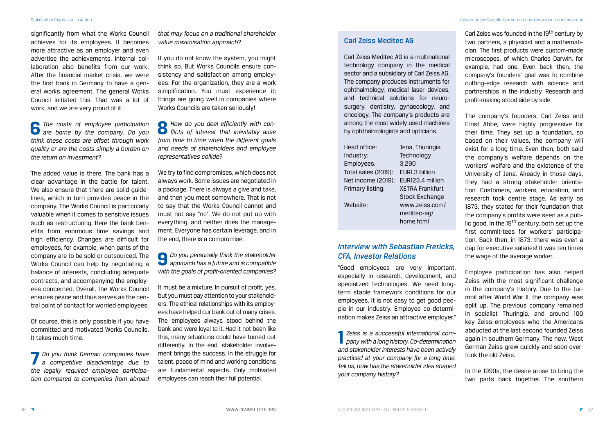significantly from what the Works Council achieves for its employees. It becomes more attractive as an employer and even advertise the achievements. Internal collaboration also benefits from our work. After the financial market crisis, we were the first bank in Germany to have a general works agreement. The general Works Council initiated this. That was a lot of work, and we are very proud of it.

**6** *The costs of employee participation are borne by the company. Do you think these costs are offset through work quality or are the costs simply a burden on the return on investment?*

The added value is there. The bank has a clear advantage in the battle for talent. We also ensure that there are solid guidelines, which in turn provides peace in the company. The Works Council is particularly valuable when it comes to sensitive issues such as restructuring. Here the bank benefits from enormous time savings and high efficiency. Changes are difficult for employees, for example, when parts of the company are to be sold or outsourced. The Works Council can help by negotiating a balance of interests, concluding adequate contracts, and accompanying the employees concerned. Overall, the Works Council ensures peace and thus serves as the central point of contact for worried employees.

Of course, this is only possible if you have committed and motivated Works Councils. It takes much time.

**7** *Do you think German companies have a competitive disadvantage due to the legally required employee participation compared to companies from abroad* 

*that may focus on a traditional shareholder value maximisation approach?*

If you do not know the system, you might think so. But Works Councils ensure consistency and satisfaction among employees. For the organization, they are a work simplification. You must experience it; things are going well in companies where Works Councils are taken seriously!

**8** *How do you deal efficiently with con-flicts of interest that inevitably arise from time to time when the different goals and needs of shareholders and employee representatives collide?*

Carl Zeiss was founded in the 19<sup>th</sup> century by two partners, a physicist and a mathematician. The first products were custom-made microscopes, of which Charles Darwin, for example, had one. Even back then, the company's founders' goal was to combine cutting-edge research with science and partnerships in the industry. Research and profit-making stood side by side.

We try to find compromises, which does not always work. Some issues are negotiated in a package. There is always a give and take, and then you meet somewhere. That is not to say that the Works Council cannot and must not say "no". We do not put up with everything, and neither does the management. Everyone has certain leverage, and in the end, there is a compromise.

**9** *Do you personally think the stakeholder approach has a future and is compatible with the goals of profit-oriented companies?*

It must be a mixture. In pursuit of profit, yes, but you must pay attention to your stakeholders. The ethical relationships with its employees have helped our bank out of many crises. The employees always stood behind the bank and were loyal to it. Had it not been like this, many situations could have turned out differently. In the end, stakeholder involvement brings the success. In the struggle for talent, peace of mind and working conditions are fundamental aspects. Only motivated employees can reach their full potential.

#### Carl Zeiss Meditec AG

Carl Zeiss Meditec AG is a multinational technology company in the medical sector and a subsidiary of Carl Zeiss AG. The company produces instruments for ophthalmology, medical laser devices, and technical solutions for neurosurgery, dentistry, gynaecology, and oncology. The company's products are among the most widely used machines by ophthalmologists and opticians.

| Head office:        | Jena, Thuringia        |
|---------------------|------------------------|
| Industry:           | Technology             |
| Employees:          | 3,290                  |
| Total sales (2019): | EUR1.3 billion         |
| Net income (2019):  | EUR123.4 million       |
| Primary listing:    | <b>XETRA Frankfurt</b> |
|                     | <b>Stock Exchange</b>  |
| Website:            | www.zeiss.com/         |
|                     | meditec-ag/            |
|                     | home.html              |

### *Interview with Sebastian Frericks, CFA, Investor Relations*

"Good employees are very important, especially in research, development, and specialized technologies. We need longterm stable framework conditions for our employees. It is not easy to get good people in our industry. Employee co-determination makes Zeiss an attractive employer."

**1** *Zeiss is a successful international company with a long history. Co-determination and stakeholder interests have been actively practiced at your company for a long time. Tell us, how has the stakeholder idea shaped your company history?*

The company's founders, Carl Zeiss and Ernst Abbe, were highly progressive for their time. They set up a foundation, so based on their values, the company will exist for a long time. Even then, both said the company's welfare depends on the workers' welfare and the existence of the University of Jena. Already in those days, they had a strong stakeholder orientation. Customers, workers, education, and research took centre stage. As early as 1873, they stated for their foundation that the company's profits were seen as a public good. In the 19<sup>th</sup> century, both set up the first commit-tees for workers' participation. Back then, in 1873, there was even a cap for executive salaries! It was ten times the wage of the average worker.

Employee participation has also helped Zeiss with the most significant challenge in the company's history. Due to the turmoil after World War II, the company was split up. The previous company remained in socialist Thuringia, and around 100 key Zeiss employees who the Americans abducted at the last second founded Zeiss again in southern Germany. The new, West German Zeiss grew quickly and soon overtook the old Zeiss.

In the 1990s, the desire arose to bring the two parts back together. The southern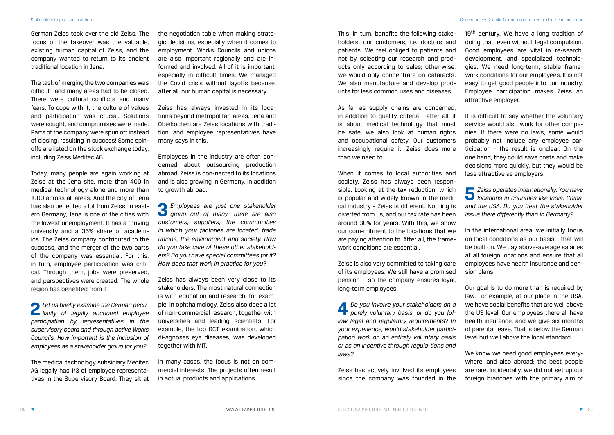German Zeiss took over the old Zeiss. The focus of the takeover was the valuable, existing human capital of Zeiss, and the company wanted to return to its ancient traditional location in Jena.

The task of merging the two companies was difficult, and many areas had to be closed. There were cultural conflicts and many fears. To cope with it, the culture of values and participation was crucial. Solutions were sought, and compromises were made. Parts of the company were spun off instead of closing, resulting in success! Some spinoffs are listed on the stock exchange today, including Zeiss Meditec AG.

Today, many people are again working at Zeiss at the Jena site, more than 400 in medical technol-ogy alone and more than 1000 across all areas. And the city of Jena has also benefited a lot from Zeiss. In eastern Germany, Jena is one of the cities with the lowest unemployment. It has a thriving university and a 35% share of academics. The Zeiss company contributed to the success, and the merger of the two parts of the company was essential. For this, in turn, employee participation was critical. Through them, jobs were preserved, and perspectives were created. The whole region has benefited from it.

**2** *Let us briefly examine the German peculiarity of legally anchored employee participation by representatives in the supervisory board and through active Works Councils. How important is the inclusion of employees as a stakeholder group for you?*

The medical technology subsidiary Meditec AG legally has 1/3 of employee representatives in the Supervisory Board. They sit at

the negotiation table when making strategic decisions, especially when it comes to employment. Works Councils and unions are also important regionally and are informed and involved. All of it is important, especially in difficult times. We managed the Covid crisis without layoffs because, after all, our human capital is necessary.

Zeiss has always invested in its locations beyond metropolitan areas. Jena and Oberkochen are Zeiss locations with tradition, and employee representatives have many says in this.

Employees in the industry are often concerned about outsourcing production abroad. Zeiss is con-nected to its locations and is also growing in Germany. In addition to growth abroad.

19<sup>th</sup> century. We have a long tradition of doing that, even without legal compulsion. Good employees are vital in re-search, development, and specialized technologies. We need long-term, stable framework conditions for our employees. It is not easy to get good people into our industry. Employee participation makes Zeiss an attractive employer.

**3** *Employees are just one stakeholder group out of many. There are also customers, suppliers, the communities in which your factories are located, trade unions, the environment and society. How do you take care of these other stakeholders? Do you have special committees for it? How does that work in practice for you?*

Zeiss has always been very close to its stakeholders. The most natural connection is with education and research, for example, in ophthalmology. Zeiss also does a lot of non-commercial research, together with universities and leading scientists. For example, the top OCT examination, which di-agnoses eye diseases, was developed together with MIT.

Our goal is to do more than is required by law. For example, at our place in the USA, we have social benefits that are well above the US level. Our employees there all have health insurance, and we give six months of parental leave. That is below the German level but well above the local standard.

In many cases, the focus is not on commercial interests. The projects often result in actual products and applications.

This, in turn, benefits the following stakeholders, our customers, i.e. doctors and patients. We feel obliged to patients and not by selecting our research and products only according to sales; other-wise, we would only concentrate on cataracts. We also manufacture and develop products for less common uses and diseases.

As far as supply chains are concerned, in addition to quality criteria - after all, it is about medical technology that must be safe; we also look at human rights and occupational safety. Our customers increasingly require it. Zeiss does more than we need to.

When it comes to local authorities and society, Zeiss has always been responsible. Looking at the tax reduction, which is popular and widely known in the medical industry - Zeiss is different. Nothing is diverted from us, and our tax rate has been around 30% for years. With this, we show our com-mitment to the locations that we are paying attention to. After all, the framework conditions are essential.

Zeiss is also very committed to taking care of its employees. We still have a promised pension – so the company ensures loyal, long-term employees.

**4** *Do you involve your stakeholders on a purely voluntary basis, or do you follow legal and regulatory requirements? In your experience, would stakeholder participation work on an entirely voluntary basis or as an incentive through regula-tions and laws?*

Zeiss has actively involved its employees since the company was founded in the It is difficult to say whether the voluntary service would also work for other companies. If there were no laws, some would probably not include any employee participation - the result is unclear. On the one hand, they could save costs and make decisions more quickly, but they would be less attractive as employers.

**5** *Zeiss operates internationally. You have locations in countries like India, China, and the USA. Do you treat the stakeholder issue there differently than in Germany?*

In the international area, we initially focus on local conditions as our basis - that will be built on. We pay above-average salaries at all foreign locations and ensure that all employees have health insurance and pension plans.

We know we need good employees everywhere, and also abroad; the best people are rare. Incidentally, we did not set up our foreign branches with the primary aim of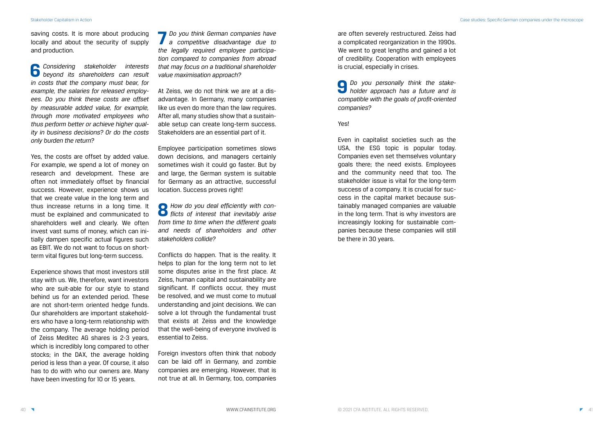Stakeholder Capitalism in Action Case studies: Specific German companies under the microscope

saving costs. It is more about producing locally and about the security of supply and production.

**6** *Considering stakeholder interests beyond its shareholders can result in costs that the company must bear, for example, the salaries for released employees. Do you think these costs are offset by measurable added value, for example, through more motivated employees who thus perform better or achieve higher quality in business decisions? Or do the costs only burden the return?*

Yes, the costs are offset by added value. For example, we spend a lot of money on research and development. These are often not immediately offset by financial success. However, experience shows us that we create value in the long term and thus increase returns in a long time. It must be explained and communicated to shareholders well and clearly. We often invest vast sums of money, which can initially dampen specific actual figures such as EBIT. We do not want to focus on shortterm vital figures but long-term success.

Experience shows that most investors still stay with us. We, therefore, want investors who are suit-able for our style to stand behind us for an extended period. These are not short-term oriented hedge funds. Our shareholders are important stakeholders who have a long-term relationship with the company. The average holding period of Zeiss Meditec AG shares is 2-3 years, which is incredibly long compared to other stocks; in the DAX, the average holding period is less than a year. Of course, it also has to do with who our owners are. Many have been investing for 10 or 15 years.

**7** *Do you think German companies have a competitive disadvantage due to the legally required employee participation compared to companies from abroad that may focus on a traditional shareholder value maximisation approach?*

At Zeiss, we do not think we are at a disadvantage. In Germany, many companies like us even do more than the law requires. After all, many studies show that a sustainable setup can create long-term success. Stakeholders are an essential part of it.

Employee participation sometimes slows down decisions, and managers certainly sometimes wish it could go faster. But by and large, the German system is suitable for Germany as an attractive, successful location. Success proves right!

**8** *How do you deal efficiently with con-flicts of interest that inevitably arise from time to time when the different goals and needs of shareholders and other stakeholders collide?*

Conflicts do happen. That is the reality. It helps to plan for the long term not to let some disputes arise in the first place. At Zeiss, human capital and sustainability are significant. If conflicts occur, they must be resolved, and we must come to mutual understanding and joint decisions. We can solve a lot through the fundamental trust that exists at Zeiss and the knowledge that the well-being of everyone involved is essential to Zeiss.

Foreign investors often think that nobody can be laid off in Germany, and zombie companies are emerging. However, that is not true at all. In Germany, too, companies

are often severely restructured. Zeiss had a complicated reorganization in the 1990s. We went to great lengths and gained a lot of credibility. Cooperation with employees is crucial, especially in crises.

**9** *Do you personally think the stake-holder approach has a future and is compatible with the goals of profit-oriented companies?*

#### Yes!

Even in capitalist societies such as the USA, the ESG topic is popular today. Companies even set themselves voluntary goals there; the need exists. Employees and the community need that too. The stakeholder issue is vital for the long-term success of a company. It is crucial for success in the capital market because sustainably managed companies are valuable in the long term. That is why investors are increasingly looking for sustainable companies because these companies will still be there in 30 years.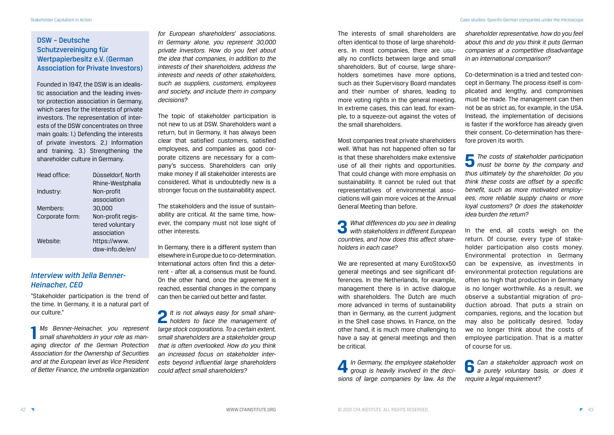### DSW – Deutsche Schutzvereinigung für Wertpapierbesitz e.V. (German Association for Private Investors)

Founded in 1947, the DSW is an idealistic association and the leading investor protection association in Germany, which cares for the interests of private investors. The representation of interests of the DSW concentrates on three main goals: 1.) Defending the interests of private investors. 2.) Information and training. 3.) Strengthening the shareholder culture in Germany.

| Head office:    | Düsseldorf, North |  |
|-----------------|-------------------|--|
|                 | Rhine-Westphalia  |  |
| Industry:       | Non-profit        |  |
|                 | association       |  |
| Members:        | 30,000            |  |
| Corporate form: | Non-profit regis- |  |
|                 | tered voluntary   |  |
|                 | association       |  |
| Website:        | https://www.      |  |
|                 | dsw-info.de/en/   |  |

### *Interview with Jella Benner-Heinacher, CEO*

"Stakeholder participation is the trend of the time. In Germany, it is a natural part of our culture."

**1** *Ms Benner-Heinacher, you represent small shareholders in your role as managing director of the German Protection Association for the Ownership of Securities and at the European level as Vice President of Better Finance, the umbrella organization* 

*for European shareholders' associations. In Germany alone, you represent 30,000 private investors. How do you feel about the idea that companies, in addition to the interests of their shareholders, address the interests and needs of other stakeholders, such as suppliers, customers, employees and society, and include them in company decisions?*

The topic of stakeholder participation is not new to us at DSW. Shareholders want a return, but in Germany, it has always been clear that satisfied customers, satisfied employees, and companies as good corporate citizens are necessary for a company's success. Shareholders can only make money if all stakeholder interests are considered. What is undoubtedly new is a stronger focus on the sustainability aspect.

The stakeholders and the issue of sustainability are critical. At the same time, however, the company must not lose sight of other interests.

> We are represented at many EuroStoxx50 general meetings and see significant differences. In the Netherlands, for example, management there is in active dialogue with shareholders. The Dutch are much more advanced in terms of sustainability than in Germany, as the current judgment in the Shell case shows. In France, on the other hand, it is much more challenging to have a say at general meetings and then be critical.

In Germany, there is a different system than elsewhere in Europe due to co-determination. International actors often find this a deterrent - after all, a consensus must be found. On the other hand, once the agreement is reached, essential changes in the company can then be carried out better and faster.

**2** *It is not always easy for small share-holders to face the management of large stock corporations. To a certain extent, small shareholders are a stakeholder group that is often overlooked. How do you think an increased focus on stakeholder interests beyond influential large shareholders could affect small shareholders?*

The interests of small shareholders are often identical to those of large shareholders. In most companies, there are usually no conflicts between large and small shareholders. But of course, large shareholders sometimes have more options, such as their Supervisory Board mandates and their number of shares, leading to more voting rights in the general meeting. In extreme cases, this can lead, for example, to a squeeze-out against the votes of the small shareholders.

Most companies treat private shareholders well. What has not happened often so far is that these shareholders make extensive use of all their rights and opportunities. That could change with more emphasis on sustainability. It cannot be ruled out that representatives of environmental associations will gain more voices at the Annual General Meeting than before.

**3** *What differences do you see in dealing with stakeholders in different European countries, and how does this affect shareholders in each case?*

**4** *In Germany, the employee stakeholder group is heavily involved in the decisions of large companies by law. As the*  *shareholder representative, how do you feel about this and do you think it puts German companies at a competitive disadvantage in an international comparison?*

Co-determination is a tried and tested concept in Germany. The process itself is complicated and lengthy, and compromises must be made. The management can then not be as strict as, for example, in the USA. Instead, the implementation of decisions is faster if the workforce has already given their consent. Co-determination has therefore proven its worth.

**5** *The costs of stakeholder participation must be borne by the company and thus ultimately by the shareholder. Do you think these costs are offset by a specific benefit, such as more motivated employees, more reliable supply chains or more loyal customers? Or does the stakeholder idea burden the return?*

In the end, all costs weigh on the return. Of course, every type of stakeholder participation also costs money. Environmental protection in Germany can be expensive, as investments in environmental protection regulations are often so high that production in Germany is no longer worthwhile. As a result, we observe a substantial migration of production abroad. That puts a strain on companies, regions, and the location but may also be politically desired. Today we no longer think about the costs of employee participation. That is a matter of course for us.

**6** *Can a stakeholder approach work on a purely voluntary basis, or does it require a legal requirement?*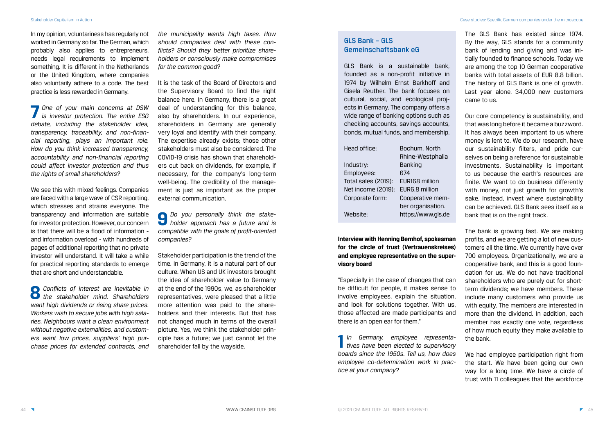In my opinion, voluntariness has regularly not worked in Germany so far. The German, which probably also applies to entrepreneurs, needs legal requirements to implement something. It is different in the Netherlands or the United Kingdom, where companies also voluntarily adhere to a code. The best practice is less rewarded in Germany.

**7** *One of your main concerns at DSW is investor protection. The entire ESG debate, including the stakeholder idea, transparency, traceability, and non-financial reporting, plays an important role. How do you think increased transparency, accountability and non-financial reporting could affect investor protection and thus the rights of small shareholders?*

We see this with mixed feelings. Companies are faced with a large wave of CSR reporting, which stresses and strains everyone. The transparency and information are suitable for investor protection. However, our concern is that there will be a flood of information and information overload - with hundreds of pages of additional reporting that no private investor will understand. It will take a while for practical reporting standards to emerge that are short and understandable.

**8** *Conflicts of interest are inevitable in the stakeholder mind. Shareholders want high dividends or rising share prices. Workers wish to secure jobs with high salaries. Neighbours want a clean environment without negative externalities, and customers want low prices, suppliers' high purchase prices for extended contracts, and*  *the municipality wants high taxes. How should companies deal with these conflicts? Should they better prioritize shareholders or consciously make compromises for the common good?*

It is the task of the Board of Directors and the Supervisory Board to find the right balance here. In Germany, there is a great deal of understanding for this balance, also by shareholders. In our experience, shareholders in Germany are generally very loyal and identify with their company. The expertise already exists; those other stakeholders must also be considered. The COVID-19 crisis has shown that shareholders cut back on dividends, for example, if necessary, for the company's long-term well-being. The credibility of the management is just as important as the proper external communication.

Our core competency is sustainability, and that was long before it became a buzzword. It has always been important to us where money is lent to. We do our research, have our sustainability filters, and pride ourselves on being a reference for sustainable investments. Sustainability is important to us because the earth's resources are finite. We want to do business differently with money, not just growth for growth's sake. Instead, invest where sustainability can be achieved. GLS Bank sees itself as a bank that is on the right track.

**9** *Do you personally think the stakeholder approach has a future and is compatible with the goals of profit-oriented companies?*

Stakeholder participation is the trend of the time. In Germany, it is a natural part of our culture. When US and UK investors brought the idea of shareholder value to Germany at the end of the 1990s, we, as shareholder representatives, were pleased that a little more attention was paid to the shareholders and their interests. But that has not changed much in terms of the overall picture. Yes, we think the stakeholder principle has a future; we just cannot let the shareholder fall by the wayside.

### GLS Bank – GLS Gemeinschaftsbank eG

GLS Bank is a sustainable bank, founded as a non-profit initiative in 1974 by Wilhelm Ernst Barkhoff and Gisela Reuther. The bank focuses on cultural, social, and ecological projects in Germany. The company offers a wide range of banking options such as checking accounts, savings accounts, bonds, mutual funds, and membership.

| Head office:        | Bochum, North      |
|---------------------|--------------------|
|                     | Rhine-Westphalia   |
| Industry:           | <b>Banking</b>     |
| Employees:          | 674                |
| Total sales (2019): | EUR168 million     |
| Net income (2019):  | EUR6.8 million     |
| Corporate form:     | Cooperative mem-   |
|                     | ber organisation.  |
| Website:            | https://www.gls.de |

**Interview with Henning Bernhof, spokesman for the circle of trust (Vertrauenskreises) and employee representative on the supervisory board**

"Especially in the case of changes that can be difficult for people, it makes sense to involve employees, explain the situation, and look for solutions together. With us, those affected are made participants and there is an open ear for them."

**1** *In Germany, employee representatives have been elected to supervisory boards since the 1950s. Tell us, how does employee co-determination work in practice at your company?*

The GLS Bank has existed since 1974. By the way, GLS stands for a community bank of lending and giving and was initially founded to finance schools. Today we are among the top 10 German cooperative banks with total assets of EUR 8.8 billion. The history of GLS Bank is one of growth. Last year alone, 34,000 new customers came to us.

The bank is growing fast. We are making profits, and we are getting a lot of new customers all the time. We currently have over 700 employees. Organizationally, we are a cooperative bank, and this is a good foundation for us. We do not have traditional shareholders who are purely out for shortterm dividends; we have members. These include many customers who provide us with equity. The members are interested in more than the dividend. In addition, each member has exactly one vote, regardless of how much equity they make available to the bank.

We had employee participation right from the start. We have been going our own way for a long time. We have a circle of trust with 11 colleagues that the workforce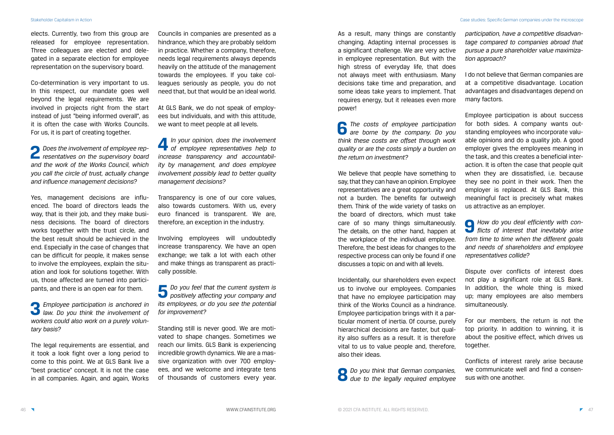elects. Currently, two from this group are released for employee representation. Three colleagues are elected and delegated in a separate election for employee representation on the supervisory board.

Co-determination is very important to us. In this respect, our mandate goes well beyond the legal requirements. We are involved in projects right from the start instead of just "being informed overall", as it is often the case with Works Councils. For us, it is part of creating together.

**2** *Does the involvement of employee rep-resentatives on the supervisory board and the work of the Works Council, which you call the circle of trust, actually change and influence management decisions?*

Yes, management decisions are influenced. The board of directors leads the way, that is their job, and they make business decisions. The board of directors works together with the trust circle, and the best result should be achieved in the end. Especially in the case of changes that can be difficult for people, it makes sense to involve the employees, explain the situation and look for solutions together. With us, those affected are turned into participants, and there is an open ear for them.

**3** *Employee participation is anchored in law. Do you think the involvement of workers could also work on a purely voluntary basis?*

The legal requirements are essential, and it took a look fight over a long period to come to this point. We at GLS Bank live a "best practice" concept. It is not the case in all companies. Again, and again, Works **6** *The costs of employee participation are borne by the company. Do you think these costs are offset through work quality or are the costs simply a burden on the return on investment?*

Councils in companies are presented as a hindrance, which they are probably seldom in practice. Whether a company, therefore, needs legal requirements always depends heavily on the attitude of the management towards the employees. If you take colleagues seriously as people, you do not need that, but that would be an ideal world.

At GLS Bank, we do not speak of employees but individuals, and with this attitude, we want to meet people at all levels.

**4** *In your opinion, does the involvement of employee representatives help to increase transparency and accountability by management, and does employee involvement possibly lead to better quality management decisions?*

Transparency is one of our core values, also towards customers. With us, every euro financed is transparent. We are, therefore, an exception in the industry.

Involving employees will undoubtedly increase transparency. We have an open exchange; we talk a lot with each other and make things as transparent as practically possible.

**5** *Do you feel that the current system is positively affecting your company and its employees, or do you see the potential for improvement?*

Standing still is never good. We are motivated to shape changes. Sometimes we reach our limits. GLS Bank is experiencing incredible growth dynamics. We are a massive organization with over 700 employees, and we welcome and integrate tens of thousands of customers every year. As a result, many things are constantly changing. Adapting internal processes is a significant challenge. We are very active in employee representation. But with the high stress of everyday life, that does not always meet with enthusiasm. Many decisions take time and preparation, and some ideas take years to implement. That requires energy, but it releases even more power!

We believe that people have something to say, that they can have an opinion. Employee representatives are a great opportunity and not a burden. The benefits far outweigh them. Think of the wide variety of tasks on the board of directors, which must take care of so many things simultaneously. The details, on the other hand, happen at the workplace of the individual employee. Therefore, the best ideas for changes to the respective process can only be found if one discusses a topic on and with all levels.

Incidentally, our shareholders even expect us to involve our employees. Companies that have no employee participation may think of the Works Council as a hindrance. Employee participation brings with it a particular moment of inertia. Of course, purely hierarchical decisions are faster, but quality also suffers as a result. It is therefore vital to us to value people and, therefore, also their ideas.

**8** *Do you think that German companies, due to the legally required employee*  *participation, have a competitive disadvantage compared to companies abroad that pursue a pure shareholder value maximization approach?*

I do not believe that German companies are at a competitive disadvantage. Location advantages and disadvantages depend on many factors.

Employee participation is about success for both sides. A company wants outstanding employees who incorporate valuable opinions and do a quality job. A good employer gives the employees meaning in the task, and this creates a beneficial interaction. It is often the case that people quit when they are dissatisfied, i.e. because they see no point in their work. Then the employer is replaced. At GLS Bank, this meaningful fact is precisely what makes us attractive as an employer.

**9** *How do you deal efficiently with conflicts of interest that inevitably arise from time to time when the different goals and needs of shareholders and employee representatives collide?*

Dispute over conflicts of interest does not play a significant role at GLS Bank. In addition, the whole thing is mixed up; many employees are also members simultaneously.

For our members, the return is not the top priority. In addition to winning, it is about the positive effect, which drives us together.

Conflicts of interest rarely arise because we communicate well and find a consensus with one another.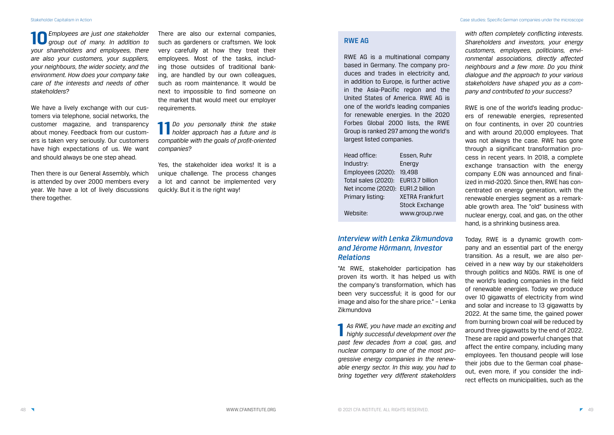**10***Employees are just one stakeholder group out of many. In addition to your shareholders and employees, there are also your customers, your suppliers, your neighbours, the wider society, and the environment. How does your company take care of the interests and needs of other stakeholders?*

We have a lively exchange with our customers via telephone, social networks, the customer magazine, and transparency about money. Feedback from our customers is taken very seriously. Our customers have high expectations of us. We want and should always be one step ahead.

Then there is our General Assembly, which is attended by over 2000 members every year. We have a lot of lively discussions there together.

There are also our external companies, such as gardeners or craftsmen. We look very carefully at how they treat their employees. Most of the tasks, including those outsides of traditional banking, are handled by our own colleagues, such as room maintenance. It would be next to impossible to find someone on the market that would meet our employer requirements.

**11***Do you personally think the stake holder approach has a future and is compatible with the goals of profit-oriented companies?*

Yes, the stakeholder idea works! It is a unique challenge. The process changes a lot and cannot be implemented very quickly. But it is the right way!

#### RWE AG

RWE AG is a multinational company based in Germany. The company produces and trades in electricity and, in addition to Europe, is further active in the Asia-Pacific region and the United States of America. RWE AG is one of the world's leading companies for renewable energies. In the 2020 Forbes Global 2000 lists, the RWE Group is ranked 297 among the world's largest listed companies.

| Head office:                        | Essen, Ruhr            |
|-------------------------------------|------------------------|
| Industry:                           | Energy                 |
| Employees (2020):                   | 19,498                 |
| Total sales (2020): EUR13.7 billion |                        |
| Net income (2020): EUR1.2 billion   |                        |
| Primary listing:                    | <b>XETRA Frankfurt</b> |
|                                     | <b>Stock Exchange</b>  |
| Website:                            | www.group.rwe          |

### *Interview with Lenka Zikmundova and Jérome Hörmann, Investor Relations*

"At RWE, stakeholder participation has proven its worth. It has helped us with the company's transformation, which has been very successful; it is good for our image and also for the share price." – Lenka Zikmundova

**1** *As RWE, you have made an exciting and highly successful development over the past few decades from a coal, gas, and nuclear company to one of the most progressive energy companies in the renewable energy sector. In this way, you had to bring together very different stakeholders* 

*with often completely conflicting interests. Shareholders and investors, your energy customers, employees, politicians, environmental associations, directly affected neighbours and a few more. Do you think dialogue and the approach to your various stakeholders have shaped you as a company and contributed to your success?*

RWE is one of the world's leading producers of renewable energies, represented on four continents, in over 20 countries and with around 20,000 employees. That was not always the case. RWE has gone through a significant transformation process in recent years. In 2018, a complete exchange transaction with the energy company E.ON was announced and finalized in mid-2020. Since then, RWE has concentrated on energy generation, with the renewable energies segment as a remarkable growth area. The "old" business with nuclear energy, coal, and gas, on the other hand, is a shrinking business area.

Today, RWE is a dynamic growth company and an essential part of the energy transition. As a result, we are also perceived in a new way by our stakeholders through politics and NGOs. RWE is one of the world's leading companies in the field of renewable energies. Today we produce over 10 gigawatts of electricity from wind and solar and increase to 13 gigawatts by 2022. At the same time, the gained power from burning brown coal will be reduced by around three gigawatts by the end of 2022. These are rapid and powerful changes that affect the entire company, including many employees. Ten thousand people will lose their jobs due to the German coal phaseout, even more, if you consider the indirect effects on municipalities, such as the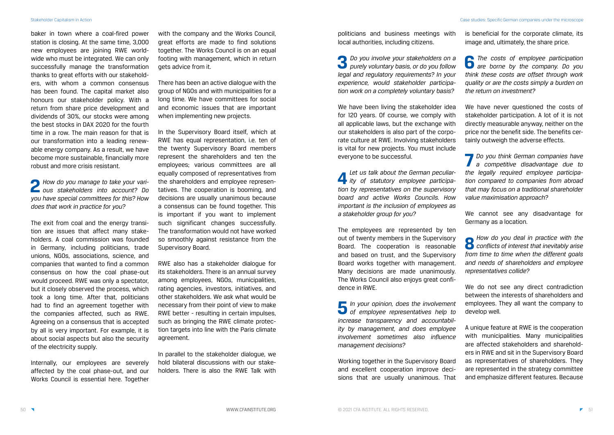baker in town where a coal-fired power station is closing. At the same time, 3,000 new employees are joining RWE worldwide who must be integrated. We can only successfully manage the transformation thanks to great efforts with our stakeholders, with whom a common consensus has been found. The capital market also honours our stakeholder policy. With a return from share price development and dividends of 30%, our stocks were among the best stocks in DAX 2020 for the fourth time in a row. The main reason for that is our transformation into a leading renewable energy company. As a result, we have become more sustainable, financially more robust and more crisis resistant.

**2** *How do you manage to take your vari-ous stakeholders into account? Do you have special committees for this? How does that work in practice for you?*

with the company and the Works Council, great efforts are made to find solutions together. The Works Council is on an equal footing with management, which in return gets advice from it.

The exit from coal and the energy transition are issues that affect many stakeholders. A coal commission was founded in Germany, including politicians, trade unions, NGOs, associations, science, and companies that wanted to find a common consensus on how the coal phase-out would proceed. RWE was only a spectator, but it closely observed the process, which took a long time. After that, politicians had to find an agreement together with the companies affected, such as RWE. Agreeing on a consensus that is accepted by all is very important. For example, it is about social aspects but also the security of the electricity supply.

Internally, our employees are severely affected by the coal phase-out, and our Works Council is essential here. Together

There has been an active dialogue with the group of NGOs and with municipalities for a long time. We have committees for social and economic issues that are important when implementing new projects.

In the Supervisory Board itself, which at RWE has equal representation, i.e. ten of the twenty Supervisory Board members represent the shareholders and ten the employees; various committees are all equally composed of representatives from the shareholders and employee representatives. The cooperation is booming, and decisions are usually unanimous because a consensus can be found together. This is important if you want to implement such significant changes successfully. The transformation would not have worked so smoothly against resistance from the Supervisory Board.

We have never questioned the costs of stakeholder participation. A lot of it is not directly measurable anyway, neither on the price nor the benefit side. The benefits certainly outweigh the adverse effects.

RWE also has a stakeholder dialogue for its stakeholders. There is an annual survey among employees, NGOs, municipalities, rating agencies, investors, initiatives, and other stakeholders. We ask what would be necessary from their point of view to make RWE better - resulting in certain impulses, such as bringing the RWE climate protection targets into line with the Paris climate agreement.

In parallel to the stakeholder dialogue, we hold bilateral discussions with our stakeholders. There is also the RWE Talk with politicians and business meetings with local authorities, including citizens.

**3** *Do you involve your stakeholders on a purely voluntary basis, or do you follow legal and regulatory requirements? In your experience, would stakeholder participation work on a completely voluntary basis?*

We have been living the stakeholder idea for 120 years. Of course, we comply with all applicable laws, but the exchange with our stakeholders is also part of the corporate culture at RWE. Involving stakeholders is vital for new projects. You must include everyone to be successful.

**4** *Let us talk about the German peculiar-ity of statutory employee participation by representatives on the supervisory board and active Works Councils. How important is the inclusion of employees as a stakeholder group for you?*

The employees are represented by ten out of twenty members in the Supervisory Board. The cooperation is reasonable and based on trust, and the Supervisory Board works together with management. Many decisions are made unanimously. The Works Council also enjoys great confidence in RWE.

**5** *In your opinion, does the involvement of employee representatives help to increase transparency and accountability by management, and does employee involvement sometimes also influence management decisions?*

Working together in the Supervisory Board and excellent cooperation improve decisions that are usually unanimous. That is beneficial for the corporate climate, its image and, ultimately, the share price.

**6** *The costs of employee participation are borne by the company. Do you think these costs are offset through work quality or are the costs simply a burden on the return on investment?*

**7** *Do you think German companies have a competitive disadvantage due to the legally required employee participation compared to companies from abroad that may focus on a traditional shareholder value maximisation approach?*

We cannot see any disadvantage for Germany as a location.

**8** *How do you deal in practice with the conflicts of interest that inevitably arise from time to time when the different goals and needs of shareholders and employee representatives collide?*

We do not see any direct contradiction between the interests of shareholders and employees. They all want the company to develop well.

A unique feature at RWE is the cooperation with municipalities. Many municipalities are affected stakeholders and shareholders in RWE and sit in the Supervisory Board as representatives of shareholders. They are represented in the strategy committee and emphasize different features. Because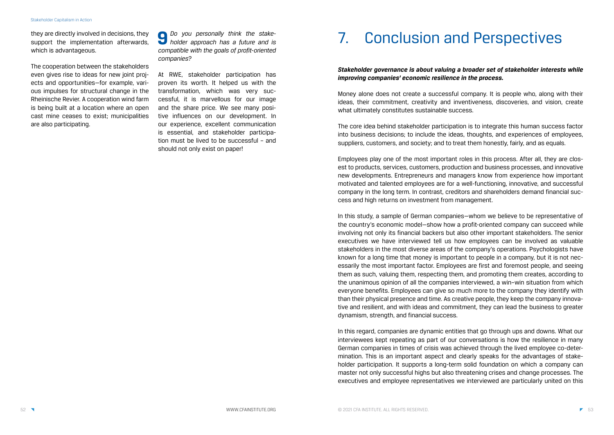they are directly involved in decisions, they support the implementation afterwards, which is advantageous.

The cooperation between the stakeholders even gives rise to ideas for new joint projects and opportunities—for example, various impulses for structural change in the Rheinische Revier. A cooperation wind farm is being built at a location where an open cast mine ceases to exist; municipalities are also participating.

**9** *Do you personally think the stakeholder approach has a future and is compatible with the goals of profit-oriented companies?*

At RWE, stakeholder participation has proven its worth. It helped us with the transformation, which was very successful, it is marvellous for our image and the share price. We see many positive influences on our development. In our experience, excellent communication is essential, and stakeholder participation must be lived to be successful – and should not only exist on paper!

# 7. Conclusion and Perspectives

### *Stakeholder governance is about valuing a broader set of stakeholder interests while improving companies' economic resilience in the process.*

Money alone does not create a successful company. It is people who, along with their ideas, their commitment, creativity and inventiveness, discoveries, and vision, create what ultimately constitutes sustainable success.

The core idea behind stakeholder participation is to integrate this human success factor into business decisions; to include the ideas, thoughts, and experiences of employees, suppliers, customers, and society; and to treat them honestly, fairly, and as equals.

Employees play one of the most important roles in this process. After all, they are closest to products, services, customers, production and business processes, and innovative new developments. Entrepreneurs and managers know from experience how important motivated and talented employees are for a well-functioning, innovative, and successful company in the long term. In contrast, creditors and shareholders demand financial success and high returns on investment from management.

In this study, a sample of German companies—whom we believe to be representative of the country's economic model—show how a profit-oriented company can succeed while involving not only its financial backers but also other important stakeholders. The senior executives we have interviewed tell us how employees can be involved as valuable stakeholders in the most diverse areas of the company's operations. Psychologists have known for a long time that money is important to people in a company, but it is not necessarily the most important factor. Employees are first and foremost people, and seeing them as such, valuing them, respecting them, and promoting them creates, according to the unanimous opinion of all the companies interviewed, a win–win situation from which everyone benefits. Employees can give so much more to the company they identify with than their physical presence and time. As creative people, they keep the company innovative and resilient, and with ideas and commitment, they can lead the business to greater dynamism, strength, and financial success.

In this regard, companies are dynamic entities that go through ups and downs. What our interviewees kept repeating as part of our conversations is how the resilience in many German companies in times of crisis was achieved through the lived employee co-determination. This is an important aspect and clearly speaks for the advantages of stakeholder participation. It supports a long-term solid foundation on which a company can master not only successful highs but also threatening crises and change processes. The executives and employee representatives we interviewed are particularly united on this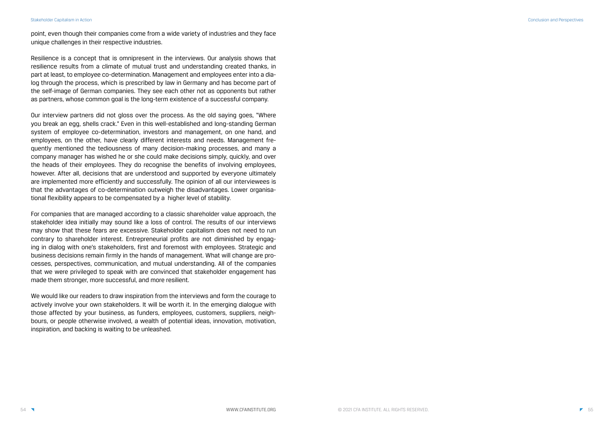point, even though their companies come from a wide variety of industries and they face unique challenges in their respective industries.

Resilience is a concept that is omnipresent in the interviews. Our analysis shows that resilience results from a climate of mutual trust and understanding created thanks, in part at least, to employee co-determination. Management and employees enter into a dialog through the process, which is prescribed by law in Germany and has become part of the self-image of German companies. They see each other not as opponents but rather as partners, whose common goal is the long-term existence of a successful company.

Our interview partners did not gloss over the process. As the old saying goes, "Where you break an egg, shells crack." Even in this well-established and long-standing German system of employee co-determination, investors and management, on one hand, and employees, on the other, have clearly different interests and needs. Management frequently mentioned the tediousness of many decision-making processes, and many a company manager has wished he or she could make decisions simply, quickly, and over the heads of their employees. They do recognise the benefits of involving employees, however. After all, decisions that are understood and supported by everyone ultimately are implemented more efficiently and successfully. The opinion of all our interviewees is that the advantages of co-determination outweigh the disadvantages. Lower organisational flexibility appears to be compensated by a higher level of stability.

For companies that are managed according to a classic shareholder value approach, the stakeholder idea initially may sound like a loss of control. The results of our interviews may show that these fears are excessive. Stakeholder capitalism does not need to run contrary to shareholder interest. Entrepreneurial profits are not diminished by engaging in dialog with one's stakeholders, first and foremost with employees. Strategic and business decisions remain firmly in the hands of management. What will change are processes, perspectives, communication, and mutual understanding. All of the companies that we were privileged to speak with are convinced that stakeholder engagement has made them stronger, more successful, and more resilient.

We would like our readers to draw inspiration from the interviews and form the courage to actively involve your own stakeholders. It will be worth it. In the emerging dialogue with those affected by your business, as funders, employees, customers, suppliers, neighbours, or people otherwise involved, a wealth of potential ideas, innovation, motivation, inspiration, and backing is waiting to be unleashed.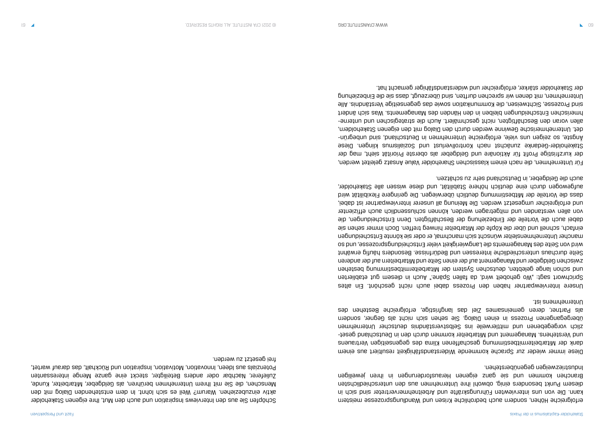erfolgreiche Höhen, sondern auch bedrohliche Krisen und Wandlungsprozesse meistern kann. Die von uns interviewten Führungskräfte und Arbeitnehmervertreter sind sich in diesem Punkt besonders einig, obwohl ihre Unternehmen aus den unterschiedlichsten Brauchen kommen men sie danzeren Heransbrochen und eigen der eigen in der eigen Industriezweigen gegenüberstehen.

Diese immer wieder zur Sprache kommende Widerstandsfähigkeit resultiert aus einem dank der Mitarbeitermitbestimmung geschaffenen Klima des gegenseitigen Vertrauens - und Verstehens. Management und Mitarbeiter kommen durch den in Deutschland geset zlich vorgegebenen und mittlerweile ins Selbstverständnis deutscher Unternehmen übergegangenen Prozess in einen Dialog. Sie sehen sich nicht als Gegner, sondern als Partner, deren gemeinsames Ziel das langfristige, erfolgreiche Bestehen des Unternehmens ist.

Unsere Interviewpartner haben den Prozess dabei auch nicht geschönt. Ein altes Sprichwort sagt: "Wo gehobelt wird, da fallen Späne." Auch in diesem gut etablierten und schon lange gelebten, deutschen System der Mitarbeitermitbestimmung bestehen zwischen Geldgeber und Management auf der einen Seite und Mitarbeitern auf der anderen Seite durchaus unterschiedliche Interessen und Bedürfnisse. Besonders häufig erwähnt wird von Seite des Managements die Langwierigkeit vieler Entscheidungsprozesse, und so mancher Unternehmensleiter wünscht sich manchmal, er oder sie könnte Entscheidungen einfach, schnell und über die Köpfe der Mitarbeiter hinweg treffen. Doch immer sehen sie dabei auch die Vorteile der Einbeziehung der Beschäftigten. Denn Entscheidungen, die von allen verstanden und mitgetragen werden, können schlussendlich auch effizienter und erfolgreicher umgesetzt werden. Die Meinung all unserer Interviewpartner ist dabei, dass die Vorteile der Mitbestimmung deutlich überwiegen. Die geringere Flexibilität wird aufgewogen durch eine deutlich höhere Stabilität, und diese wissen alle Stakeholder, auch die Geldgeber, in Deutschland sehr zu schätzen.

Für Unternehmen, die nach einem klassischen Shareholder Value Ansatz geleitet werden, der kurzfristige Profit für Aktionäre und Geldgeber als oberste Priorität sieht, mag der Stakeholder-Gedanke zunächst nach Kontrollverlust und Sozialismus klingen. Diese - Ängste, so zeigen uns viele, erfolgreiche Unternehmen in Deutschland, sind unbegrün det. Unternehmerische Gewinne werden durch den Dialog mit den eigenen Stakeholdern, - allen voran den Beschäftigten, nicht geschmälert. Auch die strategischen und unterne hmerischen Entscheidungen den den Händen des Managements. Was sich ändert sind Prozesse, Sichtweisen, die Kommunikation sowie das gegenseitige Verständnis. Alle Unternehmen, mit denen wir sprechen durften, sind überzeugt, dass sie die Einbeziehung der Stakeholder stärker, erfolgreicher und widerstandsfähiger gemacht hat.

Schöpfen Sie aus den Interviews Inspiration und auch den Mut, Ihre eigenen Stakeholder aktiv einzubeziehen. Warum? Weil es sich lohnt. In dem entstehenden Dialog mit den Menschen, die Sie mit Ihrem Unternehmen berühren, als Geldgeber, Mitarbeiter, Kunde, Zulieferer, Nachbar oder anders Beteiligter, steckt eine ganze Menge interessanten Potenzials aus Ideen, Innovation, Motivation, Inspiration und Rückhalt, das darauf wartet, frei gesetzt zu werden.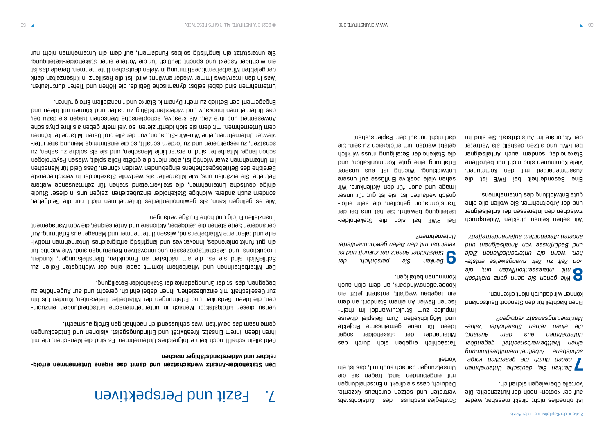ist ohnedies nicht direkt messbar, weder auf der Kosten- noch der Nutzenseite. Die Vorteile überwiegen sicherlich.

**7** *Denken Sie, deutsche Unternehmen - haben durch die gesetzlich vorge schriebene Arbeitnehmermitbestimmung einen Wettbewerbsnachteil gegenüber Unternehmen aus dem Ausland, die einen reinen Shareholder Value-Maximierungsansatz verfolgen?*

Einen Nachteil für den Standort Deutschland können wir dadurch nicht erkennen.

**8** *Wie gehen Sie denn ganz praktisch mit Interessenkonflikten um, die - von Zeit zu Zeit zwangsweise entste hen, wenn die unterschiedlichen Ziele und Bedürfnisse von Anteilseignern und anderen Stakeholdern aufeinandertreffen?*

Wir sehen keinen direkten Widerspruch zwischen den Interessen der Anteilseigner und der Arbeitnehmer. Sie wollen alle eine gute Entwicklung des Unternehmens.

Eine Besonderheit bei RWE ist die Zusammenarbeit mit den Kommunen. Viele Kommunen sind nicht nur betroffene Stakeholder, sondern auch Anteilseigner bei RWE und sitzen deshalb als Vertreter der Aktionäre im Aufsichtsrat. Sie sind im

Strategieausschuss des Aufsichtsrats vertreten und setzen durchaus Akzente. Dadurch, dass sie direkt in Entscheidungen mit eingebunden sind, tragen sie die Umsetzungen danach auch mit, das ist ein Vorteil.

Tatsächlich ergeben sich durch das Miteinander der Stakeholder sogar Ideen für neue gemeinsame Projekte und Möglichkeiten. Zum Beispiel diverse Impulse znux printurumandel im unich ischen Revier. An einem Standort, an dem ein Tagebau wegfällt, entsteht jetzt ein Kooperationswindpark, an dem sich auch Kommunen beteiligen.

**9** *Denken Sie persönlich, der Stakeholder-Ansatz hat Zukunft und ist vereinbar mit den Zielen gewinnorientierter Unternehmen?*

Bei RWE hat sich die Stakeholder-Beteiligung bewährt. Sie hat uns bei der - Transformation geholfen, die sehr erfol greich verlaufen ist, sie ist gut für unser Image und auch für den Aktienkurs. Wir sehen viele positive Einflüsse auf unsere Entwicklung. Wichtig ist aus unserer Erfahrung eine gute Kommunikation, und die Stakeholder Beteiligung muss wirklich gelebt werden, um erfolgreich zu sein. Sie darf nicht nur auf dem Papier stehen!

# Fazit und Perspektiven 7.

### **- Den Stakeholder-Ansatz wertschätzen und damit das eigene Unternehmen erfolg reicher und widerstandsfähiger machen**

Geld allein schafft noch kein erfolgreiches Unternehmen. Es sind die Menschen, die mit ihren Ideen, ihrem Einsatz, Kreativität und Erfindungsgeist, Visionen und Entdeckungen gemeinsam das bewirken, was schlussendlich nachhaltigen Erfolg ausmacht.

- Genau dieser Erfolgsfaktor Mensch in unternehmerische Entscheidungen einzubin den, die Ideen, Gedanken und Erfahrungen der Mitarbeiter, Lieferanten, Kunden bis hin zur Gesellschaft mit einzubeizehen, ihnen dabei ehrlich, gerecht und auf Augenhöhe zu begegnen, das ist der Grundgedanke der Stakeholder-Beteiligung.

Den Mitarbeiterinnen und Mitarbeitern kommt dabei eine der wichtigsten Rollen zu. Schließlich sind sie es, die am nächsten an Produkten, Dienstleistungen, Kunden, Produktions- und Geschäftsprozessen und innovativen Neuerungen sind. Wie wichtig für - ein gut funktionierendes, innovatives und langfristig erfolgreiches Unternehmen motivi erte und talentierte Mitarbeiter sind, wissen Unternehmer und Manager aus Erfahrung. Auf der anderen Seite stehen die Geldgeber, Aktionäre und Anteilseigner, die vom Management finanziellen Erfolg und hohe Erträge verlangen.

Wie es gelingen kann, als gewinnorientiertes Unternehmen nicht nur die Geldgeber, sondern auch andere, wichtige Stakeholder einzubeziehen, zeigen uns in dieser Studie einige deutsche Unternehmen, die stellvertretend stehen für zehntausende weitere Betriebe. Sie erzählen uns, wie Mitarbeiter als wertvolle Stakeholder in verschiedenste Bereiche des Betriebsgeschehens eingebunden werden können. Dass Geld für Menschen im Unternehmen zwar wichtig ist, aber nicht die größte Rolle spielt, wissen Psychologen schon lange. Mitarbeiter sind in erster Linie Menschen, und sie als solche zu sehen, zu - schätzen, zu respektieren und zu fördern schafft, so die einstimmige Meinung aller inter viewter Unternehmen, eine Win-Win-Situation, von der alle profitieren. Mitarbeiter können dem Unternehmen, mit dem sie sich identifizieren, so viel mehr geben als ihre physische Anwesenheit und ihre Zeit. Als kreative, schöpferische Menschen tragen sie dazu bei, das Unternehmen inn ander an innen bei den gepan inn an eigen und eine bei pund auch und punk und punk und pun Engagement den Betrieb zu mehr Dynamik, Stärke und finanziellem Erfolg führen.

Unternehmen sind dabei selbst dynamische Gebilde, die Höhen und Tiefen durchlaufen. Was in den Interviews immer wieder erwähnt wird, ist die Resilienz in Krisenzeiten dank der gelebten Mitarbeitermitbestimmung in vielen deutschen Unternehmen. Gerade das ist ein wichtiger Aspekt und spricht deutlich für die Vorteile einer Stakeholder-Beteiligung. Sie unterstützt ein langfristig solides Fundament, auf dem ein Unternehmen nicht nur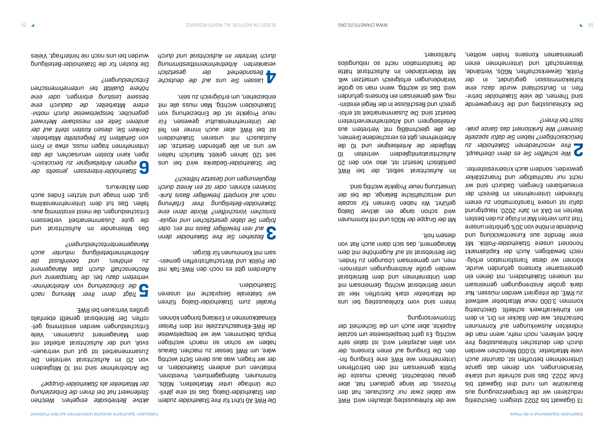13 Gigawatt bis 2022 steigern. Gleichzeitig reduzieren wir die Energieerzeugung aus Braunkohle um rund drei Gigawatt bis Ende 2022. Das sind schnelle und starke Veränderungen, von denen das ganze Unternehmen betroffen ist, darunter auch viele Mitarbeiter. 10.000 Menschen werden durch den deutschen Kohleausstieg ihre Arbeit verlieren, noch mehr, wenn man die indirekten Auswirkungen auf Kommunen betrachtet, wie den Bäcker im Ort, in dem ein Kohlekraftwerk schließt. Gleichzeitig kommen 3.000 neue Mitarbeiter weltweit zu RWE, die integriert werden müssen. Nur dank großer Anstrengungen gemeinsam mit unseren Stakeholdern, mit denen ein gemeinsamer Konsens gefunden wurde, können wir diese Transformation erfolgreich bewältigen. Auch der Kapitalmarkt honoriert unsere Stakeholder-Politik. Mit einer Rendite aus Kursentwicklung und Dividende in Höhe von 30% gehörten unsere Titel zum vierten Mal in Folge zu den besten Werten im DAX im Jahr 2020. Hauptgrund dafür ist unsere Transformation zu einem führenden Unternehmen im Bereich der erneuerbaren Energien. Dadurch sind wir nicht nur nachhaltiger und finanzstärker

Intern sind vom Kohleausstieg bei uns die Mitarbeiter stark betroffen. Hier ist unser Betriebsrat wichtig. Gemeinsam mit dem Unternehmen und dem Betriebsrat werden große Anstrengungen unternomuapuy nz uabunson wesungwab wh 'uaw Der Betriebsrat ist auf Augenhöhe mit dem Management, das sich dann auch Rat von diesem holt. geworden, sondern auch krisenresistenter.

**2** *Wie schaffen Sie es denn überhaupt, Ihre verschiedenen Stakeholder zu berücksichtigen? Haben Sie dafür spezielle - Gremien? Wie funktioniert das Ganze prak tisch bei Ihnen?*

Der Kohleausstieg und die Energiewende sind Themen, die viele Stakeholder betreffen. In Deutschland wurde dazu eine Kohlekommission gegründet, in der Politik, Gewerkschaften, NGOs, Verbände, Wissenschaft und unternehmen einen gemeinsamen Konsens finden wollten,

wie der Kohleausstieg ablaufen wird. RWE war dabei zwar nur Zuschauer, hat den Prozess, der lange gedauert hat, aber genau beobachtet. Danach musste die Politik gemeinsam mit den betroffenen Unternehmen wie RWE eine Einigung finden. Die Einigung auf einen Konsens, der von allen akzeptiert wird, ist dabei sehr wichtig. Es geht beispielsweise um soziale Aspekte, aber auch um die Sicherheit der Stromversorgung.

Mit der Gruppe der NGOs und mit Kommunen wird schon lange ein aktiver Dialog geführt. Wir haben Gremien für soziale und wirtschaftliche Belange, die bei der Umsetzung neuer Projekte wichtig sind.

Das Miteinander im Aufsichtartsrau die gute Zusammenarbeit verbessern Entscheidungen, die meist einstimmig ausfallen. Das tut dem Unternehmensklima gut, dem Image nun letzten Endes auch dem Aktienkurs.

Im Aufsichtsrat selbst, der bei RWE paritätisch besetzt ist, also von den 20 Aufsichtsratsmitgliedern vertreten 10 Mitglieder die Anteilseigner und 10 die Arbeitnehmer, gibt es verschiedene Gremien, die alle gleichmäßig mit Vertretern aus Anteilseignern und Arbeitnehmervertretern - besetzt sind. Die Zusammenarbeit ist erfol - greich und Beschlüsse in der Regel einstim mig, weil gemeinsam ein Konsens gefunden wird. Das ist wichtig, wenn man so große Veränderungen erfolgreich umsetzen will. Mit Widerständen im Aufsichtatsräte die Transformation nicht so reibungslos funktioniert.

Die RWE AG führt für ihre Stakeholder zudem - den Stakeholder-Dialog. Das ist eine jährli che Umfrage unter Mitarbeitern, NGOs, Kommunen, Ratingagenturen, Investoren, Initiativen und anderen Stakeholdern, in der wir fragen, was aus deren Sicht wichtig wäre, um RWE besser zu machen. Daraus haben wir schon so manch wichtigen Impuls bekommen, wie wir beispielsweise die RWE-Klimaschutzziele mit dem Pariser Klimaabkommen in Einklang bringen können.

Parallel zum Stakeholder-Dialog führen wir bilaterale Gespräche mit unseren Stakeholdern.

Außerdem gibt es noch den RWE-Talk mit - der Politik und Wirtschaftstreffen gemein sam mit Kommunen für Bürger.

**3** *Beziehen Sie Ihre Stakeholder denn auf rein freiwilliger Basis mit ein, oder - folgen Sie dabei gesetzlichen und regula torischen Vorschriften? Würde denn eine Stakeholder-Beteiligung Ihrer Erfahrung - nach auf komplett freiwilliger Basis funk tionieren können, oder ist ein Anreiz durch Regulierungen und Gesetze hilfreich?*

Der Stakeholder-Gedanke wird bei uns seit 120 Jahren gelebt. Natürlich halten wir uns an alle geltenden Gesetze, der Austausch mit unseren Stakeholdern ist bei RWE aber auch immer ein Teil der Unternehmenskultur gewesen. Für neue Projekte ist die Einbeziehung von Stakeholdern wichtig. Man muss alle mit einbeziehen, um erfolgreich zu sein.

**4** *Lassen Sie uns auf die deutsche Besonderheit der gesetzlich verankerten Arbeitnehmermitbestimmung durch Vertreter im Aufsichtsrat und durch* 

*aktive Betriebsräte eingehen. Welchen Stellenwert hat bei Ihnen die Einbeziehung der Mitarbeiter als Stakeholder-Gruppe?*

Die Arbeitnehmer sind mit 10 Mitgliedern von 20 im Aufsichtsrat vertreten. Die Zusammenarbeit ist gut nug vertrauensvoll, und der Aufsichtsrat arbeitet mit dem Management zusammen. Viele Entscheidungen werden einstimmig detroffen. Der Betriebsrat genießt ebenfalls großes Vertrauen bei RWE.

**5** *Trägt denn Ihrer Meinung nach - die Einbeziehung von Arbeitnehmer vertretern dazu bei, die Transparenz und Rechenschaft durch das Management zu erhöhen, und beeinflusst die Arbeitnehmerbeteiligung mitunter auch Managemententscheidungen?*

**6** *Stakeholder-Interessen jenseits der - eigenen Anteilseigner zu berücksich tigen, kann Kosten verursachen, die das Unternehmen tragen muss, etwa in Form von Gehältern für freigestellte Mitarbeiter. Denken Sie, diesen Kosten steht auf der anderen Seite ein messbarer Mehrwert - gegenüber, beispielsweise durch motivi ertere Mitarbeiter, die dadurch eine bessere Leistung erbringen, oder eine höhere Qualität bei unternehmerischen Entscheidungen?*

Die Kosten für die Stakeholder-Beteiligung wurden bei uns noch nie hinterfragt. Vieles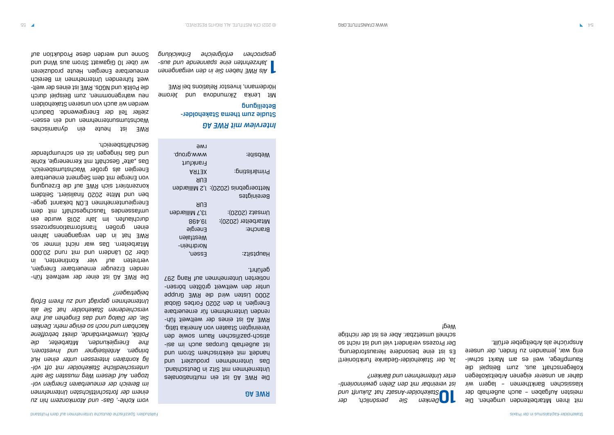mit ihren Mitarbeitenden umgehen. Die meisten Aufgaben – auch außerhalb der klassischen Bankthemen – lagern wir daher an unserer eigenen Arbeitskollegen Kollegenschaft aus, zum Beispiel die Raumpflege, weil es am Markt schwierig war, jemanden zu finden, der unsere Ansprüche als Arbeitgeber erfüllt.

#### Studie zum thema Stakeholder-Beteiligung

**10** *Denken Sie persönlich, der Stakeholder-Ansatz hat Zukunft und - ist vereinbar mit den Zielen gewinnorienti erter Unternehmen und Banken?*

Ja, der Stakeholder-Gedanke funktioniert! Es ist eine besondere Herausforderung. Der Prozess verändert viel und ist nicht so schnell umsetzbar. Aber es ist der richtige Weg!

### *AG Interview mit RWE*

Mit Lenka Zikmundova und Jérome Hördemann, Investor Relations bei RWE

**1** *Als RWE haben Sie in den vergangenen - Jahrzehnten eine spannende und aus gesprochen erfolgreiche Entwicklung* 

#### RWE AG

Die RWE AG ist ein multinationales Unternehmen mit Sitz in Deutschland. Das Unternehmen produziert und handelt mit elektrischem Strom und - ist außerhalb Europas auch im asi atisch-pazifischen Raum sowie den Vereinigten Staaten von Amerika tätig. RWE AG ist eines der weltweit führenden Unternehmen für erneuerbare Energien. In den 2020 Forbes Global 2000 Listen wird die RWE Gruppe - unter den weltweit größten börsen notierten Unternehmen auf Rang 297 geführt.

### Die RME VG ist einer der weltweit führenden Erzeuger erneuerbarer Energien, vertreten auf vier Kontinenten, in über 20 Ländern und mit rund 20.000 Mitarbeitern. Das war nicht immer so. RWE hat in den vergangenen Jahren einen großen Transformationsprozess durchlaufen. Im Jahr 2018 wurde ein map jim jiënosephoeuel sebnessejun - Energieunternehmen E.ON bekannt gege ben und Mitte 2020 finalisiert. Seitdem konzentriert sich RWE auf die Erzeugung von Energie mit dem Segment erneuerbare Energien als großer Wachstumsbereich. Das "alte" Geschäft mit Kernenergie, Kohle und Gas hingegen ist ein schrumpfender Geschäftsbereich.

| LMG                |                                      |
|--------------------|--------------------------------------|
| www.group.         | :9ji2d9W                             |
| Frankfurt          |                                      |
| ARTEX              | :pniteilnäming                       |
| ENK                |                                      |
|                    | Nettoergebnis (2020): 1,2 Milliarden |
|                    | Bereinigtes                          |
| ENB                |                                      |
| nebisilliM T, EI   | Umsatz (2020):                       |
| 86 <sup>t</sup> 61 | Mitarbeiter (2020):                  |
| Energie            | Branche:                             |
| Westfalen          |                                      |
| Nordrhein-         |                                      |
| Easeu'             | Hauptsitz:                           |

*vom Kohle-, Gas- und Atomkonzern hin zu einem der fortschrittlichsten Unternehmen - im Bereich der erneuerbaren Energien vol lzogen. Auf diesem Weg mussten Sie sehr - unterschiedliche Stakeholder mit oft völ lig konträren Interessen unter einen Hut bringen. Anteilseigner und Investoren, Ihre Energiekunden, Mitarbeiter, die Politik, Umweltverbände, direkt betroffene Nachbarn und noch so einige mehr. Denken Sie, der Dialog und das Eingehen auf Ihre verschiedenen Stakeholder hat Sie als Unternehmen geprägt und zu Ihrem Erfolg beigetragen?*

### RWE ist heute ein dynamisches Macharamsunterunternehmen ein essenzieller Teil der Energiewende. Dadurch werden wir auch von unseren Stakeholdern nen wahrgenommen, zum Beighel durch - die Politik und NGOs. RWE ist eines der welt weit führenden Unternehmen im Bereich erneuerbare Energien. Heute produzieren wir über 10 Gigawatt Strom aus Wind und Sonne und werden diese Produktion auf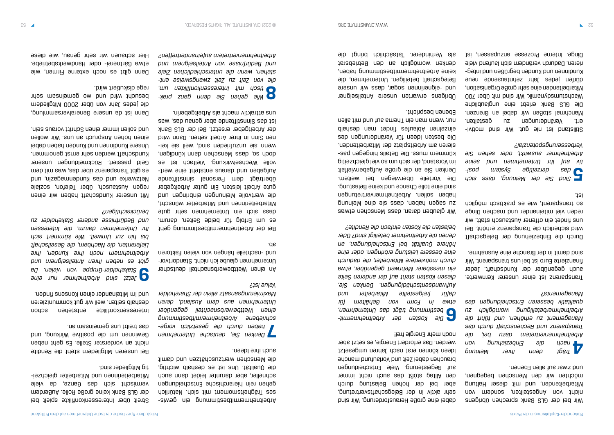Wir bei der GLS Bank sprechen übrigens nov mebres antileten, sonder von de Mitarbeitenden, und mit dieser Haltung möchten wir den Menschen begegnen, und zwar auf allen Ebenen.

**4** *Trägt denn Ihrer Meinung nach die Einbeziehung von Arbeitnehmervertretern dazu bei, die Transparenz und Rechenschaft durch das Management zu erhöhen, und führt die Arbeitnehmerbeteiligung womöglich zu qualitativ besseren Entscheidungen des Managements?*

Transparenz ist einer unserer Kernwerte, auch gegenüber der Kundschaft. Jeder finanzierte Euro ist bei uns transparent. Wir sind damit in der Branche eine Ausnahme.

Stillstand ist nie gut. Mir sind motiviert, Veränderungen zu gestalten. Manchmal stoßen wir dabei an Grenzen. Die GLS Bank erlebt eine unglaubliche Wachstumsdynamik. Wir sind nit über 700 Mitarbeitenden eine sehr große Organisation, dürfen jedes Jahr zehntausende neue Kundinnen den gegrüßen den begrüben. Die begrüben rieren. Dadurch verändern sich laufend viele Dinge. Interne Prozesse anzupassen, ist

Durch die Einbeziehung der Belegschaft wird sicherlich die Transparenz erhöht. Bei uns findet ein offener Austausch statt, wir reden viel miteinander und machen Dinge so transparent, wie es praktisch möglich ist.

**5** *Sind Sie der Meinung, dass sich - das derzeitige System posi tiv auf Ihr Unternehmen und seine Arbeitnehmer auswirkt, oder sehen Sie Verbesserungspotenzial?*

Wir glauben daran, dass Menschen etwas BunuiaM auia ais ssep 'uaqey uabes nz haben sollen. Arbeitnehmervertretungen sind eine tolle Chance und keine Belastung. Die Vorteile überwiegen bei weitem. Denken Sie an die große Aufgabenvielfalt im Vorstand, der sich um so viel gleichzeitig kümmern muss. Die Details hingegen passieren am Arbeitsplatz der Mitarbeitenden. Die besten Ideen für Veränderungen des dlanab nam tebnit ablusldA nenlesnie nur, wenn man ein Thema auf und mit allen Ebenen bespricht.

dabei eine große Herausforderung. Wir sind sehr aktiv in der Belegschaftsvertretung, aber bei der hohen Belastung durch den Alltag stößt das auch nicht immer auf Begeisterung. Viele Entscheidungen brauchen dabei Zeit und Vorlaufund manche Ideen können erst nach Jahren umgesetzt werden. Das erfordert Energie, es setzt aber noch mehr Energie frei!

**6** *- Die Kosten der Arbeitnehmermit bestimmung trägt das Unternehmen, etwa in Form von Gehältern für dafür freigestellte Mitarbeiter und Aufwandsentschädigungen. Denken Sie, diesen Kosten steht auf der anderen Seite ein messbarer Mehrwert gegenüber, etwa durch motiviertere Mitarbeiter, die dadurch eine bessere Leistung erbringen, oder eine höhere Qualität bei Entscheidungen, an denen die Arbeitnehmer beteiligt sind? Oder belasten die Kosten einfach die Rendite?*

Dann ist da nuaere generalversamundung, die jedes Jahr von über 2000 Mitgliedern besucht wird und wo gemeinsam sehr rege diskutiert wird. Übrigens erwarten unsere Anteilseigner eignerinnen sogar, dass wir unsere und - Belegschaft beteiligen. Unternehmen, die keine Arbeitnehmermitbestimmung haben, denken womöglich an den Betriebsrat als Verhinderer. Tatsächlich bringt die

- Arbeitnehmermitbestimmung ein gewis ses Trägheitsmoment mit sich. Natürlich gehen rein hierarchische Entscheidungen schneller, aber darunter leidet dann auch die Qualität. Uns ist es deshalb wichtig, die Menschen wertzuschätzen und damit auch ihre Ideen.

**7** *Denken Sie, deutsche Unternehmen - haben durch die gesetzlich vorge schriebene Arbeitnehmermitbestimmung einen Wettbewerbsnachteil gegenüber Unternehmen aus dem Ausland, deren Maximierungsansatz allein der Shareholder Value ist?*

An einen Wettbewerbsnachteil deutscher Unternehmen glaube ich nicht. Standortvor hangen Faktoren von vielen Faktoren ab.

Bei der Arbeitnehmermitbestimmung geht es um Erfolg für beide Seiten, darum, dass sich ein Unternehmen sehr gute Mitarbeiterinnen und Mitarbeiter wünscht, die wertvolle Meinungen einbringen und gute Arbeit leisten. Ein guter Arbeitgeber überträgt dem Personal sinnstiftende Aufgaben und daraus eusteht eine wertvolle Wechselwirkung. Vielfach ist es doch so, dass Menschen dann kündigen, wenn sie mangen sich weil sie keinen Sinn in ihrer Arbeit sehen. Dann wird der Arbeitgeber ersetzt. Bei der GLS Bank ist das Sinnstiftende aber genau das, was uns attraktiv macht als Arbeitgeberin.

**8** *- Wie gehen Sie denn ganz prak tisch mit Interessenkonflikten um, - die von Zeit zu Zeit zwangsweise ent stehen, wenn die unterschiedlichen Ziele und Bedürfnisse von Anteilseignern und Arbeitnehmervertretern aufeinandertreffen?*

Streit über Interessenkonflikte spielt bei der GLS Bank keine große Rolle. Außerdem vermischt sich das Ganze, da viele - Mitarbeiterinnen und Mitarbeiter gleichzei tig Mitglieder sind.

Bei unseren Mitgliedern steht die Rendite nicht an vorderster Stelle. Es geht neben Gewinnen um die positive Wirkung, und das treibt uns gemeinsam an.

Interessenkonflikte entstehen schon deshalb selten, weil wir gut kommunizieren und im Miteinander einen Konsens finden.

**9** *Jetzt sind Arbeitnehmer nur eine Stakeholder-Gruppe von vielen. Da gibt es neben Ihren Anteilseignern und Arbeitnehmern noch Ihre Kunden, Ihre Lieferanten, die Nachbarn, die Gesellschaft bis hin zur Umwelt. Wie kümmert sich Ihr Unternehmen darum, die Interessen und Bedürfnisse anderer Stakeholder zu berücksichtigen?*

Mit unserer Kundschaft haben wir einen regen Austausch, über Telefon, soziale Netzwerke und das Kundenmagazin, und es gibt Transparenz über das, was mit dem Geld passiert. Rückmeldungen unserer Kundschaft werden sehr ernst genommen. Unsere Kundinnen und Kunden haben dabei einen hohen Anspruch an uns. Wir wollen und sollen immer einen Schritt voraus sein.

Dann gibt es noch externe Firmen, wie etwa Gärtnerei- oder Handwerksbetriebe. Hier schauen wir sehr genau, wie diese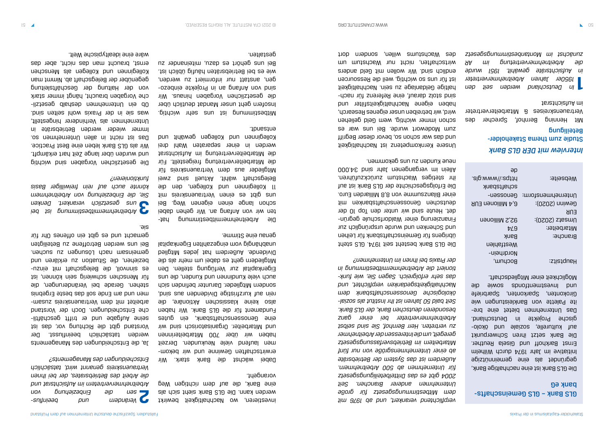### *Interview mit DER GLS Bank* Studie zum thema Stakeholder-Beteiligung

Mit Henning Bernhof, Sprecher des Vertrauenskreises & Mitarbeitervertreter im Aufsichtatet

GLS Bank - GLS Gemeinschaftsbank eG

**1** *In Deutschland werden seit den 1950er Jahren Arbeitnehmervertreter in Aufsichtsräte gewählt. 1951 wurde die Arbeitnehmervertretung im AR zunächst im Montanbestimmungsgesetz* 

Die GLS Bank ist eine nachhaltige Bank, gegründet als eine gemeinnützige Initiative im Jahr 1974 durch Wilhelm Ernst Barkhoff und Gisela Reuther. Die Bank setzt ihren Schwerpunkt - auf kulturelle, soziale und ökolo gische Projekte in Deutschland. Das Unternehmen pietet eine preite Palette von Bankleistungen wie Girokonten, Sparkonten, Sparbriefe und Investmentfonds sowie die

Möglichkeit einer Mitgliedschaft.

Hauptsitz: Pochum, Hauptsitz:

Die GLS Bank besteht seit 1974. GLS steht übrigens für Gemeinschaftsbank für Leihen und Schenken und wurde ursprünglich zur - Finanzierung einer Waldorfschule gegrün det. Heute sind wir unter den Top 10 der deutschen Genossenschaftsbanken mit einer Bilanzsumme von 8,8 Milliarden Euro. Die Erfolgsgeschichte der GLS Bank ist auf ihr stetiges Wachstum zurückzuführen. Allein im vergangenen Jahr sind 34.000 neue kunden zu uns gekommen.

Nordrhein-Westfahlen Branche: Bank Mitarbeiter: 674 92,2 Millionen Umsatz (2020):

Gewinn (2020): 6,4 Millionen EUR Unternehmensform: Genossenschaftsbank webseite: [https://www.gls.](https://www.gls.de/)

EUR

[de](https://www.gls.de/)

*verpflichtend verankert, und ab 1976 mit dem Mitbestimmungsgesetz für große Unternehmen anderer Branchen. Seit 2004 gibt es das Drittelbeteiligungsgesetz für Unternehmen ab 500 Arbeitnehmern. Außerdem ist das System der Betriebsräte ab einer Unternehmensgröße von nur fünf Mitarbeitern im Betriebsverfassungsgesetz geregelt, um die Interessen der Arbeitnehmer zu vertreten. Herr Bernhof, Sie sind selbst Arbeitnehmervertreter bei einer ganz besonderen deutschen Bank, der GLS Bank. Seit bald 50 Jahren ist Ihr Institut als sozialökologische Genossenschaftsbank dem Nachhaltigkeitsgedanken verpflichtet, und - das sehr erfolgreich. Sagen Sie, wie funk tioniert die Arbeitnehmermitbestimmung in der Praxis bei Ihnen im Unternehmen?*

Die Arbeitnehmermitbestimmung hatten wir von Anfang an. Wir gehen dabei schon lange einen eigenen Weg. Bei uns gibt es einen Vertrauenskreis mit 11 Kolleginnen und Kollegen, den die Belegschaft wählt. Aktuell sind zwei Mitglieder aus dem Vertrauenskreis für die Mitarbeitervertretung freigestellt. Für die Mitarbeitervertretung im Aufsichtsrat werden in einer separaten Wahl drei Kolleginnen und Kollegen gewählt und entsandt.

Unsere Kernkompetenz ist Nachhaltigkeit und das war schon so, bevor dieser Begriff zum Modewort wurde. Bei uns war es schon immer wichtig, wem Geld geliehen wird, wir betreiben unser eigenes Research, haben eigene Nachhaltigkeitsfilter und sind stolz darauf, eine Referenz für nachhaltige Geldanlage zu sein. Nachhaltigkeit ist für uns so wichtig, weil die Ressourcen endlich sind. Wir wollen mit Geld anders wirtschaften, nicht in Wachstum um des Wachstums willen, sondern dort

investieren, wo Nachhaltigkeit bewirkt werden kann. Die GLS Bank sieht sich als eine Bank, die auf dem richtigen Weg vorangeht.

Dabei wächst die Bank stark. Wir - erwirtschaften Gewinne und wir bekom men laufend viele Neukunden. Derzeit haben wir über 700 Mitarbeiterinnen und Mitarbeiter. Organisatorisch sind wir eine Genossenschaftsbank, ein gutes Fundament für die GLS Bank. Wir haben also keine klassischen Aktionäre, die rein auf kurzfristige Dividenden aus sind, sondern Mitglieder. Darunter befinden sich auch viele Kundinnen und Kunden, den en Eigenkapital zur Verfügung stellen. Den Mitgliedern geht es dabei um mehr als die Dividende. Außerdem hat jedes Mitglied unabhängig vom eingezahlten Eigenkapital genau eine Stimme.

Mitbestimmung ist uns sehr wichtig. Insofern geht unser Mandat deutlich über die gesetzlichen Vorgaben hinaus. Wir - sind von Anfang an in Projekte einbezo gen, anstatt nur informiert zu werden, wie es bei Betriebsräten häufig üblich ist. Bei uns gehört es dazu, miteinander zu gestalten.

**2** *- Verändern und beeinflus sen die Einbeziehung von Arbeitnehmervertretern im Aufsichtsrat und die Arbeit des Betriebsrates, der bei Ihnen Vertrauenskreis genannt wird, tatsächlich Entscheidungen des Managements?*

Ja, die Entscheidungen des Managements werden tatsächlich beeinflusst. Der Vorstand gibt die Richtung vor, das ist - seine Aufgabe und er trifft geschäftli che Entscheidungen. Doch der Vorstand arbeitet mit dem Vertrauenskreis zusammen und am Ende soll das beste Ergebnis stehen. Gerade bei Veränderungen, die für Menschen schwierig sein können, ist es zinnvoll, die Belegschaft mit einzubeziehen, die Situation zu erklären und gemeinsam nach rösungen zu zuegungen zu Bei uns werden Betroffene zu Beteiligten gemacht und es gibt ein offenes Ohr für sie.

**3** *Arbeitnehmermitbestimmung ist bei uns gesetzlich verankert. Denken Sie, die Einbeziehung von Arbeitnehmern könnte auch auf rein freiwilliger Basis funktionieren?*

Die gesetzlichen Vorgaben sind wichtig und wurden über lange Zeit hart erkämpft. Wir als GLS Bank leben eine Best Practice. Das ist nicht in allen Unternehmen so. Immer wieder werden Betriebsräte in Unternehmen als Verhinderer hingestellt, was sie in der Praxis wohl selten sind. - Ob ein Unternehmen deshalb gesetzli che Vorgaben braucht, hängt immer stark von der Haltung der Geschäftsleitung gegenüber der Belegschaft ab. Nimmt man Kolleginnen und Kollegen als Menschen ernst, braucht man das nicht, aber das wäre eine idealtypische Welt.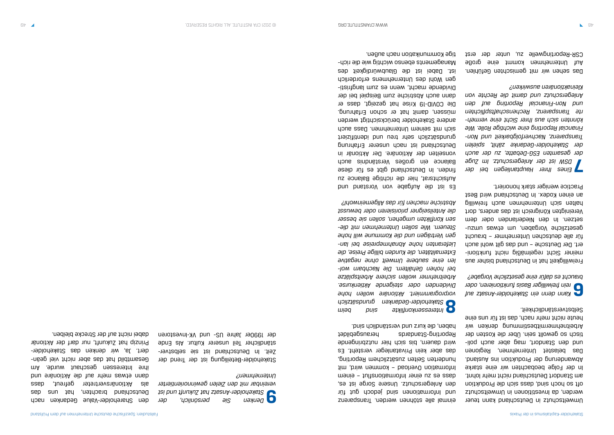Umweltschutz in Deutschland kann teuer werden, da Investitionen in Umweltschutz oft so hoch sind, dass sich die Produktion am Standort Deutschland nicht mehr lohnt. In der Folge beobachten wir eine starke Abwanderung der Produktion ins Ausland. Das belastet Unternehmen, Regionen - und den Standort, mag aber auch poli tisch so gewollt sein. Über die Kosten der Arbeitnehmermitbestimmung denken wir heute nicht mehr nach, das ist für uns eine Selbstverständlichkeit.

**6** *Kann denn ein Stakeholder-Ansatz auf rein freiwilliger Basis funktionieren, oder braucht es dafür eine gesetzliche Vorgabe?*

Freiwilligkeit hat in Deutschland bisher aus - meiner Sicht regelmäßig nicht funktioni ert. Der Deutsche – und das gilt wohl auch für alle deutschen Unternehmer – braucht gesetzliche Vorgaben, um etwas umzusetzen. In den Niederlanden oder dem Vereinigten Königreich ist das anders, dort halten sich Unternehmen auch freiwillig an einen Kodex. In Deutschland wird Best Practice weniger stark honoriert.

**7** *Eines Ihrer Hauptanliegen bei der DSW ist der Anlegerschutz. Im Zuge der gesamten ESG-Debatte, zu der auch der Stakeholder-Gedanke zählt, spielen Transparenz, Nachverfolgbarkeit und Non-Financial Reporting eine wichtige Rolle. Wie - könnten sich aus Ihrer Sicht eine vermeh rte Transparenz, Rechenschaftspflichten und Non-Financial Reporting auf den Anlegerschutz und damit die Rechte von Kleinaktionären auswirken?*

Das sehen wir mit gemischten Gefühlen. Auf Unternehmen kommt eine große CSR-Reportingwelle zu, unter der erst

einmal alle stöhnen werden. Transparenz und Informationen sind jedoch gut für den Anlegerschutz. Unsere Sorge ist es, dass es zu einer Informationsflut – einem Information Overload – kommen wird, mit hunderten Seiten zusätzlichem Reporting, das aber kein Privatanleger versteht. Es wird dauern, bis sich hier nutzbringende Reporting-Standards herausgebildet haben, die kurz und verständlich sind.

**8** *Interessenkonflikte sind beim Stakeholder-Gedanken grundsätzlich vorprogrammiert. Aktionäre wollen hohe Dividenden oder steigende Aktienkurse. Arbeitnehmer wollen sichere Arbeitsplätze - bei hohen Gehältern. Die Nachbarn wol len eine saubere Umwelt ohne negative Externalitäten, die Kunden billige Preise, die - Lieferanten hohe Abnahmepreise bei lan gen Verträgen und die Kommune will hohe - Steuern. Wie sollen Unternehmen mit die sen Konflikten umgehen, sollen sie besser die Anteilseigner priorisieren oder bewusst Abstriche machen für das Allgemeinwohl?*

Es ist die Aufgabe von Vorstand und Aufsichtsrat, hier die richtige Balance zu finden. In Deutschland gibt es für diese Balance ein großes Verständnis auch vonseiten der Aktionäre. Der Aktionär in Deutschland ist nach unserer Erfahrung grundsätzlich sehr treu und identifiziert sich mit seinem Unternehmen. Dass auch andere Stakeholder berücksichtigt werden müssen, damit hat er schon Erfahrung. Die COVID-19 Krise hat gezeigt, dass er dann auch Abstriche zum Beispiel bei der Dividende macht, wenn es zum langfristiging gen Wohl des Unternehmens erforderlich ist. Dabei ist die Glaubwürdigkeit des - Managements ebenso wichtig wie die rich tige Kommunikation nach außen.

**9** *Denken Sie persönlich, der Stakeholder-Ansatz hat Zukunft und ist vereinbar mit den Zielen gewinnorientierter Unternehmen?*

Stakeholder-Beteiligung ist der Trend der - Zeit. In Deutschland ist sie selbstver ständlicher Teil unserer Kultur. Als Ende der 1990er Jahre US- und VK-Investoren

den Shareholder-Value Gedanken nach Dentachland brachten, hat uns das als Aktionärsvertreter gefreut, dass dann etwas mehr auf die Aktionäre und ihre Interessen geschaut wurde. Am - Gesamtbild hat das aber nicht viel geän dert. Ja, wir denken das Stakeholder-Prinzip hat Zukunft, nur darf der Aktionär dabei nicht auf der Strecke bleiben.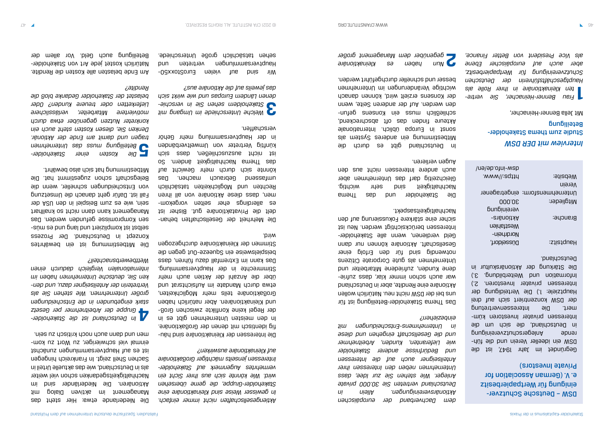*Interview mit DER DSW* Studie zum thema Stakeholder-Beteiligung

Mit Jella Benner-Heinacher,

DSM - Dentsche Schutzvereinigung für Wertpapierbesitz e. V. (German Association for Private Investors)

**1** *- Frau Benner-Heinacher, Sie vertre ten Kleinaktionäre in Ihrer Rolle als Hauptgeschäftsführerin der Deutschen Schutzvereinigung für Wertpapierbesitz, aber auch auf europäischer Ebene* 

*als Vice President von Better Finance,* 

Gegründet im Jahr 1947, ist die DSM ein ideeller Verein und die führende Anlegerschutzvereinigung in Deutschland, die sich um die - Interessen privater Investoren küm mert. Die Interessenvertretung der DSW konzentriert sich auf drei Hauptziele: 1.) Die Verteidigung der Interessen privater Investoren. 2.) Information und Weiterbildung. 3.) Die Stärkung der Aktionärskultur in Deutschland.

| :9ji2d9W                        | https://www. |
|---------------------------------|--------------|
| Nerein                          |              |
| Unternehmensform: eingetragener |              |
| Mitglieder:                     | 000.06       |
|                                 | paupinigung  |
| Branche:                        | -anänoityA   |
|                                 | Westfahlen   |
|                                 | Nordrhein-   |
| Haubtsitz:                      | Düzseldorf,  |

Die Stakeholder und das Thema Nachhaltigkeit sind sehr wichtig. Gleichzeitig darf das Unternehmen aber auch andere Interessen nicht aus den Augen verlieren. [dsw-info.de/en/](https://www.dsw-info.de/en/)

*dem Dachverband der europäischen Aktionärsvereinigungen. Allein in Deutschland vertreten Sie 30.000 private Anleger. Wie stehen Sie zur Idee, dass Unternehmen neben den Interessen ihrer Anteilseigner auch auf die Interessen und Bedürfnisse anderer Stakeholder wie Lieferanten, Kunden, Arbeitnehmer und die Gesellschaft eingehen und diese in Unternehmens-Entscheidungen mit einbeziehen?*

Das Thema Stakeholder-Beteiligung ist für uns bei der DSW nicht neu. Natürlich wollen Aktionäre eine Rendite, aber in Deutschland war auch schon immer klar, dass zufriedene Kunden, zufriedene Mitarbeiter und Unternehmen als gute Corporate Citizens notwendig sind für den Erfolg einer Gesellschaft. Aktionäre können nur dann Geld verdienen, wenn alle Stakeholder-Interessen berücksichtigt werden. Neu ist sicher eine stärkere Fokussierung auf den Nachhaltigkeitsaspekt.

Die Mehrheit der Gesellschaften behandelt die Privataktionäre gut. Bisher ist - es allerdings eher selten vorgekom men, dass diese Aktionäre von all ihren Rechten und Möglichkeiten tatsächlich umfassend Gebrauch machen. Das könnte sich durch mehr Gewicht auf das Thema Nachhaltigkeit ändern. So ist nicht auszuschlieben ausgen der künftig Vertreter von Umweltverbänden in der Hauptversammlung mehr Gehör verschaffen.

Wir sind auf vielen FriroStoxx50-Hauptversammlungen vertreten und sehen tatsächlich große Unterschiede.

Die Niederlande etwa: Hier steht das Management im aktiven Dialog mit Aktionären. Die Niederländer sind im Nachhaltigkeitsgedanken schon viel weiter als in Deutschland, wie das aktuelle Urteil in Sachen Shell zeigt. In Frankreich hingegen ist es auf Hauptversammlungen zunächst - einmal viel schwieriger, zu Wort zu kom men men gaun ancy kujizcy ar an auch the

In Deutschland gibt es durch die Mitbestimmung ein anderes System als sonst in Euroba üblich. Internationale Akteure finden das oft abschreckend, eunjab suasuoy uja ssnw yojigajiyos den werden. Auf der anderen Seite, wenn der Konsens erzielt wird, können danach wichtige Veränderungen im Unternehmen besser und schneller durchgeführt werden.

**2** *Nun haben es Kleinaktionäre gegenüber dem Management großer* 

*Aktiengesellschaften nicht immer einfach. In gewisser Weise sind Kleinaktionäre eine Stakeholder-Gruppe, die gerne übersehen wird. Wie könnte sich aus Ihrer Sicht ein vermehrtes Augenmerk auf Stakeholder-Interessen jenseits mächtiger Großaktionäre auf Kleinaktionäre auswirken?*

- Die Interessen der Kleinaktionäre sind häu fig identisch mit denen der Großaktionäre. In den meisten Unternehmen gibt es in der Regel keine Konflikte zwischen Großund Kleinaktionären. Aber natürlich haben Großaktionäre teils mehr Möglichkeiten, etwa durch Mandate im Aufsichtartsratu über die Anzahl der Aktien auch mehr Stimmrechte in der Hauptversammlung. Das kann im Extremfall dazu führen, dass beispielsweise ein Squeeze-Out gegen die Stimmen der Kleinaktionäre durchgezogen wird.

**3** *Welche Unterschiede im Umgang mit - Stakeholdern sehen Sie in verschie denen Ländern Europas und wie wirkt sich das jeweils auf die Aktionäre aus?*

**4** *In Deutschland ist die Stakeholder-Gruppe der Arbeitnehmer per Gesetz stark eingebunden in die Entscheidungen großer Unternehmen. Wie stehen Sie als - Vertreterin der Anteilseigner dazu, und den ken Sie, deutsche Unternehmen haben im internationalen Vergleich dadurch einen Wettbewerbsnachteil?*

Die Mitbestimmung ist ein bewährtes Konzept in Deutschland. Der Prozess selbst ist kompliziert und lang bun es puns sen Kompromisse gefunden werden. Das Management kann dann nicht so knallhart sein, wie es zum Beispiel in den USA der Fall ist. Dafür geht danach die Umsetzung von Entscheidungen schneller, wenn die Belegschaft schon zugestimmt hat. Die Mitbestimmung hat sich also bewährt.

**5** *Die Kosten einer Stakeholder-Beteiligung muss das Unternehmen tragen und damit am Ende der Aktionär. Denken Sie, diesen Kosten steht auch ein konkreter Nutzen gegenüber etwa durch motiviertere Mitarbeiter, verlässlichere Lieferketten oder treuere Kunden? Oder belastet der Stakeholder Gedanke bloß die Rendite?*

Am Ende belasten alle Kosten die Rendite. Natürlich kostet jede Art von Stakeholder-Beteiligung auch Geld. Vor allem der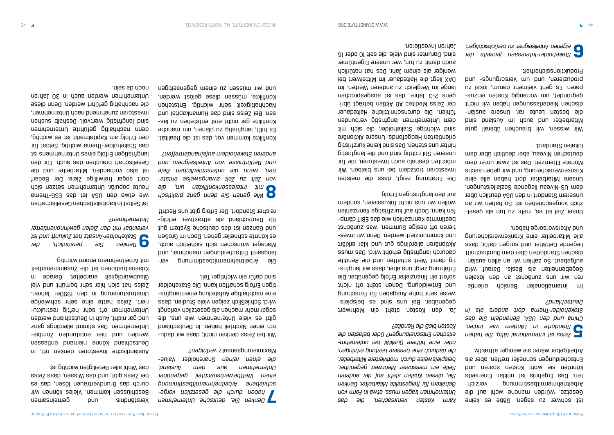ist schwer zu sagen. Gäbe es keine Gesetze, würden manche wohl auf die - Arbeitnehmermitbestimmung verzich ten. Das Ergebnis ist unklar. Einerseits könnten sie wohl Kosten sparen und Entscheidungen schneller treffen, aber als Arbeitgeber wären sie weniger attraktiv.

Im internationalen Bereich orientieren wir uns zunächst an den lokalen Gegebenheiten als Basis. Darauf wird aufgebaut. So zahlen wir an allen ausländischen Standorten über dem Durchschnitt liegende Gehälter und sorgen dafür, dass alle Mitarbeiter eine Krankenversicherung und Altersvorsorge haben.

**5** *Zeiss ist international tätig. Sie haben Standorte in Ländern wie Indien, China und den USA. Behandeln Sie das Stakeholder-Thema dort anders als in Deutschland?*

Unser Ziel ist es, mehr zu tun als gesetzlich vorgeschrieben ist. So haben wir an unserem Standort in den USA deutlich über dem US-Niveau liegende Sozialleistungen. Unsere Mitarbeiter dort haben alle eine Krankenversicherung, und wir geben sechs Monate Elternzeit. Das ist zwar unter dem deutschen Niveau, aber deutlich über dem lokalen Standard.

Wir wissen, wir brauchen überall gute Mitarbeiter und auch im Ausland sind - die besten Leute rar. Unsere auslän dischen Niederlassungen haben wir nicht - gegründet, um vorrangig Kosten einzus paren. Es geht vielmehr darum, lokal zu pun -sbunbuosuan un pun 'uauaiznpoud Produktionssicherheit.

**6** *Stakeholder-Interessen jenseits der eigenen Anteilseigner zu berücksichtigen,* 

*kann Kosten verursachen, die das Unternehmen tragen muss, etwa in Form von Gehältern für freigestellte Mitarbeiter. Denken Sie, diesen Kosten steht auf der anderen Seite ein messbarer Mehrwert gegenüber, beispielsweise durch motiviertere Mitarbeiter, die dadurch eine bessere Leistung erbringen, - oder eine höhere Qualität bei unternehm erischen Entscheidungen? Oder belasten die Kosten bloß die Rendite?*

Wir bei Zeiss denken nicht, dass wir dadurch einen Nachteil haben. In Deutschland gibt es viele Unternehmen wie uns, die sogar mehr machen als gesetzlich verlangt wird. Schließlich zeigen viele Studien, dass eine nachhaltige Aufstellung einen langfristigen Erfolg schaffen kann. Die Stakeholder sind dafür ein wichtiger Teil.

Die Arbeitnehmermitbestimmung verlangsamt Entscheidungen manchmal, und Manager wünschen sich sicherlich auch, es könnte schneller gehen. Doch im Großen und Ganzen ist das deutsche System gut - für Deutschland als attraktiver, erfolg reicher Standort. Der Erfolg gibt uns Recht!

Konflikte kommen vor, das ist die Realität. Es hilft, langfristig zu planen, um manche Konflikte gar nicht erst entstehen zu lassen. Bei Zeiss sind das Humankapital und Nachhaltigkeit sehr wichtig. Entstehen Konflikte, müssen diese gelöst werden, uəbinəsuəbəb wəulə nz uəssnu um pun

> Ja, den Kosten steht ein Mehrwert gegenüber. Bei uns sun es peispielsweise sehr hohe Ausgaben für Forschung und Entwicklung. Denen steht oft nicht sofort ein finanzieller Erfolg gegenüber. Die - Erfahrung zeigt uns aber, dass wir langfris tig damit Wert schaffen und die Rendite dadurch langfristig erhöht wird. Das muss Aktionären allerdings gut und klar erklärt - und kommuniziert werden. Denn wir inves tieren oft riesige Summen, was zunächst - bestimmte Kennzahlen wie das EBIT dämp fen kann. Doch auf kurzfristige Kennzahlen wollen wir uns nicht fokussieren, sondern auf den langfristigen Erfolg.

> Die Erfahrung zeigt, dass die meisten Investoren trotzdem bei uns bleiben. Wir möchten deshalb auch Investoren, die für unseren Stil richtig sind und die langfristig hinter uns stehen. Das sind keine kurzfristig orientierten Hedgefonds. Unsere Aktionäre sind wichtige Stakeholder, die sich mit dem Unternehmen langfristig verbunden fühlen. Die durchschnittliche Haltedauer - der Zeiss Meditec AG Aktien beträgt übri gens 2-3 Jahre, das ist ausgesprochen lange im Vergleich zu anderen Werten. Im DAX liegt die Haltedauer im Mittelwert bei weniger als einem Jahr. Das hat natürlich auch damit zu tun, wer unsere Eigentümer sind. Darunter sind viele, die seit 10 oder 15 Jahren investieren.

**7** *Denken Sie, deutsche Unternehmen - haben durch die gesetzlich vorge schriebene Arbeitnehmermitbestimmung einen Wettbewerbsnachteil gegenüber Unternehmen aus dem Ausland,*  Shareholder Value- *die einen reinen verfolgen?* Maximierungsansatz

**8** *Wie gehen Sie denn ganz praktisch mit Interessenkonflikten um, die - von Zeit zu Zeit zwangsweise entste hen, wenn die unterschiedlichen Ziele und Bedürfnisse von Anteilseignern und anderen Stakeholdern aufeinandertreffen?*

Verständnis und gemeinsamen Beschlüssen kommen. Vieles können wir durch das Grundvertrauen lösen, das es bei Zeiss gibt, und das Wissen, dass Zeiss das Wohl aller Beteiligten wichtig ist.

Ausländische Investoren denken oft, in Deutschland könne niemand entlassen werden und hier entstünden Zombie-Unternehmen. Das stimmt allerdings ganz und gar nicht. Auch in Deutschland werden - Unternehmen oft sehr heftig restruktu riert. Zeiss hatte eine sehr schwierige Umstrukturierung in den 1990er Jahren. Zeiss hat sich hier sehr bemüht und viel Glaubwürdigkeit erarbeitet. Gerade in Krisensituationen ist die Zusammenarbeit mit Arbeitnehmern enorm wichtig.

**9** *Denken Sie persönlich, der Stakeholder-Ansatz hat Zukunft und ist vereinbar mit den Zielen gewinnorientierter Unternehmen?*

Ja! Selbst in kapitalistischen Gesellschaften wie etwa den USA ist das ESG-Thema heute populär. Unternehmen setzen sich dort sogar freiwillige Ziele. Der Bedarf ist also vorhanden. Mitarbeiter und die Gesellschaft brauchen das auch. Für den langfristigen Erfolg eines Unternehmens ist das Stakeholder-Thema wichtig. Selbst für den Erfolg am Kapitalmarkt ist es wichtig, denn nachhaltig geführte Unternehmen sind langfristig wertvoll. Deshalb suchen Investoren zunehmend nach Unternehmen, die nachhaltig geführt werden. Denn diese Unternehmen werden auch in 30 Jahren noch da sein.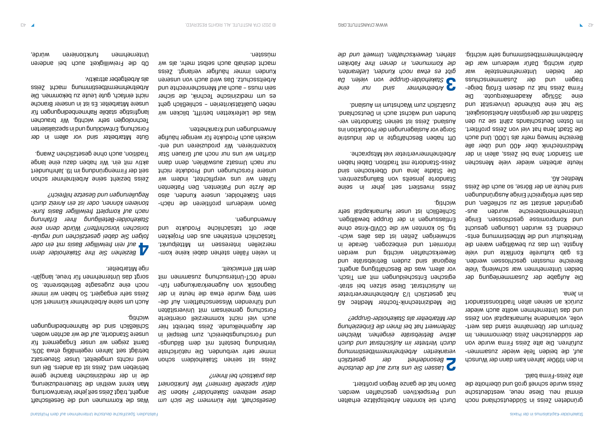gründeten Zeiss in Süddeutschland noch einmal neu. Diese neue, westdeutsche Zeiss wurde schnell groß und überholte die alte Zeiss-Firma bald.

In den 1990er Jahren kam dann der Wunsch - auf, die beiden Teile wieder zusammen zuführen. Die alte Zeiss Firma wurde von der sügernabungen Zeise üpernommen. Im under Zentrum der Ubernahme stand das wertvolle, vorhandene Humankapital von Zeiss und das Unternehmen wollte auch wieder zurück an seinen alten Traditionsstandort in Jena.

Die Aufgabe der Zusammenlegung der beiden Unternehmen war schwierig. Viele Bereiche mussten geschlossen werden. Es gab kulturelle Konflikte und viele Angste. Um das zu bewältigen waren die Wertekultur und die Mitbestimmung entscheidend. Es wurden Lösungen gesucht und Kompromisse geschlossen. Einige Unternehmensbereiche wurden susgegründet anstatt sie zu schließen, und das sehr erfolgreich! Einige Ausgründungen sind heute an der Börse, so auch die Zeiss Meditec AG.

Oft haben Beschäftigte in der Industrie Sorge vor Auslagerungen der Produktion ins Ausland. Zeise ist seinen Standorten verbunden und wächst auch in Dentschland. Zusätzlich wachstum im Ausland.

Heute arbeiten wieder viele Menschen am Standort Jena bei Zeiss, allein in der Medizintechnik über 400 und über alle Bereiche hinweg mehr als 1.000. Und auch die Stadt Jena hat viel von Zeiss profitiert. Im Dafeu Deutschlaube zu den den zu den Städten mit der geringsten Arbeitslosigkeit. Sie hat eine plühende Universität und eine 35%ige Akademikerquote. Die - Firma Zeiss hat zu diesem Erfolg beige tragen nun deprodumenten und der Zusahlungsen der beiden Unternehmensteile war dafür wichtig. Dafür wiederum war die Arbeitnehmermitbestimmung sehr wichtig.

Durch sie konnten Arbeitsplätze erhalten und Perspektiven geschaffen werden. Davon hat die ganze Region profitiert.

**2** *Lassen Sie uns kurz auf die deutsche Besonderheit der gesetzlich verankerten Arbeitnehmermitbestimmung durch Vertreter im Aufsichtsrat und durch aktive Betriebsräte eingehen. Welchen Stellenwert hat bei Ihnen die Einbeziehung der Mitarbeiter als Stakeholder-Gruppe?*

In vielen Fällen stehen dabei keine kommerziellen Interessen im Mittelpunkt. Tatsächlich entstehen aus den Projekten aber oft tatsächliche Produkte und Anwendungen.

Davon wiederum brofitieren die nächsten Stakeholder, unsere Kunden, also die Ärzte und Patienten. Den Patienten fühlen wir uns verpflichtet, indem wir unsere Forschungen und Produkte nicht nur nach Umsatz auswählen, den dauen und dürften wir uns nur noch auf Grauen Star konzentrieren. Wir produzieren und entwickeln auch Produkte für weniger häufige Anwendungen und Krankheiten.

Die Medizintechnik-Tochter Meditec AG hat gesetzlich 1/3 Arbeitnehmervertreter im Aufsichtsrat. Diese strate in die strategischen Entscheidungen mit am Tisch, vor allem, was die Beschäftigung angeht. Regional sind zudem Betriebsräte und Gewerkschaften wichtig und werden informiert und einbezogen. Gerade in schwierigen Zeiten ist das alle selle and tig. So konnten wir die COVID-Krise ohne Entlassungen in der Gruppe bewältigen. Schließlich ist unser Humankapital sehr wichtig.

Zeiss investiert seit jeher in seine Standorte jenseits von Ballungszentren. Die Städte Jena und Oberkochen sind Zeiss-Standorte mit Tradition. Dabei haben Arbeitnehmervertreter viel Mitsprache.

Ob die Freiwilligkeit auch bei anderen Unternehmen funktionieren würde,

**3** *Arbeitnehmer sind nur eine Stakeholder-Gruppe von vielen. Da gibt es etwa noch Kunden, Lieferanten, die Kommunen, in denen Ihre Fabriken stehen, Gewerkschaften, Umwelt und die* 

*Gesellschaft. Wie kümmern Sie sich um diese weiteren Stakeholder? Haben Sie dafür spezielle Gremien? Wie funktioniert das praktisch bei Ihnen?*

Zeiss ist seinen Stakeholdern schon immer sehr verbunden. Die natürlichste Verbindung besteht mit dem Bildungsund Forschungsbereich, zum Beispiel in der Augenheilkunde. Zeiss betreibt hier auch viel nicht kommerziell orientierte Forschung gemeinsam mit Universitäten und führenden Wissenschaftlerung und diesem Weg wurde etwa die heute in der Diagnostik von Augenerkrankungen führende OCT-Untersuchung zusammen mit dem MIT entwickelt.

Was die Lieferketten betrifft, blicken wir neben Qualitätskriterien – schließlich geht es um medizinische Technik, die sicher sein muss – and wan auf Menschenrechte und Arbeitsschutz. Das wird auch von unseren Kunden immer häufiger verlangt. Zeiss macht deshalb auch selbst mehr, als wir müssten.

Was die Kommunen und die Gesellschaft angeht, trägt Zeiss seit jeher Verantwortung. Man kennt weithin die Steuerreduzierung, die in der medizinischen Branche gerne betrieben wird. Zeiss ist da anders. Bei uns wird nichts umgeleitet. Unser Steuersatz beträgt seit Jahren regelmäßig etwa 30%. Damit zeigen wir unser Engagement für unsere Standorte, auf die wir achten wollen. Schließlich sind die Rahmenbedingungen wichtig.

Auch um seine Arbeitnehmer kümmert sich Zeiss sehr engagiert. So haben wir immer noch eine zugesagte Betriebsrente. So - sorgt das Unternehmen für treue, langjäh rige Mitarbeiter.

**4** *Beziehen Sie Ihre Stakeholder denn auf rein freiwilliger Basis mit ein oder - folgen Sie dabei gesetzlichen und regula torischen Vorschriften? Würde denn eine Stakeholder-Beteiligung Ihrer Erfahrung - nach auf komplett freiwilliger Basis funk tionieren können, oder ist ein Anreiz durch Regulierungen und Gesetze hilfreich?*

Zeiss bezieht seine Arbeitnehmer schon seit der Firmengründung im 19. Jahrhundert aktiv mit ein. Wir haben dazu eine lange Tradition, auch ohne gesetzlichen Zwang.

Gute Mitarbeiter sind vor allem in der Forschung, Entwicklung und in spezialisierten Technologien sehr wichtig. Wir brauchen langfristige stabile Rahmenbedingungen für unsere Mitarbeiter. Es ist in unserer Branche nicht einfach, gute Leute zu bekommen. Die Arbeitnehmermitbestimmung macht Zeiss als Arbeitgeber attraktiv.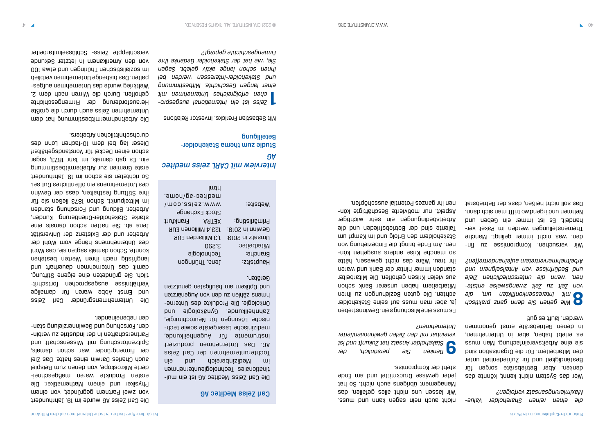*die einen reinen Shareholder Value-Maximierungsansatz verfolgen?*

Wer das System nicht kennt, könnte das denken. Aber Betriebsräte sorgen für Beständigkeit und für Zufriedenheit unter den Mitarbeitern. Für die Organisation sind sie eine Arbeitsvereinfachung. Man muss es erlebt haben, aber in Unternehmen, in denen Betriebsräte ernst genommen werden, läuft es gut!

Wir versuchen, Kompromisse zu finden, was nicht immer gelingt. Manche - Themenstellungen werden im Paket ver handelt. Es ist immer ein Geben und Nehmen und irgendwo trifft man sich dann. Das soll nicht heißen, dass der Betriebsrat

**8** *Wie gehen Sie denn ganz praktisch mit Interessenkonflikten um, die - von Zeit zu Zeit zwangsweise entste hen, wenn die unterschiedlichen Ziele und Bedürfnisse von Anteilseignern und Arbeitnehmervertretern aufeinandertreffen?*

Studie zum thema Stakeholder-Beteiligung

> nicht auch nein sagen kann und muss. Wir lassen uns ungig alles defallen, das Management übrigens auch nicht. So hat jeder gewisse Druckmittel und am Ende steht der Kompromiss.

**9** *Denken Sie persönlich, der Stakeholder-Ansatz hat Zukunft und ist vereinbar mit den Zielen gewinnorientierter Unternehmen?*

Die Carl Zeiss Meditec AG ist ein multinationales Technologieunternehmen im Medizibach und ein Tochterunternehmen der Carl Zeiss AG. Das Unternehmen produziert Instrumente für Augenheilkunde, medizinische Lasergeräte sowie technische Lösungen für Neurochirurgie, Zahnheilkunde<sup>,</sup> Gynäkologie nud - Onkologie. Die Produkte des Unterne happer zu den von den von zu den zu den zu den zu den zu august und Optikern am häufigsten genutzten Geräten.

auch Charles Darwin eines hatte. Das Ziel der Firmengründer war schon damals, Spitzenforschung mit Wissenschaft und Partnerschaften in der Industrie zu verbinden. Forschung und Gewinnerzielung stan-Die Unternehmensgründer Carl Zeiss und Ernst Abbe waren für damalige Verhältnisse ausgesprochen fortschrittlich. Sie gründeten eine eigene Stiftung,

Es muss eine Mischung sein. Gewinnstreben ja, aber man muss auf seine Stakeholder achten. Die guten Beziehungen zu ihren Mitarbeitern haben unserer Bank schon aus vielen Krisen geholfen. Die Mitarbeiter standen immer hinter der Bank und waren ihr treu. Wäre das nicht gewesen, hätte - so manche Krise anders ausgehen kön nen. Am Ende bringt die Einbeziehung von Stakeholdern den Erfolg und im Kampf um Talente sind der Betriebsfrieden und die Arbeitsbedingungen ein sehr wichtiger - Aspekt, nur motivierte Beschäftigte kön nen ihr ganzes Potential ausschöpfen.

### *Interview mit CARL zeiss meditec AG*

Mit Sebastian Frericks, Investor Relations

damit das Unternehmen danerhaft und langfristig nach ihren Werten bestehen konnte. Schon damals sagten sie, das Wohl des Unternehmens hänge vom Wohl der Arbeiter und der Existenz der Universität Jena ab. Sie hatten schon damals eine starke Stakeholder-Orientierung. Kunden, Arbeiter, Bildung und Forschung standen im Mittelpunkt. Schon 1873 ließen sie für ihre Stiftung festhalten, dass der Gewinn des Jub zeholltnehre der Schentliches Gut sei. So richteten sie schon im 19. Jahrhundert erste Gremien zur Arbeitermitbestimmung ein. Es gab damals, im Jahr 1873, sogar schon einen Deckel für Vorstandsgehälter! Dieser lag bei dem 10-fachen Lohn des durchschnittlichen Arbeiters.

**1** *- Zeiss ist ein international ausgespro chen erfolgreiches Unternehmen mit einer langen Geschichte. Mitbestimmung und Stakeholder-Interessen werden bei Ihnen schon lange aktiv gelebt. Sagen Sie, wie hat der Stakeholder Gedanke Ihre Firmengeschichte geprägt?*

### Carl Zeiss Meditec AG

| լաւկ                        |                 |
|-----------------------------|-----------------|
| .əmod\pe-291ibəm            |                 |
| / W O J S S I J Z ' M M M   | :9ji2d9W        |
| Stock Exchange              |                 |
| Frankfurt<br><b>ARTRA</b>   | :prijailišming  |
| <b>RU3 nenoilliM 4, SSI</b> | :elOS ni nniwe∂ |
| <b>RUE mabriolism E.UR</b>  | Umsatz in 2019: |
| 3.290                       | : 191i9d asiM   |
| <b>Technologie</b>          | Branche:        |
| nena, Thüringen             | Hauptsitz:      |

Die Carl Zeiss AG wurde im 19. Jahrhundert von zwei Partnern gegründet, von einem

Physiker und einem Mathematiker. Die - ersten Produkte waren maßgeschnei derte Mikroskope, von denen zum Beispiel den nebeneinander.

### Die Arbeitnehmermitbestimmung hat dem Unternehmen Zeiss auch durch die größte Herausforderung der Firmengeschichte geholfen. Durch die Wirren nach dem 2. Weltkrieg wurde das Unternehmen aufgespalten. Das bisherige Unternehmen verblieb im sozialistischen Thüringen und etwa 100 von den Amerikanern in letzter Sekunde verschleppte Zeiss- Schlüsselmitarbeiter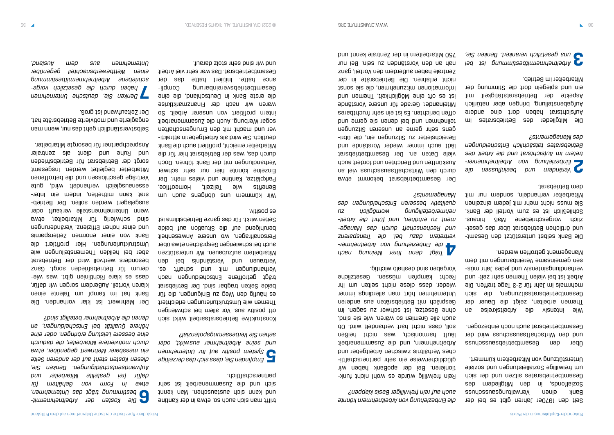Seit den 1970er Jahren gibt es bei der Bank einen Verwaltungsausschuss Sozialfonds, in den Mitgliedern des Gesamtbetriebsrates sitzen und der sich um freiwillige Sozialleistungen und soziale Unterstützung von Mitarbeitern kümmert.

Über den Gesamtbetriebsausschuss und den Wirtschaftsausschuss wird der Gesamtbetriebsrat auch noch einbezogen.

Wie intensiv die Arbeitskreise an Themen arbeiten, zeigt die Dauer der Gesamtbetriebsratssitzungen, die sich mehrmals im Jahr für 2-3 Tage treffen. Die Arbeit ist bei vielen Themen sehr zeit- und - snu uuer sapal pun visuatuis punhandan sen gemeinsame Vereinbarungen mit dem Management getroffen werden.

Die Bank selbst unterstützt den Gesamt- - und örtlichen Betriebsrat über das geset zlich vorgeschriebene Maß hinaus. Schließlich ist es zum Vorteil der Bank. Sie mehr mehr mit jedem einzelnen Mitarbeiter verhandeln, sondern nur mit dem Betriebsrat.

Rein freiwillig würde es wohl nicht funktionieren. Bei der apoBank haben wir - glücklicherweise ein sehr partnerschaftli ches Verhältnis zwischen Arbeitgeber und Arbeitnehmern, und die Zusammenarbeit läuft harmonisch, was nicht heißen soll, dass nicht hart verhandelt wird. Ob auch alle Gremien so wären, wie sie sind, ohne Gesetze, ist schwer zu sagen. Im Gespräch mit Betriebsräten aus anderen Unternehmen hört man allerdings immer wieder, dass diese nicht selten um ihr Recht kämpfen müssen. Gesetzliche Vorgaben sind deshalb wichtig. **2** *Verändern und beeinflussen die - Einbeziehung von Arbeitnehmerver tretern im Aufsichtsrat und die Arbeit des Betriebsrates tatsächlich Entscheidungen des Managements?*

Die Mitglieder des Betriebsrates im Aufsichtsrat haben dort eine andere Aufgabenstellung, bringen aber natürlich Aspekte der Betriebsratstätigkeit mit ein und spiegeln dort die Stimmung der Mitarbeiter im Betrieb.

**3** *Arbeitnehmermitbestimmung ist bei uns gesetzlich verankert. Denken Sie,* 

*die Einbeziehung von Arbeitnehmern könnte auch auf rein freiwilliger Basis klappen?*

Wir kümmern uns übrigens auch um Benefits wie Teilzeit, Homeoffice, Parkplätze, Kantine und vieles mehr. Der Einzelne könnte hier nur sehr schwer Verhandlungen mit der Bank führen. Doch durch das, was der Betriebsrat hier für die Mitarbeiter erreicht, profitiert auch die Bank - deutlich. Sie wird als Arbeitgeberin attrakti ver und macht mit den Errungenschaften sogar Werbung. Auch die Zusammenarbeit intern profitiert von unserer Arbeit. So waren wir nach der Finanzmarktkrise die erste Bank in Deutschland, die eine - Gesamtbetriebsvereinbarung Compli ance hatte. Initiiert hatte das der Gesamtbetriebsrat. Das war sehr viel Arbeit und wir sind sehr stolz darauf.

**4** *Trägt denn Ihrer Meinung nach - die Einbeziehung von Arbeitnehmer tretern dazu bei, die Transparenz ver - und Rechenschaft durch das Manage - ment zu erhöhen, und führt die Arbeit nehmerbeteiligung womöglich zu tativ besseren Entscheidungen des quali Managements?*

Der Gesamtbetriebsrat bekommt etwa durch den Wirtschaftsausschuss viel an Auskünften und Berichten und fordert auch viele Daten an. Der Gesamtbetriebsrat lädt auch immer wieder Vorstände und Bereichsleiter zu Sitzungen ein, die übrigens sehr gerne an unseren Sitzungen teilnehmen nun gernen sie geune und pun offen berichten. Es ist ein sehr fruchtbares Miteinander. Gerade für unsere Vorstände ist es oft eine Möglichkeit, Themen und Informationen mitzunehmen, die sie sonst nicht erfahren. Die Betriebsräte in der Zentrale haben außerdem den Vorteil, ganz nah an den Vorständen zu sein. Bei nur 750 Mitarbeitern in der Zentrale kennt und

trifft man sich auch so, etwa in der Kantine und kann sich austauschen. Man kennt sich und die Zuzamuenzeit ist sehr ausgehen partnerschaftlich.

**5** *Empfinden Sie, dass sich das derzeitige System positiv auf Ihr Unternehmen und seine Arbeitnehmer auswirkt, oder sehen Sie Verbesserungspotenzial?*

Konstruktive Betriebsratsarbeit wirkt sich oft positiv aus. Vor allem bei schwierigen Themen wie Umstrukturierungen erleichtert es pantid den med Einidnusgen, die tür beide Seiten tragbar sind. Der Betriebsrat trägt getroffene Entscheidungen nach Verhandlungen mit und schafft es, Vertrauen und Verständnis bei den Mitarbeitern aufzubauen. Wir unterstützen auch bei schwierigen Gesprächen etwa über Personalfragen, wo unsere Anwesenheit beruhigend auf die Situation auf beide Seiten wirkt. Für das ganze Betriebsklima ist es positiv.

**6** *- Die Kosten der Arbeitnehmermit bestimmung trägt das Unternehmen, etwa in Form von Gehältern für dafür frei gestellte Mitarbeiter und Aufwandsentschädigungen. Denken Sie, diesen Kosten steht auf der anderen Seite ein messbarer Mehrwert gegenüber, etwa durch motiviertere Mitarbeiter, die dadurch eine bessere Leistung erbringen, oder eine höhere Qualität bei Entscheidungen, an denen die Arbeitnehmer beteiligt sind?*

Der Mehrwert ist klar vorhanden. Die Bank hat im Kampf um Talente einen klaren Vorteil. Außerdem sorgen wir dafür, dass es klare Richtlinien gibt, was wiederum für Betriebsfrieden sorgt. Ganz besonders wertvoll wird der Betriebsrat aber bei heiklen Themenstellungen wie Umstrukturierungen. Hier profitiert die Bank von einer enormen Zeitersparnis und einer hohen Effizienz. Veränderungen sind schwierig für Mitarbeiter, etwa wenn Unternehmensteile verkauft oder - ausgelagert werden sollen. Der Betrieb srat kann mithelfen, indem ein Interessenausgleich verhandelt wird, gute Verträge geschlossen und die betroffenen Mitarbeiter begleitet werden. Insgesamt sorgt der Betriebsrat für Betriebsfrieden und Ruhe und dient als zentraler Ansprechpartner für besorgte Mitarbeiter.

Selbstverständlich geht das nur, wenn man engagierte und motivierte Betriebsräte hat. Der Zeitaufwand ist groß.

**7** *Denken Sie, deutsche Unternehmen - haben durch die gesetzlich vorge schriebene Arbeitnehmermitbestimmung einen Wettbewerbsnachteil gegenüber Unternehmen aus dem Ausland,*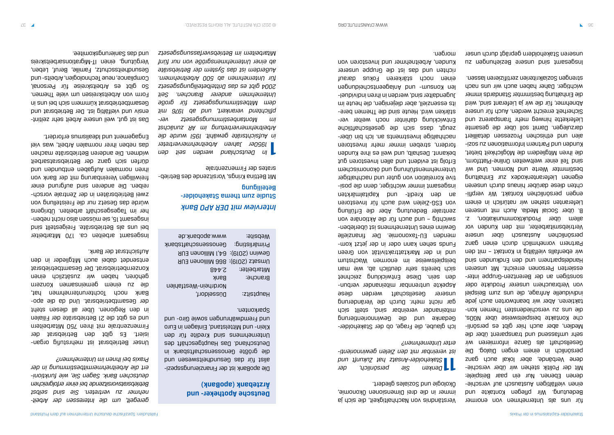für uns als Unternehmen von enormer Bedeutung. Wir pflegen Kontakte und - einen vielfältigen Austausch auf verschie denen Ebenen. Nur ein paar Beispiele: - Mit der Politik stehen wir über verschie dene Verbände, aber lokal auch ganz persönlich in einem engen Dialog. Die Gesellschaft als Ganze informieren wir sehr umfassend und transparent über die - Medien, aber auch hier gibt es persönli che Kontakte beispielsweise über NGOs, die uns zn verscpiedensten Themen kontaktieren. Aber wir beantworten auch jede individuelle Anfrage, die uns zum Beispiel von Verbrauchern unserer Produkte oder - sonstigen an der Berentzen-Gruppe inter essierten Personen erreicht. Mit unseren Handelspartnern und den Eudwahnen sunder wir ebenfalls vielfältig in Kontakt – mit den Partnern vornehmlich durch einen ganz persönlichen Austausch über unsere Vertriebsmitarbeiter, mit den Kunden vor allem über Produktkommunikation, z.

Inz uabunyaizag alasun puis twesabsul unseren Stakeholdern geprägt durch unser

B. über Social Media. Auch mit unseren Lieferanten stehen wir natürlich in einem - engen persönlichen Kontakt. Wir verpfli chten diese darüber hinaus durch unseren eigenen Lieferantenkodex zur Einhaltung bestimmter Werte und Normen. Und wir sind Teil einer weltweiten Online-Plattform, die ihren Mitgliedern die Möglichkeit bietet, kunden und Partnern Informationen zu sozialen und ethischen Prozessen detailliert darzulegen. Damit soll über die gesamte Lieferkette hinweg mehr Transparenz und Sicherheit erreicht werden. Auch für unsere Abnehmer, für die wir ja Lieferant sind, wird die Einhaltung bestimmter Standards immer wichtiger. Daher haben auch wir uns nach strengen Sozialkriterien zertifizieren lassen.

### *Interview mit DER APO Bank* Studie zum thema Stakeholder-Beteiligung

Verständnis von Nachhaltigkeit, die sich ja immer in die drei Dimensionen Ökonomie, Ökologie und Soziales gliedert.

**11** *Denken Sie persönlich, der Stakeholder-Ansatz hat Zukunft und - ist vereinbar mit den Zielen gewinnorienti erter Unternehmen?*

Ich glaube, die Frage, ob der Stakeholder-Gedanke und die Gewinnorientierung miteinander vereinbar sind, stellt sich gar nicht mehr. Durch die Veränderung unserer Gesellschaft werden diese - Aspekte untrennbar miteinander verbun den sein. Diese Entwicklung zeichnet sich bereits sehr deutlich ab, wie man beispielsweise im enormen Wachstum und in der Marktattraktivität von Green Funds sehen kann oder in der jetzt kommenden EU-Taxonomie. Der finanzielle Gewinn eines Unternehmens ist überlebenswichtig – und auch für die Aktionäre von zentraler Bedeutung. Aber die Erfüllung von ESG-Zielen wird auch für Investoren an den Kredit- und Kapitalmärkten - insgesamt immer wichtiger, denn die posi tive Korrelation von guter und nachhaltiger Unternehmensführung und eine der deuternehmen Erfolg ist evident und allen Investoren gut bekannt. Deshalb, und weil es ihre Kunden fordern, streben immer mehr Investoren nachhaltige Investments an. Ich did mehrzeugt, dass sich die gesellschaftliche - Entwicklung dahinter noch weiter ver stärken wird. Heute sind die Themen bereits essenziell, aber diejenigen, die heute im - Jugendalter sind, werden in ihren individuel len Konsum- nun anlageutenscheiden einen noch stärkeren Fokus darauf richten und das ist die Gruppe unserer Kunden, Arbeitnehmer und Investoren von morgen.

Das ist gut, weil unsere Arbeit sehr zeitintensiv und vielfältig ist. Der Betriebsrat und Gesamtbetriebsrat kümmern sich bei uns in Form von Arbeitskreisen um viele Themen. So gibt es Arbeitskreise für Personal, Compliance, neue Technologien, Arbeits- und Gesundheitsschutz, Familie, Beruf, Leben, Vergütung, einen IT-Migrationsarbeitskreis und das Sanierungskomitee.

> - Mit Bettina Krings, Vorsitzende des Betrieb srates der Firmenzentrale

**1** *In Deutschland werden seit den 1950er Jahren Arbeitnehmervertreter in Aufsichtsräte gewählt. 1951 wurde die Arbeitnehmervertretung im AR zunächst - im Montanbestimmungsgesetz ver pflichtend verankert, und ab 1976 mit dem Mitbestimmungsgesetz für große Unternehmen anderer Branchen. Seit 2004 gibt es das Drittelbeteiligungsgesetz für Unternehmen ab 500 Arbeitnehmern. Außerdem ist das System der Betriebsräte ab einer Unternehmensgröße von nur fünf Mitarbeitern im Betriebsverfassungsgesetz* 

### **Deutsche Apotheker- und (apoBank) Ärztebank**

- Die apoBank ist der Finanzierungsspezi alist für das Geaubausen und aus der den der die größte Genossenschaftsbank in Deutschland. Das Hauptgeschäft des Unternehmens sind Kredite für den Klein- und Mittelstand, Einlagen in Euro und Fremdwährungen sowie Giro- und Sparkonten.

| :9ji2d9W       | 9b. Anadoga.www                   |
|----------------|-----------------------------------|
| :prijsilišming | <b>Senosseuschattsbank</b>        |
|                | Gewinn (2019): 64,1 Millionen EUR |
|                | Umsatz (2019): 866 Millionen EUR  |
| : 191i9d asiM  | 2.448                             |
| Branche:       | <b>Bank</b>                       |
|                | Nordrhein-Westfahlen              |
| Haubtsitz:     | Düzseldorf,                       |

*- geregelt, um die Interessen der Arbeit nehmer zu vertreten. Sie sind selbst reichen Betriebsratsvorsitzende bei einer erfolg - deutschen Bank. Sagen Sie, wie funktioni ert die Arbeitnehmermitbestimmung in der Praxis bei Ihnen im Unternehmen?*

- Unser Betriebsrat ist mehrstufig organ isiert. Es gibt den Betriebsrat der Firmenzentrale mit ihren 750 Mitarbeitern und es gibt die 21 Betriebsräte der Filialen in den Regionen. Über all diesen steht - der Gesamtbetriebsrat. Und da die apo Bank noch Tochterunternehmen hat, die zu einem gemeinsamen Konzern gehören, haben wir zusätzlich einen Konzernbetriebsrat. Der Gesamtbetriebsrat entsendet dabei auch Mitglieder in den Aufsichtsrat der Bank.

Insgesamt arbeiten ca. 170 Mitarbeiter bei uns als Betriebsräte. Freigestellt sind - insgesamt 15, sie müssen also nicht neben her im Tagesgeschäft arbeiten. Übrigens würde das Gesetz nur die Freistellung von zwei Betriebsräten in der Zentrale vorschreiben. Die anderen sind aufgrund einer freiwilligen Vereinbarung mit der Bank von bruu nopundting nodeptuA nolemnon nordi dürfen sich ganz der Betriebsratsarbeit widmen. Die anderen Betriebsräte machen das neben ihrer normalen Arbeit, was viel Engagement und Idealismus erfordert.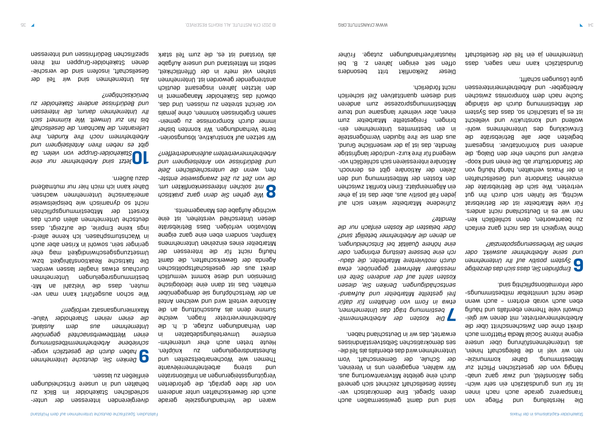Die Herstellung und Pflege von Transparenz derade auch nach inder - ist für uns grundsätzlich ein sehr wich tiges Aktionsteld, und zwar ganz unaphängig von der gesetzlichen Pflicht zur Mitbestimmung. Daher kommunizieren wir viel in die Belegschaft hinein, als Unternehmensführung über unsere eigene interne Social Media Plattform auch direkt ohne den Zwischenschritt über die - Arbeitnehmervertreter, mit denen wir glei chwohl viele Themen ebenfalls und häufig eben auch vorab erörtern – auch wenn diese nicht unmittelbar mitbestimmungs-

oder informationspflichtig sind.

Ohne Vergleich ist das nicht ganz einfach zn peautworten, denn schließlich kennen wir es in Deutschland nicht anders. Für viele Mitarbeiter ist der Betriebsrat wichtig, sie fühlen sich durch ihn gut vertreten. Wie sich die Betriebsräte der einzelnen Ztandorte nud Gesellzchaften in der Praxis verhalten, hängt häufig von - der Standortkultur ab. Die einen sind koop erativer und suchen eher den Dialog, die anderen sind konfrontativer. Insgesamt begleiten aber alle Betriebsräte die Entwicklung des Nufernehmens wohlwollend und konstruktiv und vielleicht ist es ja tatsächlich so, dass das System der Mitbestimmung durch die ständige Suche nach dem Kompuss zwischen dem Arbeitgeber- und Arbeitnehmerinteressen gute Lösungen schafft.

**6** *Empfinden Sie, dass sich das derzeitige System positiv auf Ihr Unternehmen und seine Arbeitnehmer auswirkt, oder sehen Sie Verbesserungspotenzial?*

sind und damit Gewissermaken auch auch - deren Spiegel. Eine demokratisch ver fasste Gesellschaft zeichnet sich generell durch eine gelebte Mitverantwortung aus. Wir wählen, engagieren uns in Vereinen, der Schule, der Gemeinschaft. Vom Unternehmen wird das epenfalls als Teil dieses demokratischen Selbstverständnisses erwartet, das wir in Deutschland haben. Grundsätzlich kann man sagen, dass Unternehmen ja ein Teil der Gesellschaft

**7** *- Die Kosten der Arbeitnehmermit bestimmung trägt das Unternehmen, etwa in Form von Gehältern für dafür - frei gestellte Mitarbeiter und Aufwand sentschädigungen. Denken Sie, diesen Kosten steht auf der anderen Seite ein messbarer Mehrwert gegenüber, etwa - durch motiviertere Mitarbeiter, die dadu rch eine bessere Leistung erbringen, oder eine höhere Qualität bei Entscheidungen, an denen die Arbeitnehmer beteiligt sind? Oder belasten die Kosten einfach nur die Rendite?*

- Wie schon ausgeführt kann man ver -tiM ns Intesleiv aib zeeb and mitbestimmungsregelungen unternehmen durchaus etwas inagiler lassen werden. Die faktische Reaktionsfähigkeit bzw. Umsetzungsgeschwindigkeit mag eher geringer sein, sowohl in Krisen aber auch in Wachstumsphasen. Ich kenne allerdings keine Empirie, die aufzeigt, dass deutsche Unternehmen allein durch das Korsett der Mitbestimmungspflichten nicht so dynamisch wie beispielsweise amerikanische Unternehmen wachsen. Daher kann ich mich hier nur mutmaßend dazu äupern.

Zufriedene Mitarbeiter wirken sich auf jeden Fall positiv aus, aber das ist ja eher ein Allgemeinplatz. Einen Konflikt zwischen den Kosten der Mitbestimmung bei den Zielen der Aktionäre gibt es dennoch. - Aktionäre interessieren sich schließlich vor wiegend für ihre kurz- und/oder langfristige Rendite, das ist ja der wesentliche Grund, aus dem sie ihre liquiden Vermögensteile in ein bestimmtes Unternehmen einbringen. Freigestellte Mitarbeiter zum einen, aber vielmehr langsame und teure Mitbestimmungsprozesse zum anderen sind diesem dnautitativen ziel sicherlich nicht förderlich.

Dieser Zielkonflikt tritt besonders offen seit einigen Jahren z. B. bei Haustarifverhandlungen zutage. Früher

waren die Verhandlungsziele gerade auch der Gewerkschaften unter anderem von der Idee geprägt, die geforderten Vergütungssteigerungen an Inflationsraten und streng arbeitnehmerrelevante Themen wie Wochenarbeitszeiten und Ruhestandsregelungen zu knüpfen. Heute treten anch eher unternehmensterne Umverteilungsdebatten in den Verhandlungen zutage, d. h. die Arbeitnehmervertreter fragen, welche Summe deun ans and an die an die an die an Aktionäre verteilt wird und welchen Anteil an der Wertschöpfung sie demgegenüber erhalten. Das ist dann eine ideologische Dimension und diese kommt vermutlich direkt aus der gesellschaftspolitischen Agenda der Gewerkschaften, die damit häufig nicht für die Interessen der Mitarbeiter eines einzelnen Unternehmens kämpfen, sondern eine ganz eigene Motivation verfolgen. Dass Betriebsräte diesen Unterschied verstehen, ist eine wichtige Aufgabe des Managements.

**8** *Wie gehen Sie denn ganz praktisch mit solchen Interessenkonflikten um, - die von Zeit zu Zeit zwangsweise entste hen, wenn die unterschiedlichen Ziele und Bedürfnisse von Anteilseignern und Arbeitnehmervertretern aufeinandertreffen?*

- Wir setzen auf konstruktive, lösungsorien tierte Verhandlungen. Wir konnten bisher immer durch Kompromisse zu gemeinsamen Ergebnissen kommen, ohne jemals vor Gericht streiten zu müssen. Und das, obwohl das Stakeholder Management in den letzten Jahren insgesamt deutlich anstrengender geworden ist. Unternehmen stehen viel mehr in der Öffentlichkeit, selbst im Mittelstand und unsere Aufgabe als Vorstand ist es, die zum Teil stark

- divergierenden Interessen der unter schiedlichen Stakeholder im Blick zu behalten und in unsere Entscheidungen einfließen zu lassen.

**9** *Denken Sie, deutsche Unternehmen - haben durch die gesetzlich vorge schriebene Arbeitnehmermitbestimmung einen Wettbewerbsnachteil gegenüber Unternehmen aus dem Ausland,*  die einen reinen zuerlolder *v*alue*verfolgen?* Maximierungsansatz

**10** *Jetzt sind Arbeitnehmer nur eine Stakeholder-Gruppe von vielen. Da gibt es neben Ihren Anteilseignern und Arbeitnehmern noch Ihre Kunden, Ihre Lieferanten, die Nachbarn, die Gesellschaft bis hin zur Umwelt. Wie kümmert sich Ihr Unternehmen darum, die Interessen und Bedürfnisse anderer Stakeholder zu berücksichtigen?*

Als Unternehmen sind wir Teil der Gesellschaft, insotern sind die verschiedenen Stakeholder-Gruppen mit ihren spezifischen Bedürfnissen und Interessen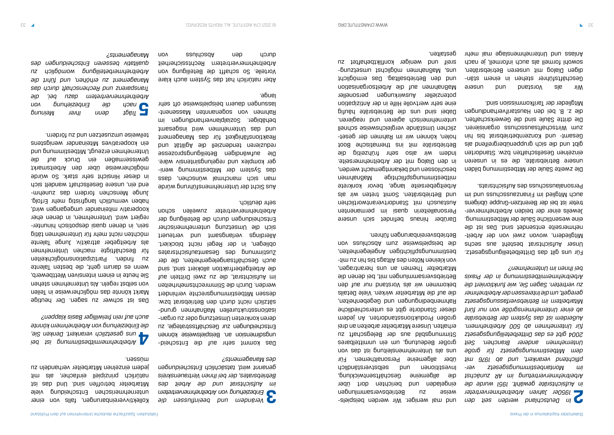Wir als Norstand und unsere - Geschäftsführer stehen in einem stän digen Dialog mit unseren Betriebsräten, sowohl formell als auch informell, je nach Anlass und Unternehmenslage mal mehr

eine wesentliche Säule der Mitbestimmung. Jeweils einer der beiden Arbeitnehmervertreter ist bei der Berentzen-Gruppe übrigens auch Mitglied im Finanzausschuss und im Finanz Personalausschuss des Aufsichtsrats.

**2***In Deutschland werden seit den 1950er Jahren Arbeitnehmervertreter in Aufsichtsräte gewählt. 1951 wurde die Arbeitnehmervertretung im AR zunächst - im Montanbestimmungsgesetz ver pflichtend verankert, und ab 1976 mit dem Mitbestimmungsgesetz für große Unternehmen anderer Branchen. Seit 2004 gibt es das Drittelbeteiligungsgesetz für Unternehmen ab 500 Arbeitnehmern. Außerdem ist das System der Betriebsräte ab einer Unternehmensgröße von nur fünf Mitarbeitern im Betriebsverfassungsgesetz geregelt, um die Interessen der Arbeitnehmer zu vertreten. Sagen Sie, wie funktioniert die Arbeitnehmermitbestimmung in der Praxis bei Ihnen im Unternehmen?* Für uns gilt das Drittelbeteiligungsgesetz. Unser Aufsichtsrat besteht aus sechs Mitgliedern, wovon zwei von der Arbeitnehmerseite entsendet sind. Das ist die - und mal weniger. Wir werden beispiels weise zu Betriebsversammlungen eingeladen und berichten dort über die allgemeine Geschäftsentwicklung, Investitionen und selbstverständlich über allgemeine Personalthemen. Für uon sep 1si bun1ial suam daualung sie sun großer Bedeutung, um ein unmittelbares Stimmungsbild aus der Belegschaft zu erhalten. Unsere Mitarbeiter arbeiten an drei großen Produktionsstandorten. An jedem dieser Standorte gibt es unterschiedliche Rahmenpeqingung deden degepenheiten<sup>t</sup> die auf die Mitarbeiter wirken. Viele Details bekommen wir als Vorstand nur auf den Betriebsversammlungen mit, bei denen die Mitarbeiter Themen an uns herantragen, von kleinen Nöten des Piptags bis hin zu eigen zu mitbestimmungspiltungen Angelegenheiten, die beispielsweise zum Abschluss von Betriebsvereinbarungen führen.

Die zweite Säule der Mitbestimmung bilden unsere Betriebsräte, die es in unseren einzelnen Gesellschaften bzw. Standorten gibt und die sich gruppenübergreifend als Gesamt- und Konzernbetriebsrat bis hin zum Wirtschaftsausschuss organisieren. Die dritte Säule sind die Gewerkschaften, die z. B. bei den Haustarifverhandlungen Mitglieder der Tarifkommission sind.

Das kommt sehr auf die Entscheidungsdimens au: Beispielsweise können Entscheidungen zur Geschäftsstrategie, zu - deren konkreten Umsetzung oder zu organ isationsstrukturellen Maßnahmen grundsätzlich nicht durch den Betriebsrat bzw. dessen Mitbestimmungsrechte verhindert werden. Durch die Stimmrechtsmehrheiten im Aufsichtsrat, die zu zwei Dritteln auf die Arbeitgeberfraktion allokiert sind, sind auch Geschäftsangelegenheiten, die der Zustimmung des Gesamtaufsichtsrates obliegen, in der Regel nicht blockiert. Allerdings verlangsamt und verteuert sich die Umsetzung unternehmerischer Entscheidungen durch die Beteiligung der Arbeitnehmervertreter zuweilen schon sehr deutlich.

Aber natürlich hat das System auch klare Vorteile. So schafft die Beteiligung von Arbeitnehmervertretern Rechtssicherheit durch den androngen von von

Darüber hinaus befindet sich unsere Personalleiterin quasi im permanenten Austausch mit Standortverantwortlichen und Betriebsräten. Somit treten wir als Arbeitgeberseite lange, bevor konkrete mitbestimmungspflichtige Maßnahmen beschlossen und bekanntgemacht werden, in den Dialog mit der Arbeitnehmerseite. Indem wir also sehr frühzeitig die Betriebsräte mit ins thematische Boot holen, können wir im Rahmen der gesetzlichen Umstände vergleichsweise schnell unternehmerisch agieren und reagieren. Dabei sind uns die Betriebsräte häufig eine sehr wertvolle Hilfe in der Antizipation potenzieller Auswirkungen personeller Maßnahmen auf die Arbeitsorganisation und den Betriebsalltag. Das ermöglicht - bunz asum as unglichst umsetzungen men sreif und weniger konfliktbehaftet zu gestalten.

**3** *Verändern und beeinflussen die Einbeziehung von Arbeitnehmervertretern im Aufsichtsrat und die Arbeit des Betriebsrates, der bei Ihnen Vertrauenskreis genannt wird, tatsächlich Entscheidungen des Managements?*

Aus Sicht der Unternehmensführung würde ssep 'uayosuna jewyouem yois uem das System der Mitbestimmung weniger komplex und regelungsintensiv wäre. Die snugungen Beteiligungsprozese reduzieren tendenziell die Agilität und Reaktionsfähigkeit für das Management und das Unternehmen wird insgesamt behäbiger. Sozialplanverhandlungen im Rahmen von sodeuen wasseuenlassungen dauern beispielsweise oft sehr lange.

Kollektivvereinbarungen, falls von einer unternehmerischen Entscheidung viele Mitarbeiter betroffen sind. Und das ist natürlich prinzipiell einfacher, als mit jedem einzelnen Mitarbeiter verhandeln zu müssen.

**4** *Arbeitnehmermitbestimmung ist bei uns gesetzlich verankert. Denken Sie, die Einbeziehung von Arbeitnehmern könnte* 

*auch auf rein freiwilliger Basis klappen?*

Das ist schwer zu sagen. Der heutige Markt könnte das möglicherweise in Teilen von selbst regeln. Als Unternehmen stehen Sie heute in einem intensiven Wettbewerb, wenn es darum geht, die besten Talente zu finden. Partizipationsmöglichkeiten für Beschäftigte machen Unternehmen als Arbeitgeber attraktiv. Junge Talente möchten nicht mehr für Unternehmen tätig sein, in denen dnasi dezbotisch hinunterregiert wird. Unternehmen, in denen eher kooperativ miteinander umgegangen wird, haben vermutlich langfristig mehr Erfolg. Junge Menschen fordern das zunehmer end ein, unsere Gesellschaft wandelt sich in dieser Hinsicht sehr stark. So würde möglicherweise über den Arbeitsmarkt gewissermaßen ein Druck auf die Dunternehmen erzeugt, Mitbestimmung und ein kooperatives Miteinander wenigstens teilweise umzusetzen und zu fördern.

**5** *Trägt denn Ihrer Meinung nach die Einbeziehung von Arbeitnehmervertretern dazu bei, die Transparenz und Rechenschaft durch das Management zu erhöhen, und führt die Arbeitnehmerbeteiligung womöglich zu qualitativ besseren Entscheidungen des Managements?*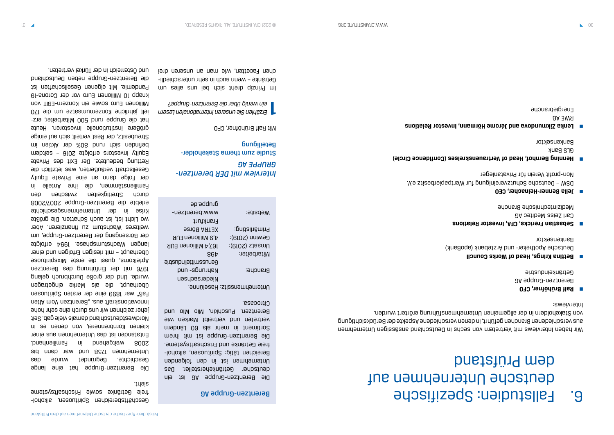# Fallstudien: Spezifische 6. deutsche Unternehmen auf dem Prüfstand

Wir haben Interviews mit Vertretern von sechs ni Deutschland ansässigen Unternehmen aus verschiedenen Branchen geführt, in denen verschiedene Aspekte der Berücksichtigung von Stakeholdern in der allgemeinen Unternehmensführung erörtert wurden. Interviews:

Studie zum thema Stakeholder-Beteiligung

- **Ralf Brühöfner, CFO** Berentzen-Gruppe AG Getränkeindustrie
- **Bettina Krings, Head of Works Council** Deutsche Apotheker- und Ärztebank (apoBank) Bankensektor
- **Sebastian Frericks, CFA, Investor Relations** Carl Zeiss Meditec AG Medizintechnische Branche
- **Jella Benner-Heinacher, CEO** DSW – Deutsche Schutzvereinigung fur Wertpapierbesitz e.V. Non-profit Verein für Privatanleger
- **Henning Bernhof, Head of Vertrauenskreises (Confidence Circle)** GLS Bank Bankensektor
- **E** Lenka Zikmundova and Jéroma Hörmann, Investor Relations RWE AG Energiebranche

Geschäftsbereichen Spirituosen, alkoholfreie Getränke sowie Frischsaftsysteme sieht.

### *Interview mit DER berentzen-AG GRUPPE*

Mit Ralf Brühöfner, CFO

**1** *Erzählen Sie unseren internationalen Lesern ein wenig über die Berentzen-Gruppe?*

Im Prinzip dreht sich bei uns alles um - Getränke – wenn auch in sehr unterschiedli chen Facetten, wie man an unseren drei

#### Berentzen-Gruppe AG

Die Berentzen-Gruppe AG ist ein deutscher Getränkehersteller. Das Unternehmen ist in den folgenden Bereichen tätig: Spirituosen, alkoholfreie Getränke und Frischsaftsysteme. Die Berentzen-Gruppe ist mit ihrem Sortiment in mehr als 60 Ländern vertreten und vertreibt Marken wie Berentzen, Puschkin, Mio Mio und Citrocasa.

| gr. p. ed.               |                              |
|--------------------------|------------------------------|
| www.berentzen-           | :9ji2d9W                     |
| Frankfurt                |                              |
| <b>SETRA Börse</b>       | :pnijsilišming               |
| A,9 Millionen EUR        | :(610S) nniwe∂               |
| <b>RU3 millionen EUR</b> | :(610S) steemU               |
| 864                      | : 191i9d asiM                |
| 9i11subnil911ims2un90    |                              |
| pun -sɓun.ıyen           | Branche:                     |
| Niedersachsen            |                              |
|                          | Unternehmenssitz: Haselünne, |
|                          |                              |

Die Berentzen-Gruppe hat eine lange Geschichte. Gegründet wurde das Unternehmen 1758 und war dann bis 2008 weitgehend in Familienhand. Entstanden ist das Unternehmen ans einer kleinen Kornbrennerei, von denen es in Nordwestdeutschland damals viele gab. Seit jeher zeichnen wir uns durch eine sehr hohe Innovationskraft aus. "Berentzen Vom Alten Faß" war 1899 eine der ersten Spirituosen überhaupt, die als Marke eingetragen wurde. Und der große Durchbruch gelang 1976 mit der Einführung des Berentzen Apfelkorns, quasi die erste Mixspirituose überhaupt – mit riesigen Erfolgen und einer langen Wachstumsphase. 1994 erfolgte der Börsengang der Berentzen-Gruppe, um weiteres Wachstum zu finanzieren. Aber wo Licht ist, ist auch Schatten. Die größte Krise in der Unternehmensgeschichte erlebte die Berentzen-Gruppe 2007/2008 durch Streitigkeiten zwischen den Familienstämmen, die ihr Anteile in der Folge dann an eine Private Equity Gesellschaft veräußerten, was letztlich die Rettung bedeutete. Der Exit des Private Equity Investors erfolgte 2016 – seitdem befinden sich rund 80% der Aktien im Streubesitz, der Rest verteilt sich auf einige größere institutionelle Investoren. Heute - hat die Gruppe rund 500 Mitarbeiter, erz ielt jährliche Konzernumsätze um die 170 Millionen Euro sowie ein Konzern-EBIT von knapp 10 Millionen Euro vor der Corona-19 Pandemie. Mit eigenen Gesellschaften ist die Berentzen-Gruppe neben Deutschland und Österreich in der Türkei vertreten.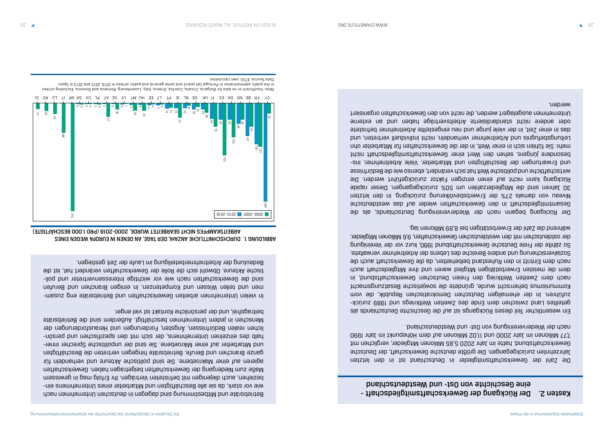### Kasten 2. Der Rückgang der Gewerkschaftsmitgliedschaft eine Geschichte von Ost- und Westdeutschland

Die Zahl der Gewerkschaftsmitglieder in Deutschland ist in den letzten Jahrzehnten zurückgegangen. Die größte deutsche Gewerkschaft, der Deutsche Gewerkschaftsbund, hatte im Jahr 2020 5,85 Millionen Mitglieder, verglichen mit 7,77 Millionen im Jahr 2000 und 11,02 Millionen auf dem Höhepunkt im Jahr 1990 nach der Wiedervereinigung von Ost- und Westdeutschland.

Ein wesentlicher Teil dieses Rückgangs ist auf die Geschichte Deutschlands als - geteiltes Land zwischen dem Ende des Zweiten Weltkriegs und 1989 zurück zuführen. In der ehemaligen Deutschen Demokratischen Republik, die vom Kommunismus beherrscht wurde, gründete die sowjetische Besatzungsmacht nach dem Zweiten Weltkrieg den Freien Deutschen Gewerkschaftsbund, in dem die meisten Erwerbstätigen Mitglied waren und ihre Mitgliedschaft auch nach dem Eintritt in den Ruhestand beibehielten, da die Gewerkschaft auch die Sozialversicherung und andere Bereiche des Lebens der Arbeitnehmer verwaltete. So zählte der Freie Deutsche Gewerkschaftsbund 1990, kurz vor der Vereinigung der ostdeutschen mit den westdeutschen Gewerkschaften, 9,6 Millionen Mitglieder, während die Zahl der Erwerbstätigen bei 8,89 Millionen lag.

Der Rückgang begann nach der Wiedervereinigung Deutschlands, als die Gesamtmitgliedschaft in den Gewerkschaften wieder auf das westdeutsche Niveau von damals 27% der Erwerbsbevölkerung zurückging. In den letzten 30 Jahren sind die Mitgliederzahlen um 50% zurückgegangen. Dieser rapide Rückgang kann nicht auf einen einzigen Faktor zurückgeführt werden. Die wirtschaftliche und politische Welt hat sich verändert, ebenso wie die Bedürfnisse - und Erwartungen der Beschäftigten und Mitarbeiter. Viele Arbeitnehmer, ins besondere jüngere, sehen den Wert einer Gewerkschaftsmitgliedschaft nicht mehr. Sie fühlen sich in einer Welt, in der die Gewerkschaften für Mitarbeiter ohn Leitungsbefugnis und Arbeitnehmer verhandeln, nicht individuell vertreten, und das in einer Zeit, in der viele junge und neu eingestellte Arbeitnehmer befristete oder andere nicht standardisierte Arbeitsverträge haben und an externe Unternehmen ausgelagert werden, die nicht von den Gewerkschaften organisiert werden.

Betriebsräte und Mitbestimmung sind dagegen in deutschen Unternehmen nach - wie vor stark, da sie alle Beschäftigten und Mitarbeiter eines Unternehmens ein beziehen, auch diejenigen mit befristeten Verträgen. Ihr Erfolg mag in gewissem Maße zum Niedergang der Gewerkschaften beigetragen haben. Gewerkschaften agieren auf einer Makroebene. Sie sind politische Akteure und verhandeln für ganze Branchen und Berufe. Betriebsräte hingegen vertreten die Beschäftigten - und Mitarbeiter auf einer Mikroebene. Sie sind der unpolitische Sprecher inner halb des einzelnen Unternehmens der sich mit den spezifischen mid bersönlichen realen Bedürfnissen, Ängsten, Forderungen und Herausforderungen der Menschen in jedem Unternehmen beschäftigt. Außerdem sind die Betriebsräte beitragsfrei, und der persönliche Kontakt ist viel enger.

- In vielen Unternehmen arbeiten Gewerkschaften und Betriebsräte eng zusam men und teilen Wissen und Kompetenzen. In einigen Branchen und Berufen sind die Gewerkschaften nach wie vor wichtige Interessenvertreter und politische Akteure. Obwohl sich die Rolle der Gewerkschaften verändert hat, ist die Bedeutung der Arbeitnehmerbeteiligung im Laufe der Zeit gestiegen.

### DURCHSCHNITTLICHE ANZAHL DER TAGE, AN DENEN IN EUROPA WEGEN EINES ABBILDUNG 1. ARBEITSKAMPFES NICHT GEARBEITET WURDE, 2000-2018 (PRO 1.000 BESCHÄFTIGTE)



s Note: Insufficient or no data for Bulgaria, Croatia, Czechia, Greece, Italy, Luxembourg, Romania and Slovenia. Excluding strike in the public administration in Portugal (all years) and some general and public strikes in 2010, 2012 and 2013 in Spain. Data Source: ETUI, own calculation.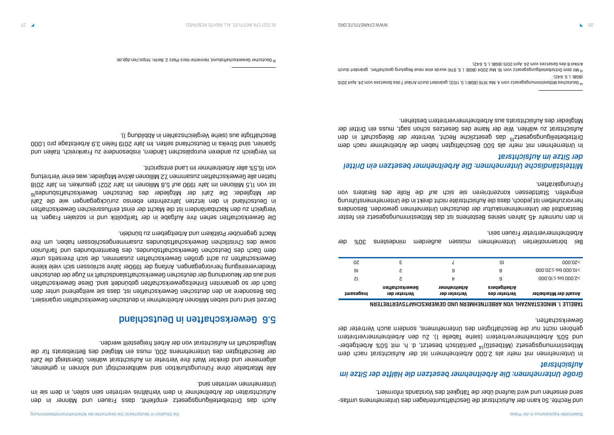| TABELLE 1. MINDESTANZAHL VON ARBEITNEHMER |  |
|-------------------------------------------|--|

- und Rechte. So kann der Aufsichtsrat die Geschäftsunterlagen des Unternehmens umfas send einsehen und wird laufend über die Tätigkeit des Vorstands informiert.

### *Große Unternehmen: Die Arbeitnehmer besetzen die Hälfte der Sitze im Aufsichtsrat*

In Unternehmen mit mehr als 2.000 Arbeitnehmern ist der Aufsichtsrat nach dem Mitbestimmungsgesetz (MitbestG)14 paritätisch besetzt, d. h. mit 50% Arbeitgeberund 50% Arbeitnehmervertretern (siehe Tabelle 1). Zu den Arbeitnehmervertretern gehören nicht nur die Beschäftigten des Unternehmens, sondern auch Vertreter der Gewerkschaften.

#### N NND GEMEKKSCHAFTSVERTRETERN

| <b>JMESSPERIL</b> | Gewerkschaften<br>Vertreter der | <b>19mnehmer</b><br>Vertreter der | <b>Arbeitgebers</b><br>Vertreter des | <b>Anzahl der Mitarbeiter</b> |
|-------------------|---------------------------------|-----------------------------------|--------------------------------------|-------------------------------|
| Ζl                | Z                               | tz                                | 9                                    | $000.01 \ge$ aid $000.5 \le$  |
| 9l                | Z                               | 9                                 | 8                                    | $000.05 \ge$ aid $000.01$     |
| 50                | ε                               |                                   | Οl                                   | 000.02<                       |
|                   |                                 |                                   |                                      |                               |

Bei börsennotierten Unternehmen müssen außerdem mindestens 30% der Arbeitnehmervertreter Frauen sein.

In den nunmehr 45 Jahren seines Bestehens ist das Mitbestimmungsgesetz ein fester Bestandteil der Unternehmenskultur der deutschen Unternehmen geworden. Besonders hervorzuheben ist jedoch, dass die Aufsichtsräte nicht direkt in die Unternehmensführung eingreifen. Stattdessen konzentrieren sie sich auf die Rolle des Beraters von Führungskräften.

### *Mittelständische Unternehmen: Die Arbeitnehmer besetzen ein Drittel der Sitze im Aufsichtsrat*

In Unternehmen mit mehr als 500 Beschäftigten haben die Arbeitnehmer nach dem Drittelbeteiligungsgesetz<sup>Id</sup> das gesetzliche Recht, Vertreter der Belegschaft in den Aufsichtsrat zu wählen. Wie der Name des Gesetzes schon sagt, muss ein Drittel der Mitglieder des Aufsichtsrats aus Arbeitnehmervertretern bestehen.

14 Deutsches Mitbestimmungsgesetz vom 4. Mai 1976 (BGBl I, S. 1153), geändert durch Artikel 7 des Gesetzes vom 24. April 2015

<sup>15</sup> Mit dem Drittelbeteiligungsgesetz vom 18. Mai 2004 (BGBI. I, S. 974) wurde eine neue Regelung geschaffen, geändert durch

Auch das Drittelbeteiligungsgesetz empfiehlt, dass Frauen und Männer in den Aufsichtsräten der Arbeitnehmer in dem Verhältnis vertreten sein sollen, in dem sie im Unternehmen vertreten sind.

Alle Mitarbeiter ohne Führungsfunktion sind wahlberechtigt und können in geheimer, allgemeiner und direkter Wahl ihre Vertreter im Aufsichtsrat wählen. Übersteigt die Zahl der Beschäftigten des Unternehmens 200, muss ein Mitglied des Betriebsrats für die Mitgliedschaft im Aufsichtsrat von der Arbeit freigestellt werden.

### Gewerkschaften in Deutschland 5.6

Derzeit sind rund sieben Millionen Arbeitnehmer in deutschen Gewerkschaften organisiert. Das Besondere an den deutschen Gewerkschaften ist, dass sie weitgehend unter dem Dach der so genannten Einheitsgewerkschaften gebündelt sind. Diese Gewerkschaften sind aus der Neuordnung der deutschen Gewerkschaftslandschaft im Zuge der deutschen Wiedervereinigung hervorgegangen. Anfang der 1990er Jahre schlossen sich viele kleine Gewerkschaften zu acht großen Gewerkschaften zusammen, die sich ihrerseits unter dem Dach des Deutschen Gewerkschaftsbundes, des Beamtenbundes und Tarifunion sowie des Christlichen Gewerkschaftsbundes zusammengeschlossen usgen, um ihre Macht gegenüber Politikern und Arbeitgebern zu bündeln.

Die Gewerkschaften sehen ihre Aufgabe in der Tarifpolitik und in sozialen Fragen. Im Vergleich zu den Nachbarländern ist die Macht der einst einflussreichen Gewerkschaften in Deutschland in den letzten Jahrzehnten ebenso zurückgegangen wie die Zahl der Mitglieder. Die Zahl der Mitglieder des Deutschen Gewerkschaftsbundes<sup>16</sup> ist von 11,5 Millionen im Jahr 1990 auf 5,8 Millionen im Jahr 2021 gesunken. Im Jahr 2018 hatten alle Gewerkschaften zusammen 7,2 Millionen aktive Mitglieder, was einer Vertretung von 16,5% aller Arbeitnehmer im Land entspricht.

Im Vergleich zu anderen europäischen Ländern, insbesondere zu Frankreich, Italien und Spanien, sind Streiks in Deutschland selten. Im Jahr 2019 fielen 3,9 Arbeitstage pro 1.000 Beschäftigte aus (siehe Vergleichszahlen in Abbildung 1).

16 Deutscher Gewerkschaftsbund, Henriette-Herz-Platz 2, Berlin, https://en.dgb.de

<sup>(</sup>BGBl. I, S. 642).

Artikel 8 des Gesetzes vom 24. April 2015 (BGBl. I, S. 642).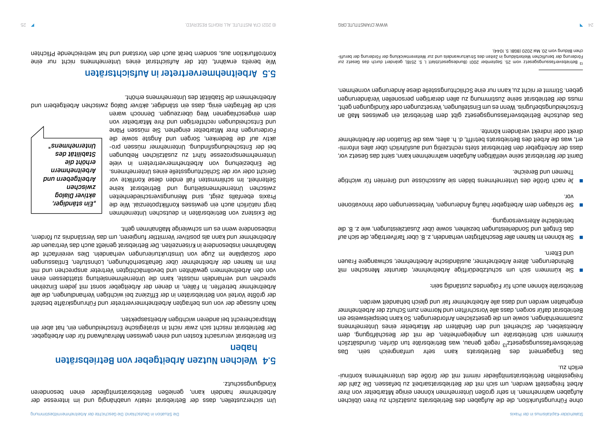ohne Führungsfunktion, die die Aufgaben des Betriebsrats zusätzlich zu ihren üblichen Aufgaben wahrnehmen. In sehr großen Unternehmen können einige Mitarbeiter von ihrer Arbeit freigestellt werden, um sich mit der Betriebsratsarbeit zu befassen. Die Zahl der - freigestellten Betriebsratsmitglieder nimmt mit der Größe des Unternehmens kontinui erlich zu.

Das Engagement des Betriebsrats kann sehr umfangreich sein. Das Betriebsverfassungsgesetz<sup>13 r</sup>egelt genau, was Betriebsräte tun dürfen. Grundsätzlich kümmern sich Betriebsräte um Angelegenheiten, die mit der Beschäftigung, dem Arbeitsleben, der Sicherheit und den Gehältern der Mitarbeiter eines Unternehmens zusammenhängen, sowie um die gesetzlichen Anforderungen. So kann beispielsweise ein Betriebsrat dafür sorgen, dass alle Vorschriften und Normen zum Schutz der Arbeitnehmer eingehalten werden und dass alle Arbeitnehmer fair und gleich behandelt werden.

Betriebsräte können auch für Folgendes zuständig sein:

Sie kümmern sich um schutzbedürftige Arbeitnehmer, darunter Menschen mit ■ Behinderungen, ältere Arbeitnehmer, ausländische Arbeitnehmer, schwangere Frauen

Um sicherzustellen, dass der Betriebsrat relativ unabhängig und im Interesse der Arbeitnehmer handeln kann, genießen Betriebsratsmitglieder einen besonderen Kündigungsschutz. Sie können im Namen aller Beschäftigten verhandeln, z. B. über Tarifverträge, die sich auf ■ das Entgelt und Sonderleistungen beziehen, sowie über Zusatzleistungen, wie z. B. die

- und Eltern.
- betriebliche Altersversorgung.
- Sie schlagen dem Arbeitgeber häufig Änderungen, Verbesserungen oder Innovationen vor.
- Themen und Bereiche.

Je nach Größe des Unternehmens bilden sie Ausschüsse und Gremien für wichtige ■

Damit der Betriebsrat seine vielfältigen Aufgaben wahrnehmen kann, sieht das Gesetz vor, - dass der Arbeitgeber den Betriebsrat stets rechtzeitig und ausführlich über alles informi ert, was die Arbeit des Betriebsrats betrifft, d. h. alles, was die Situation der Arbeitnehmer direkt oder indirekt verändern könnte.

Das deutsche Betriebsverfassungsgesetz gibt dem Betriebsrat ein gewisses Maß an Entscheidungsbefugnis. Wenn es um Einstellungen, Versetzungen oder Kündigungen geht, muss der Betriebsrat seine Zustimmung zu allen derartigen personellen Veränderungen geben. Stimmt er nicht zu, kann nur eine Schlichtungsstelle diese Änderungen vornehmen.

- Förderung der beruflichen Weiterbildung in Zeiten des Strukturwandels und zur Weiterentwicklung der Förderung der berufli

### Welchen Nutzen Arbeitgeber von Betriebsräten 5.4 haben

Ein Betriebsrat verursacht Kosten und einen gewissen Mehraufwand für den Arbeitgeber. Der Betriebsrat mischt sich zwar nicht in strategische Entscheidungen ein, hat aber ein Mitspracherecht bei anderen wichtigen Arbeitsaspekten.

Nach Aussage der von uns befragten Arbeitnehmervertreter und Führungskräfte besteht der größte Vorteil von Betriebsräten in der Effizienz bei wichtigen Verhandlungen, die alle Arbeitnehmer betreffen. In Fällen, in denen der Arbeitgeber sonst mit jedem Einzelnen sbrechen und verhandeln müsste, kann die Unternehmensleitung stattdessen einen von den Arbeitnehmern gewählten und bevollmächtigten Vertreter ansprechen und mit ihm im Namen der Arbeitnehmer über Gehaltserhöhungen, Lohnstufen, Entlassungen oder Sozialpläne im Zuge von Umstrukturierungen verhandeln. Dies vereinfacht die Maßnahmen insbesondere in Krisenzeiten. Der Betriebsrat genießt auch das Vertrauen der Arbeitnehmer und kann als positiver Vermittler fungieren, um das Verständnis zu fördern, insbesondere wenn es um schwierige Maßnahmen geht.

Die Existenz von Betriebsräten in deutschen Unternehmen birgt natürlich auch ein gewisses Konfliktpotenzial. Wie die Praxis ebenfalls zeigt, sind Meinungsverschiedenheiten zwischen Unternehmensleitung und Betriebsrat keine Seltenheit. Im schlimmsten Fall enden diese Konflikte vor Gericht oder vor der Schlichtungsstelle eines Unternehmens. Die Einbeziehung von Arbeitnehmervertretern in viele Unternehmensprozeze führt zu zusätzlichen Reibungen bei der Entscheidungsfindung. Unternehmer müssen proaktiv auf die Bedenken, Sorgen und Ängste sowie die Forderungen ihrer Mitarbeiter eingehen. Sie müssen Pläne und Entscheidungen rechtfertigen und ihre Mitarbeiter von dem eingeschlagenen Weg überzeugen. Dennoch waren

sich die Befragten einig, dass ein ständiger, aktiver Dialog zwischen Arbeitgebern und Arbeitnehmern die Stabilität des Unternehmens erhöht.

### Arbeitnehmervertreter in Aufsichtsräten 5.5

Wie bereits erwähnt, übt der Aufsichtsrat eines Unternehmens nicht nur eine Kontrollfunktion aus, sondern berät auch den Vorstand und hat weitreichende Pflichten

*"Ein ständiger, aktiver Dialog zwischen Arbeitgebern und Arbeitnehmern erhöht die Stabilität des Unternehmens"*

<sup>13</sup> Betriebsverfassungsgesetz vom 25. September 2001 (Bundesgesetzblatt I, S. 2518), geändert durch das Gesetz zur chen Bildung vom 20. Mai 2020 (BGBl. S. 1044).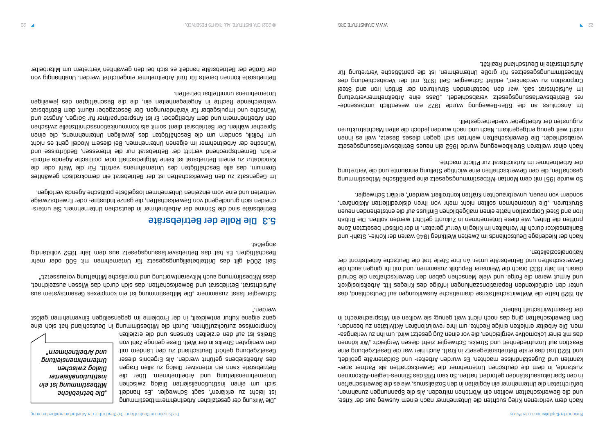Nach dem verlorenen Krieg suchten die Unternehmer nach einem Ausweg aus der Krise, und die Gewerkschaften wollten ein Wörtchen mitreden. Als die Spannungen zunahmen, befürchteten die Unternehmer ein Abgleiten in den Sozialismus, wie es die Gewerkschaften in den Spartakusaufständen gefordert hatten. So kam 1918 das Stinnes-Legien-Abkommen zustaude, in dem die deutschen Unternehmer die Gewerkschaften als Partner anerkannten und Zugestäupnisse machten. Es wurden Arbeiter- und Soldatenräte gebildet, und 1920 trat das erste Betriebsrätegesetz in Kraft. Auch hier war die Gesetzgebung eine Reaktion auf Unzufriedenheit und Streiks. Schwegler zieht diesen Vergleich: "Wir können - das mit einer Lokomotive vergleichen, die vor einen Zug gesetzt wird, um ihn zu verlangsa men. Die Arbeiter erhielten einige Rechte, um ihre revolutionären Aktivitäten zu beenden. Den Gewerkschaften ging das noch nicht weit genug; sie wollten ein Mitspracherecht in der Gesamtwirtschaft haben."

Ab 1929 hatte die Weltwirtschaftskrise dramatische Auswirkungen auf Deutschland, das unter den erdrückenden Reparationszahlungen infolge des Krieges litt. Arbeitslosigkeit und Armut waren die Folge, und viele Menschen gaben den Gewerkschaften die Schuld daran. Im Jahr 1933 brach die Weimarer Republik zusammen, und mit ihr gingen auch die Gewerkschaften und Betriebsräte unter. An ihre Stelle trat die Deutsche Arbeitsfront der Nationalsozialisten.

Im Yuresser an die 68er-Bewegung wurde 1972 ein wezentlich umfazsenderes Betriebsverfassungsgesetz verabschiedet. "Dass eine Arbeitnehmervertretung im Aufsichtsrat saß, war den bestehenden Strukturen der British Iron and Steel Corporation zu verdanken", erklärt Schwegler. Seit 1976, mit der Verabschiedung des Mitbestimmungsgesetzes für große Unternehmen, ist die paritätische Vertretung für Aufsichtsräte in Deutschland Realität.

Nach der Niederlage Deutschlands im Zweiten Weltkrieg 1945 waren der Kohle-, Stahl- und Bankensektor durch ihr Verhalten im Krieg in Verruf geraten. In der britisch besetzten Zone prüften die Briten, wie diese Unternehmen in Zukunft geführt werden sollten. Die British Iron and Steel Corporation hatte einen maßgeblichen Einfluss auf die entstehenden neuen Strukturen. "Die Unternehmen sollten nicht mehr von ihren diskreditierten Aktionären, sondern von neuen, unverbrauchten Kräften kontrolliert werden", erklärt Schwegler.

Betriebsräte sind die Stimme der Arbeitnehmer in deutschen Unternehmen. Sie unterscheiden sich grundlegend von Gewerkschaften, die ganze Industrie- oder Erwerbszweige vertreten und eine vom einzelnen Unternehmen losgelöste politische Agenda verfolgen.

So wurde 1951 mit dem Montan-Mitbestimmungsgesetz eine paritätische Mitbestimmung geschaffen, die den Gewerkschaften eine wichtige Stellung einräumte und die Vertretung der Arbeitnehmer im Aufsichtsrat zur Pflicht machte.

Nach einer weiteren Streikbewegung wurde 1952 ein neues Betriebsverfassungsgesetz verabschiedet. Die Gewerkschaften wehrten sich gegen dieses Gesetz, weil es ihnen nicht weit genug entgegenkam. Nach und nach wurden jedoch die alten Machtstrukturen zugunsten der Arbeitgeber wiederhergestellt.

"Die Wirkung der gesetzlichen Arbeitnehmermitbestimmung ist leicht zu erklären", sagt Schwegler. "Es handelt sich um einen institutionalisierten Dialog zwischen Unternehmensleitung und Arbeitnehmern. Über die Betriebsräte kann ein intensiver Dialog zu allen Fragen des Arbeitslebens geführt werden. Als Ergebnis dieser Gesetzgebung gehört Deutschland zu den Ländern mit den wenigsten Streiks in der Welt. Diese geringe Zahl von Streiks ist auf den erzielten Konsens und die erzielten

Kompromisse zurückzuführen. Durch die Mitbestimmung in Deutschland hat sich eine ganz eigene Kultur entwickelt, in der Probleme im gegenseitigen Einvernehmen gelöst werden."

Schwegler fasst zusammen: "Die Mitbestimmung ist ein komplexes Gesamtsystem aus Aufsichtsrat, Betriebsrat und Gewerkschaften, das sich durch das Wissen auszeichnet, dass Mitbestimmung auch Mitverantwortung und moralische Mithaftung voraussetzt."

Seit 2004 gilt das Drittelbeteiligungsgesetz für Unternehmen mit 500 oder mehr Beschäftigten. Es hat das Betriebsverfassungsgesetz aus dem Jahr 1952 vollständig abgelöst.

### Die Rolle der Betriebsräte 5.3

Im Gegensatz zu den Gewerkschaften ist der Betriebsrat ein demokratisch gewähltes Gremium, das alle Beschäftigten des Unternehmens vertritt. Für die Wahl oder die Kandidatur zu einem Betriebsrat ist keine Mitgliedschaft oder politische Agenda erforderlich. Dementsprechend vertritt der Betriebsrat nur die Interessen, Bedürfnisse und Wünsche der Arbeitnehmer im eigenen Unternehmen. Bei diesem Modell geht es nicht um Politik, sondern um die Beschäftigten des jeweiligen Unternehmens, die einen Sprecher wählen. Der Betriebsrat dient somit als Kommunikationsschnittstelle zwischen den Arbeitnehmern und dem Arbeitgeber. Er ist Ansprechpartner für Sorgen, Ängste und Wünsche und Impulsgeber für Veränderungen. Der Gesetzgeber räumt dem Betriebsrat weitreichende Rechte in Angelegenheiten ein, die die Beschäftigten des jeweiligen Unternehmens unmittelbar betreffen.

Betriebsräte können bereits für fünf Arbeitnehmer eingerichtet werden. Unabhängig von der Größe der Betriebsräte handelt es sich bei den gewählten Vertretern um Mitarbeiter

*Die betriebliche* " *Mitbestimmung ist ein institutionalisierter Dialog zwischen Unternehmensleitung und Arbeitnehmern"*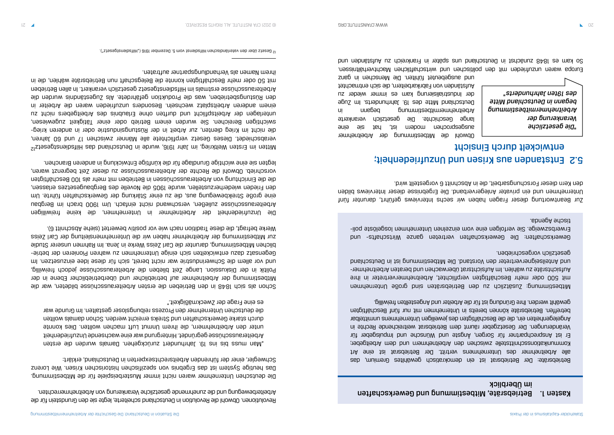Zur Beantwortung dieser Fragen haben wir sechs Interviews geführt, darunter fünf Unternehmen und ein privater Anlegerverband. Die Ergebnisse dieser Interviews bilden den Kern dieser Forschungsarbeit, die in Abschnitt 6 vorgestellt wird.

## Entstanden aus Krisen und Unzufriedenheit; 5.2 entwickelt durch Einsicht

Revolutionen. Obwohl die Revolution in Deutschland scheiterte, legte sie den Grundstein für die Arbeiterbewegung und die zunehmende gesetzliche Verankerung von Arbeitnehmerrechten.

Die deutschen Unternehmer waren nicht immer Musterbeispiele für die Mitbestimmung. Das heutige System ist das Ergebnis von spezifischen historischen Krisen. Wie Lorenz Schwegler, einer der führenden Arbeitsrechtsexperten in Deutschland, erklärt:

"Man muss bis ins 19. Jahrhundert zurückgehen. Damals wurden die ersten Arbeiterausschüsse gegründet. Hintergrund war eine wachsende Unzufriedenheit unter den Arbeitnehmern, die ihrem Unmut Luft machen wollten. Dies konnte durch starke Gewerkschaften und Streiks erreicht werden. Schon damals wollten die deutschen Unternehmer den Prozess reibungsloser gestalten. Im Grunde war es eine Frage der Zweckmäßigkeit."

### Kasten 1. Betriebsräte, Mitbestimmung und Gewerkschaften im Überblick

Schon als sich 1848 in den Betrieben die ersten Arbeiterausschüsse bildeten, war die Mitbestimmung der Arbeitnehmer auf betrieblicher und überbetrieblicher Ebene in der Politik in der Diskussion. Lange Zeit blieben die Arbeiterausschüsse jedoch freiwillig, und vor allem die Schwerindustrie war nicht bereit, sich für diese Idee einzusetzen. Im - Gegensatz dazu entwickelten sich einige Unternehmen zu wahren Pionieren der betrie blichen Mitbestimmung, darunter die Carl Zeiss Werke in Jena. Im Rahmen unserer Studie zur Mitbestimmung der Arbeitnehmer haben wir die Unternehmensleitung der Carl Zeiss

Werke befragt, die diese Tradition nach wie vor positiv bewertet (siehe Abschnitt 6).

Die Unzufriedenheit der Arbeitnehmer in Unternehmen, die keine freiwilligen Arbeiterausschüsse zuließen, verschwand nicht einfach. Um 1900 brach im Bergbau eine große Streikbewegung aus, die zu einer Stärkung der Gewerkschaften führte. Um den Frieden wiederherzustellen, wurde 1905 die Novelle des Bergbaugesetzes erlassen, die die Einrichtung von Arbeiterausschüssen in Betrieben mit mehr als 100 Beschäftigten vorschrieb. Obwohl die Rechte der Arbeiterausschüsse zu dieser Zeit begrenzt waren,

Obwohl die Mitbestimmung der Arbeitnehmer auje ais ted "tei mabom nadoorgespeus lange Geschichte. Die gesetzlich verankerte Arbeitnehmermitbestimmung begann in Deutschland Mitte des 19. Jahrhunderts. Im Zuge der Industrialisierung kam es immer wieder zu Aufständen von Fabrikarbeitern, die sich entmachtet und ausgebeutet fühlten. Die Menschen in ganz Europa waren unzufrieden mit den politischen und wirtschaftlichen Machtverhältnissen. So kam es 1848 zunächst in Deutschland uns später in Frankreich zu Aufständen und *"Die gesetzliche Verankerung der Arbeitnehmermitbestimmung begann in Deutschland Mitte des 19ten Jahrhunderts"*

legten sie eine wichtige Grundlage für die künftige Entwicklung in anderen Branchen.

Mitten im Ersten Weltkrieg, im Jahr 1916, wurde in Deutschland das Hilfsdienstgesetz12 verabschiedet. Dieses Gesetz verpflichtete alle Männer zwischen 17 und 60 Jahren, die nicht im Krieg dienten, zur Arbeit in der Rüstungsindustrie oder in anderen kriegswichtigen Bereichen. Sie wurden einem Betrieb oder einer Tätigkeit zugewiesen, unterlagen der Arbeitspflicht und durften ohne Erlaubnis des Arbeitgebers nicht zu einem anderen Arbeitsplatz wechseln. Besonders unzufrieden waren die Arbeiter in den Rüstungsbetrieben, was die Produktion gefährdete. Als Zugeständnis wurden die Arbeiterausschüsse erstmals im Hilfsdienstgesetz gesetzlich verankert. In allen Betrieben mit 50 oder mehr Beschäftigten konnte die Belegschaft nun Betriebsräte wählen, die in ihrem Namen als Verhandlungspartner auftraten.

Betriebsräte: Der Betriebsrat ist ein demokratisch gewähltes Gremium, das alle Arbeitnehmer des Unternehmens vertritt. Der Betriebsrat ist eine Art Kommunikationsschnittstelle zwischen den Arbeitnehmern und dem Arbeitgeber; Er ist Ansprechpartner für Sorgen, Ängste und Wünsche und Impulsgeber für Veränderungen. Der Gesetzgeber räumt dem Betriebsrat weitreichende Rechte in Angelegenheiten ein, die die Beschäftigten des jeweiligen Unternehmens unmittelbar betreffen. Betriebsräte können bereits in Unternehmen mit nur fünf Beschäftigten gewählt werden. Ihre Gründung ist für die Arbeiter und Angestellten freiwillig.

Mitbestimmung: Zusätzlich zu den Betriebsräten sind große Unternehmen mit 500 oder mehr Beschäftigten verpflichtet, Arbeitnehmervertreter in ihre Aufsichtsräte zu wählen. Im Aufsichtsrat überwachen und beraten Arbeitnehmerund Anteilseignervertreter den Vorstand. Die Mitbestimmung ist in Deutschland gesetzlich vorgeschrieben.

Gewerkschaften: Die Gewerkschaften vertreten ganze Wirtschafts- und Erwerbszweige. Sie verfolgen eine vom einzelnen Unternehmen losgelöste politische Agenda.

<sup>12</sup> Gesetz über den vaterländischen Hilfsdienst vom 5. Dezember 1916 ("Hilfsdienstgesetz").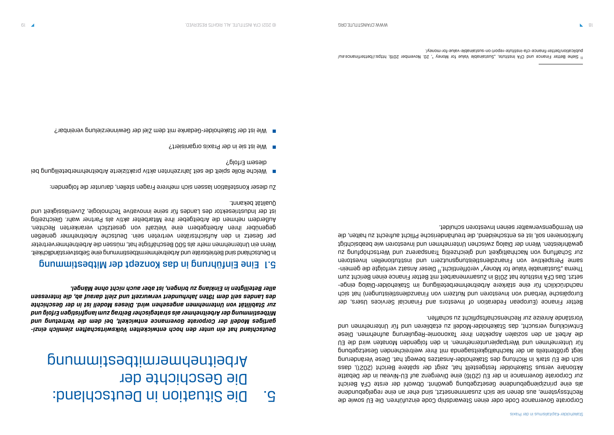Corporate Governance Code oder einen Stewardship Code einzuführen. Die EU sowie die Rechtssysteme, aus denen sie sich zusammensetzt, sind eher an eine regelgebundene als eine prinzipiengebundene Gesetzgebung gewöhnt. Obwohl der erste CFA Bericht zur Corporate Governance in der EU (2016) eine Divergenz auf EU-Niveau in der Debatte Aktionäre versus Stakeholder festgestellt hat, zeigt der spätere Bericht (2021), dass sich die EU stark in Richtung des Stakeholder-Ansatzes bewegt hat. Diese Veränderung liegt größtenteils an der Nachhaltigkeitsagenda mit ihrer weitreichenden Gesetzgebung für Unternehmen und Wertpapierunternehmen. In den folgenden Monaten wird die EU die Arbeit an den sozialen Aspekten ihrer Taxonomie-Regulierung aufnehmen. Diese Entwicklung versucht, das Stakeholder-Modell zu etablieren und für Unternehmen und Vorstände Anreize zur Rechenschaftspflicht zu schaffen.

Better Finance (European Federation of Investors and Financial Services Users, der Europäische Verband von Investoren und Nutzern von Finanzdienstleistungen) hat sich - nachdrücklich für eine stärkere Arbeitnehmerbeteiligung im Stakeholder-Dialog einge setzt. Das CFA Institute hat 2018 in Zusammenarbeit mit Better Finance einen Bericht zum Thema "Sustainable Value for Money" veröffentlicht.<sup>11</sup> Dieser Ansatz verfolgte die gemeinsame Perspektive von Finanzdienstleistungsnutzern und institutionellen Investoren zur Schaffung von Nachhaltigkeit und gleichzeitig Transparenz und Wertschöpfung zu gewährleisten. Wenn der Dialog zwischen Unternehmen und Investoren wie beabsichtigt funktionieren soll, ist es entscheidend, die treuhänderische Pflicht aufrecht zu halten, die ein Vermögensverwalter seinen Investoren schuldet.

# Die Situation in Deutschland: 5. Die Geschichte der Arbeitnehmermitbestimmung

*- Deutschland hat ein unter den hoch entwickelten Volkswirtschaften ziemlich einzi gartiges Modell der Corporate Governance entwickelt, bei dem die Vertretung und Mitbestimmung der Arbeitnehmer als strategischer Beitrag zum langfristigen Erfolg und zur Stabilität von Unternehmen angesehen wird. Dieses Modell ist in der Geschichte des Landes seit dem 19ten Jahrhundert verwurzelt und zielt darauf ab, die Interessen aller Beteiligten in Einklang zu bringen, ist aber auch nicht ohne Mängel.*

### Eine Einführung in das Konzept der Mitbestimmung 5.1

In Deutschland sind Betriebsräte und Arbeitnehmermitbestimmung eine Selbstverständlichkeit. Wenn ein Unternehmen mehr als 500 Beschäftigte hat, müssen die Arbeitnehmervertreter per Gesetz in den Aufsichtsräten vertreten sein. Deutsche Arbeitnehmer genießen gegenüber ihren Arbeitgebern eine Vielzahl von gesetzlich verankerten Rechten. Außerdem nehmen die Arbeitgeber ihre Mitarbeiter aktiv als Partner wahr. Gleichzeitig ist der Industriesektor des Landes für seine innovative Technologie, Zuverlässigkeit und Qualität bekannt.

Zu dieser Konstellation lassen sich mehrere Fragen stellen, darunter die folgenden:

- Welche Rolle spielt die seit Jahrzehnten aktiv praktizierte Arbeitnehmerbeteiligung bei diesem Erfolg?
- Wie ist sie in der Praxis organisiert? ■
- Wie ist der Stakeholder-Gedanke mit dem Ziel der Gewinnerzielung vereinbar? ■

<sup>11</sup> Siehe Better Finance und CFA Institute, "sustainable Value for Money ", 20. November 2019, [https://betterfinance.eu/](https://betterfinance.eu/publication/better-finance-cfa-institute-report-on-sustainable-value-for-money/) . [publication/better-finance-cfa-institute-report-on-sustainable-value-for-money/](https://betterfinance.eu/publication/better-finance-cfa-institute-report-on-sustainable-value-for-money/)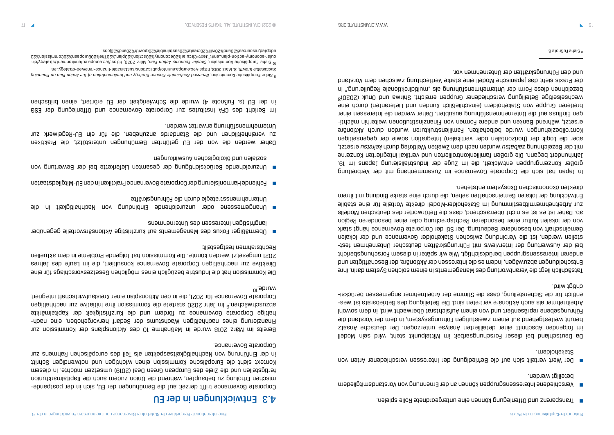Verschiedene Interessensgruppen können an der Ernennung von Vorstandsmitgliedern ■

- Transparenz und Offenlegung können eine untergeordnete Rolle spielen. ■
- beteiligt werden.
- Stakeholdern.

Der Wert verteilt sich auf die Befriedigung der Interessen verschiedener Arten von ■

Da Deutschland bei dieser Forschungsarbeit im Mittelpunkt steht, wird sein Modell im folgenden Abschnitt einer detaillierten Analyse unterzogen. Der deutsche Ansatz beruht weitestgehend auf einem zweistufigen Führungssystem, in dem der Vorstand die Führungsebene repräsentiert und von einem Aufsichtsrat überwacht wird, in dem sowohl - Arbeitnehmer als auch Aktionäre vertreten sind. Die Beteiligung des Betriebsrats ist wes - entlich für die Sicherstellung, dass die Stimme der Arbeitnehmer angemessen berücksi chtigt wird.

Tatsächlich liegt die Verantwortung des Managements in einem solchen System darin, ihre Entscheidungen abzuwägen, indem es die Interessen der Aktionäre, der Beschäftigten und anderen Interessensgruppen berücksichtigt. Wie wir später in diesem Forschungsbericht bei der Auswertung der Interviews mit Führungskräften deutscher Unternehmen feststellen werden, ist die Verbindung zwischen Stakeholder Governance und der lokalen Gemeinschaft von besonderer Bedeutung. Der Stil der Corporate Governance hängt stark von der lokalen Kultur einer besonderen Rechtsprechung oder einer besonderen Region ab. Daher ist es ist es nicht überraschend, dass die Befürworter des deutschen Modells zur Arbeitnehmermitbestimmung im Stakeholder-Modell direkte Vorteile für eine stabile Entwicklung der lokalen Gemeinschaften sehen, die durch eine starke Bindung mit ihrem direkten ökonomischen Ökosystem entstehen.

Bereits im März 2018 wurde in Maßnahme 10 des Aktionsplans der Kommission zur - Finanzierung eines nachhaltigen Wachstums der Bedarf hervorgehoben, eine nach haltige Corporate Governance zu fördern und die Kurzfristigkeit der Kapitalmärkte abzuschwächen.<sup>9</sup> Im Jahr 2020 startete die Kommission ihre Initiative zur nachhaltigen Corporate Governance für 2021, die in den Aktionsplan einer Kreislaufwirtschaft integriert wurde.<sup>10</sup>

- Übermäßiger Fokus des Managements auf kurzfristige Aktionsärsvorteile gegenüber langfristigen Interessen des Unternehmens
- Unangemessene oder unzureichende Einbindung von Nachhaltigkeit in die Unternehmensstrategie durch die Führungskräfte
- Fehlende Harmonisierung der Corporate Governance Praktiken in den EU-Mitgliedstaaten ■
- Unzureichende Berücksichtigung der gesamten Lieferkette bei der Bewertung von sozialen nug ökologischen Vrahmangen under

In Japan hat sich die Corporate Governance im Zusammenhang mit der Verbreitung großer Konzerngruppen entwickelt, die im Zuge der Industrialisierung Japans im 19. Jahrhundert begann. Die großen familienkontrollierten und vertikal integrierten Konzerne mit der Bezeichnung zaibatsu wurden nach dem Zweiten Weltkrieg durch keiretsu ersetzt, aber die Logik der (horizontalen oder vertikalen) Integration sowie der gegenseitigen Kontrollbeziehungen wurde beibehalten. Familienstrukturen wurden durch Aktionäre - ersetzt, während Banken und andere Formen von Finanzinstitutionen weiterhin mächti gen Einfluss auf die Unternehmensführung ausübten. Daher werden die Interessen einer breiteren Gruppe von Stakeholdern (einschließlich Kunden und Lieferanten) durch eine wechselseitige Beteiligung verschiedener Gruppen erreicht. Shirwa und Onuk (2020) $_{\rm g}$ bezeichnen diese Form der Unternehmensführung als "multidirektionale Regulierung." In der Praxis sieht das japanische Modell eine starke Verflechtung zwischen dem Vorstand und den Führungskräften der Unternehmen vor.

## Entwicklungen in der EU 4.3

- Corporate Governance trifft derzeit auf die Bemühungen der EU, sich in der postpande mischen Erholung zu behaupten, während die Union zudem auch die Kapitalmarktunion fertigstellen und die Ziele des European Green Deal (2019) umsetzen möchte. In diesem Kontext sieht die Europäische Kommission einen wichtigen bun bundigen Schritt in der Einführung von Nachhaltigkeitsaspekten als Teil des europäischen Rahmens zur Corporate Governance.

Die Kommission hat die Industrie bezüglich eines möglichen Gesetzesvorschlags für eine Direktive zur nachhaltigen Corporate Governance konsultiert, die im Laufe des Jahres 2021 umgesetzt werden könnte. Die Kommission hat folgende Probleme in dem aktuellen Rechtsrahmen festgestellt:

Daher werden die von der EU geführten Bemühungen unterstützt, die Praktiken zu vereinheitlichen und die Standards anzuheben, die für ein EU-Regelwerk zur Unternehmensführung erwartet werden.

Im Bericht des CFA Institutes zur Corporate Governance und Offenlegung der ESG in der EU (s. Fußnote 4) wurde die Schwierigkeit der EU erörtert, einen britischen

<sup>&</sup>lt;sup>9</sup> Siehe Europäische Rommissional Sustainang Prinsens Sustain of the Action of the Action Plan Plan Financing *Plan Indice* .na-*v*getarte-bewener-eonsnit-eldsnisteus/anoitacilduq/otni/ue.aqorue.oel/i.eqttrl, 810S stäM .8. dtwon0 eldsnisteu2 <sup>10</sup> Siehe Europäische Komaission, *Circular Economy Action Plan*, März 2020, https://ec.europa.eu/euromant/strategy/cir-

cular-economy-action-plan\_en#:~:text=Circular%20economy%20action%20plan.%20The%20European%20Commission%20 . adopted,resources%20and%20will%20create%20sustainable%20growth%20and%20jobs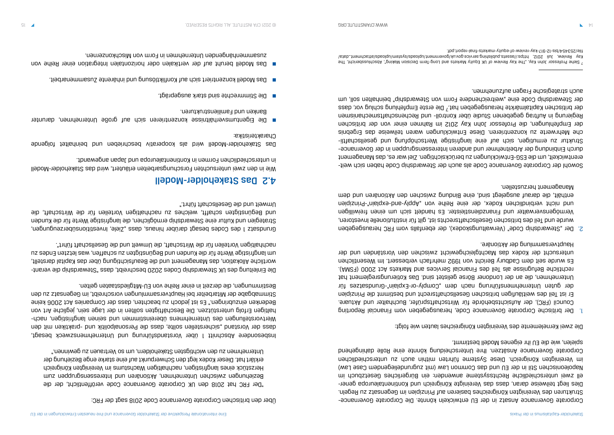Corporate Governance Ansatz in der EU entwickeln könnte. Die Corporate Governance-Strukturen des Vereinigten Königreiches basieren auf Prinzipien im Gegensatz zu Regeln. - Dies liegt teilweise daran, dass das Vereinigte Königreich und Kontinentaleuropa gener ell zwei unterschiedliche Rechtssysteme anwenden: ein Bürgerliches Gesetzbuch im Napoleonischen Stil in der EU und das Common Law (mit zugrundeliegendem Case Law) im Vereinigten Königreich. Diese Systeme führten mithin auch zu unterschiedlichen Corporate Governance Ansätzen. Ihre Unterscheidung könnte eine Rolle dahingehend spielen, wie die EU ihr eigenes Modell bestimmt.

Der "Stewardship Code" (Verwaltungskodex), der ebenfalls vom FRC herausgegeben 2. wurde und Teil des britischen Gesellschaftsrechts ist, gilt für institutionelle Investoren, Vermögensverwalter und Finanzdienstleister. Es handelt sich um einen freiwilligen und nicht verbindlichen Kodex, der eine Reihe von "Apply-and-explain"-Prinzipien enthält, die darauf ausgelegt sind, eine Bindung zwischen dem Aktionären und dem

Die zwei Kernelemente des Vereinigten Königreiches lauten wie folgt:

Der britische Corporate Governance Code, herausgegeben vom Financial Reporting 1. Council (FRC), der Aufsichtsbehörde für Wirtschaftsprüfer, Buchhalter und Aktuare. Er ist Teil des weitläufigen britischen Gesellschaftsrecht und bestimmt die Prinzipien der guten Unternehmensführung nach dem "Comply-or-Explain"-Grundsatzes für Unternehmen, die an der Londoner Börse gelistet sind. Das Kotierungsreglement hat rechtliche Befugnisse als Teil des Financial Services and Markets Act 2000 (FSMA). Es wurde seit dem Cadbury Bericht von 1992 mehrfach verbessert. Im Wesentlichen untersucht der Kodex das Machtgleichgewicht zwischen den Vorständen und der

- Hauptversammlung der Aktionäre.
- Management herzustellen.

Grundsatz 1 des Codes besagt darüber pinsner "Sept" istes bur darüberzeugunger "das "das " Strategien und Kultur eine Stewardship ermöglichen, die langfristige Werte für die Kunden und Begünstigten schafft, welches zu nachhaltigen Vorteilen für die Wirtschaft, die Umwelt und die Gesellschaft führt."

- Sowohl der Corporate Governance Code als auch der Stewardship Code haben sich weit erentwickelt, um die ESG-Entwicklungen zu berücksichtigen. Ziel war es, das Management durch Einbindung der Arbeitnehmer und anderen Interessensgruppen in der Governance- - Struktur zu ermutigen, sich auf eine langfristige Wertschöpfung und gesellschaftli che Mehrwerte zu konzentrieren. Diese Entwicklungen waren teilweise das Ergebnis der Empfehlungen, die Professor John Kay 2012 im Rahmen einer von der britischen Regierung in Auftrag gegebenen Studie über Kontroll- und Rechenschaftsmechanismen der britischen Kapitalmärkte herausgegeben hat.7 Die erste Empfehlung schlug vor, dass der Stewardship Code eine "weitreichendere Form von Stewardship" beinhalten soll, um auch strategische Fragen aufzunehmen.

- Die Eigentumsverhältnisse konzentrieren sich auf große Unternehmen, darunter Banken und Familienstrukturen.
- Die Stimmrechte sind stark ausgeprägt. ■
- Das Modell konzentriert sich auf Konfliktlösung und inhärente Zusammenarbeit. ■
- Das Modell beruht auf der vertikalen oder horizontalen Integration einer Reihe von zusammenhängenden Unternehmen in Form von Mischkonzernen.

Über den britischen Corporate Governance Code 2018 sagt der FRC:

"Der FRC hat 2018 den UK Corporate Governance Code veröffentlicht, der die Beziehungen zuischen Unternehmen, Aktionären und Interessensgruppen zum Herzstück eines langfristigen, nachhaltigen Wachstums im Vereinigten Königreich erklärt hat. Dieser Kodex legt den Schwerpunkt auf eine starke enge Beziehung der Unternehmen zu den wichtigsten Stakeholdern, um so Vertrauen zu gewinnen."

Insbesondere Abschnitt 1 über Vorstandsführung und Unternehmenszweck besagt, dass der Vorstand "sicherstellen sollte, dass die Personalpolitik und -praktiken mit den Wertvorstellungen des Unternehmens geiner und seinen laugfriehmen und erzeigen, nachhaltigen Erfolg unterstützen. Die Beschäftigten sollten in der Lage sein, jegliche Art von Bedenken einzubringen." Es ist jedoch zu beachten, dass der Companies Act 2006 keine Stimmabgabe der Mitarbeiter bei Hauptversammlungen vorschreibt, im Gegensatz zu den Bestimmungen, die derzeit in einer Reihe von EU-Mitgliedstaaten gelten.

- Die Einleitung des UK Stewardship Codes 2020 beschreibt, dass "Stewardship die verant wortliche Allokation, das Management und die Beaufsichtigung über das Kapital darstellt, um langfristige Werte für die Kunden und Begünstigten zu schaffen, was letzten Endes zu nachhaltigen Vorteilen für die Wirtschaft, die Umwelt und die Gesellschaft führt".

### Das Stakeholder-Modell 4.2

Wie in den zwei untersuchten Forschungsarbeiten erläutert, wird das Stakeholder-Modell in unterschiedlichen Formen in Kontinentaleuropa und Japan angewandt.

Das Stakeholder-Modell wird als kooperativ beschrieben und beinhaltet folgende Charakteristika:

<sup>7</sup> Siehe Professor John Kay, "The Kay Review of UK Equity Markets and Long-Term Decision Making", Abschlussbericht, The kay Review, Juli 2012, [https://assets.publishing.service.gov.uk/government/uploads/system/uploads/attachment\\_data/](https://assets.publishing.service.gov.uk/government/uploads/system/uploads/attachment_data/file/253454/bis-12-917-kay-review-of-equity-markets-final-report.pdf) . [file/253454/bis-12-917-kay-review-of-equity-markets-final-report.pdf](https://assets.publishing.service.gov.uk/government/uploads/system/uploads/attachment_data/file/253454/bis-12-917-kay-review-of-equity-markets-final-report.pdf)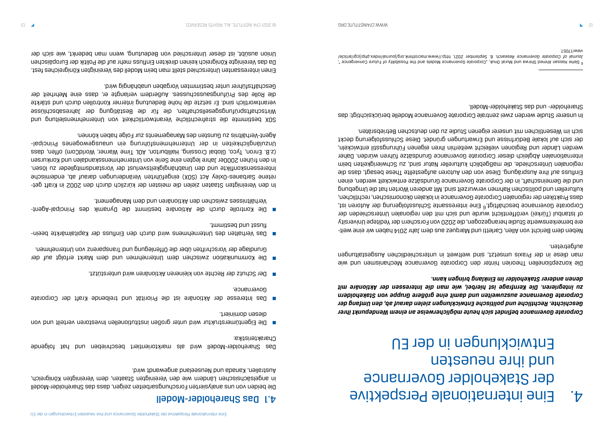# Eine internationale Perspektive 4. der Stakeholder Governance und ihre neuesten Entwicklungen in der EU

*Corporate Governance befindet sich heute möglicherweise an einem Wendepunkt ihrer Geschichte. Rechtliche und politische Entwicklungen zielen darauf ab, den Umfang der Corporate Governance auszuweiten und damit eine größere Gruppe von Stakeholdern zu integrieren. Die Kernfrage ist hierbei, wie man die Interessen der Aktionäre mit denen anderer Stakeholder im Einklang bringen kann.*

Die konzeptionellen Theorien hinter den Corporate Governance Mechanismen und wie man diese in der Praxis umsetzt, sind weltweit in unterschiedlichen Ausgestaltungen aufgetreten.

- Neben dem Bericht von Allen, Carletti und Marquez aus dem Jahr 2014 haben wir eine weit ere bemerkenswerte Studie herangezogen, die 2020 von Forschern der Yeditepe University of Istanbul (Türkei) veröffentlicht wurde und sich mit den regionalen Unterschieden der Corporate Governance beschäftligt.<sup>6</sup> Eine interessante Schlussfolgerung der Autoren ist, dass Praktiken der regionalen Corporate Governance in lokalen ökonomischen, rechtlichen, kulturellen und politischen Rahmen verwurzelt sind. Mit anderen Worten hat die Umgebung und die Gemeinschaft, in der Corporate Governance Grundsätze entwickelt werden, einen Einfluss auf ihre Ausprägung. Diese von den Autoren aufgestellte These besagt, dass die regionalen Unterschiede, die maßgeblich kultureller Natur sind, zu Schwierigkeiten beim internationalen Abgleich dieser Corporate Governance Grundsätze führen würden. Daher werden Länder und Regionen vielleicht weiterhin ihren eigenen Führungsstil entwickeln, der sich auf lokale Bedürfnisse und Erwartungen gründet. Diese Schlussfolgerung deckt sich im Wesentlichen mit unserer eigenen Studie zu den deutschen Betriebsräten.

In unserer Studie werden zwei zentrale Corporate Governance Modelle berücksichtigt: das Shareholder- und das Stakeholder-Modell.

### Das Shareholder-Modell 4.1

Die beiden von uns analysierten Forschungsarbeiten zeigen, dass das Shareholder-Modell in angelsächsischen Ländern wie den Vereinigten Staaten, dem Vereinigten Königreich, Australien, Kanada und Neuseeland angewandt wird.

Das Shareholder-Modell wird als marktorientiert beschrieben und hat folgende Charakteristika:

- Die Eigentümerstruktur wird unter großen institutionellen Investoren verteilt und von diesen dominiert.
- Das Interesse der Aktionäre ist die Priorität und treibende Kraft der Corporate Governance.
- Der Schutz der Rechte von kleineren Aktionären wird unterstützt. ■
- Die Kommunikation zwischen dem Unternehmen und dem Markt erfolgt auf der Grundlage der Vorschriften über die Offenlegung und Transparenz von Unternehmen.
- Das Verhalten des Unternehmens wird durch den Einfluss der Kapitalmärkte beein flusst und bestimmt.
- Die Kontrolle durch die Aktionäre bestimmt die Dynamik des Principal-Agent- Verhältnisses zwischen den Aktionären und dem Management.

- In den Vereinigten Staaten zielen die meisten der kürzlich durch den 2002 in Kraft get retene Sarbanes-Oxley Act (SOX) eingeführten Veränderungen darauf ab, endemische Interessenskonflikte und den Unabhängigkeitsverlust der Vorstandsmitglieder zu lösen. In den frühen 2000er Jahre legten eine Serie von Unternehmensskandalen und Konkursen (z.B. Enron, Tyco, Global Crossing, Halliburton, AOL Time Warner, WorldCom) offen, dass Unzulänglichkeiten in der Unternehmensführung ein unausgewogenes Principal-Agent-Verhältnis zu Gunsten des Managements zur Folge haben können.

SOX bestimmte die strafrechtliche Verantwortlichkeit von Unternehmensleitung und Wirtschaftsprüfungsgesellschaften, die für die Bestätigung der Jahresabschlüsse verantwortlich sind. Er setzte die hohe Bedeutung interner Kontrollen durch und stärkte die Rolle des Prüfungsausschusses. Außerdem verlangte er, dass eine Mehrheit der Geschäftsführer unter bestimmten Vorgaben unabhängig wird.

Einen interessanten Unterschied stellt man beim Modell des Vereinigten Königreiches fest. Da das Vereinigte Königreich keinen direkten Einfluss mehr auf die Politik der Europäischen Union ausübt, ist dieser Unterschied von Bedeutung, wenn man bedenkt, wie sich der

 $^6$  Siehe Hassan Apmed Shirwa pund Murat Onuk, 'Anub Sueus Models and the Possibility of Future Convergence  $^4$ Journal of Corporate Governance Research, 8. September 2021, [http://www.macrothink.org/journal/index.php/jcgr/article/](http://www.macrothink.org/journal/index.php/jcgr/article/view/17057) . [view/17057](http://www.macrothink.org/journal/index.php/jcgr/article/view/17057)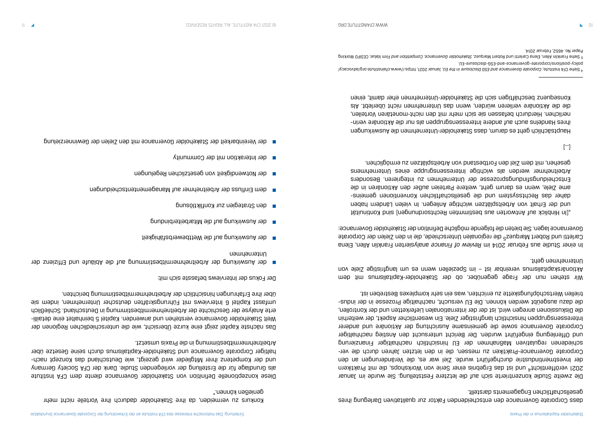dass Corporate Governance den entscheidenden Faktor zur qualitativen Darlegung ihres gesellschaftlichen Engagements darstellt.

Die zweite Studie konzentrierte sich auf die letztere Feststellung. Sie wurde im Januar 2021 veröffentlicht4 und ist das Ergebnis einer Serie von Workshops, die mit Praktikern der Investmentindustrie durchgeführt wurde. Ziel war es, die Veränderungen an den - Corporate Governance-Praktiken zu messen, die in den letzten Jahren durch die ver schiedenen regulativen Maßnahmen der EU hinsichtlich nachhaltiger Finanzierung und Offenlegung eingeführt wurden. Der Bericht untersucht den Anstieg nachhaltiger Corporate Governance sowie die gemeinsame Ausrichtung der Aktionäre und anderer Interessensgruppen hinsichtlich langfristiger Ziele. Ein wesentlicher Aspekt, der weiterhin die Diskussionen anregen wird, ist der der internationalen Lieferketten und der Kontrollen, - die dazu ausgeübt werden können. Die EU versucht, nachhaltige Prozesse in der indus triellen Wertschöpfungskette zu errichten, was ein sehr komplexes Bestreben ist.

ln einer Studie aus Februar 2014 im Review of Finance analysierten Franklin Allen, Elena Carletti und Robert Marquez<sup>5</sup> die regionalen Unterschiede, die in den Zielen der Corporate Governance lagen. Sie bieten die folgende mögliche Definition der Stakeholder Governance:

Wir stehen nun der Frage gegenüber, ob der Stakeholder-Kapitalismus mit dem Aktionärskapitalismus vereinbar ist – im Speziellen wenn es um langfristige Ziele von Unternehmen geht.

"[In Hinblick auf Antworten aus bestimmten Rechtsordnungen] sind Kontinuität und der Erhalt von Arbeitsplätzen wichtige Anliegen. In vielen Ländern haben daher das Rechtssystem und die gesellschaftlichen Konventionen gemeinsame Ziele, wenn es darum geht, weitere Parteien außer den Aktionären in die Entscheidungsfungsbiosesse der Unternehmen zu integrieren Besonders Arbeitnehmer werden als wichtige Interessensgruppe eines Unternehmens gesehen, mit dem Ziel den Fortbestand von Arbeitsplätzen zu ermöglichen.

[…]

Hauptsächlich geht es darum, dass Stakeholder-Unternehmen die Auswirkungen - ihres Handelns auch auf andere Interessensgruppen als nur die Aktionäre verin nerlichen. Hierdurch befassen sie sich mehr mit den nicht-monetären Vorteilen, die die Aktionäre verlieren würden, wenn das Unternehmen nicht überlebt. Als Konsequenz beschäftigen sich die Stakeholder-Unternehmen eher damit, einen

<sup>4</sup> Siehe CFA Institute. Oorporate Governance and ESG Disclosure in the EU, Januar 2021, https://www.cfainstitute.org// .

Konkurs zu vermeiden, da ihre Stakeholder dadurch ihre Vorteile nicht mehr genießen können."

Diese konzeptionelle Definition von Stakeholder Governance diente dem CFA Institute als Grundlage für die Erstellung der vorliegenden Studie. Dank der CFA Society Germany - und der Kompetenz ihrer Mitglieder wird gezeigt, wie Deutschland das Konzept nach haltiger Corporate Governance und Stakeholder-Kapitalismus durch seine Gesetze über Arbeitnehmermitbestimmung in die Praxis umsetzt.

Das nächste Kapitel zeigt eine kurze Übersicht, wie die unterschiedlichen Regionen der Welt Stakeholder Governance verstehen und anwenden. Kapitel 5 beinhaltet eine detaillierte Analyse der Geschichte der Arbeitnehmermitbestimmung in Deutschland. Schließlich umfasst Kapitel 6 Interviews mit Führungskräften deutscher Unternehmen, indem sie über ihre Erfahrungen hinsichtlich der Arbeitnehmermitbestimmung berichten.

Der Fokus der Interviews befasste sich mit:

- der Auswirkung der Arbeitnehmermitbestimmung auf die Abläufe und Effizienz der Unternehmen
- der Auswirkung auf die Wettbewerbsfähigkeit ■
- der Auswirkung auf die Mitarbeiterbindung ■
- den Strategien zur Konfliktlösung ■
- dem Einfluss der Arbeitnehmer auf Managemententscheidungen ■
- der Notwendigkeit von gesetzlichen Regelungen ■
- der Interaktion mit der Community ■
- der Vereinbarkeit der Stakeholder Governance mit den Zielen der Gewinnerzielung ■

<sup>.</sup> [policy-positions/corporate-governance-and-ESG-disclosure-EU](https://www.cfainstitute.org/advocacy/policy-positions/corporate-governance-and-ESG-disclosure-EU) <sup>5</sup> Siehe Franklin Allen, Elena Carletti und Robert Marquez, Stakeholder Governance, Competition and Firm Value, CESIFO Working Paper No. 4652, Februar 2014.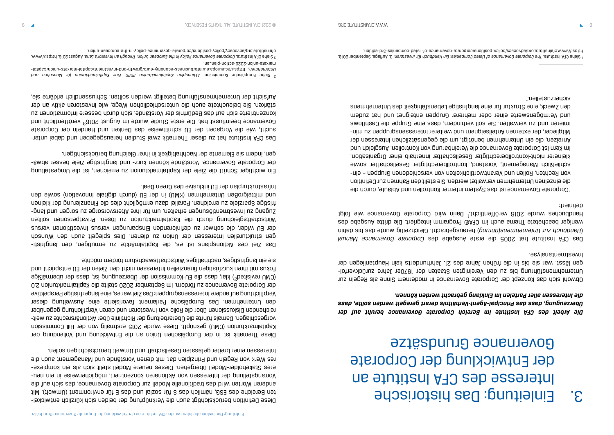# Einleitung: Das historische 3. Interesse des CFA Institute an der Entwicklung der Corporate Governance Grundsätze

*Die Arbeit des CFA Institute im Bereich Corporate Governance beruht auf der Überzeugung, dass das Principal-Agent-Verhältnis derart geregelt werden sollte, dass die Interessen aller Parteien im Einklang gebracht werden können.*

Das CFA Institute hat 2005 die erste Ausgabe des Corporate Governance Manual (Handbuch zur *Durehmensisualgebracht: Gleichzeitig wurde das bis dahin bis dahin bis dahin bis dahin bis dahin* weniger beachete Thema auch im CFA® Programm integriert. Die dritte Ausgabe des Handbuches wurde 2018 veröffentlicht.<sup>1</sup> Darin wird Corporate Governance wie folgt definiert:

Obwohl sich das Konzept der Corporate Governance in modernem Sinne als Regeln zur - Unternehmensführung bis zu den Vereinigten Staaten der 1970er Jahre zurückverfol gen lässt, war sie bis in die frühen Jahre des 21. Jahrhunderts kein Hauptanliegen der Investmentanalyse.

"Corporate Governance ist das System interner Kontrollen und Abläufe, durch die die einzelnen Unternehmen verwaltet werden. Sie stellt den Rahmen zur Definition - von Rechten, Rollen und Verantwortlichkeiten von verschiedenen Gruppen – ein schließlich Management, Vorstand, kontrollberechtigter Gesellschafter sowie kleinerer nicht-kontrollberechtigter Gesellschafter innerhalb einer Organisation. Im Kern ist Corporate Governance die Vereinbarung von Kontrollen, Ausgleich und Anreizen, die ein Unternehmen benötigt, um die gegensätzlichen Interessen der - Mitglieder, der externen Anteilseignern und weiterer Interessensgruppen zu min imieren und zu verwalten. Sie soll verhindern, dass eine Gruppe die Cashflows und Vermögenswerte einer oder mehrerer Gruppen enteignet und hat zudem den Zweck, eine Struktur für eine langfristige Lebensfähigkeit des Unternehmens sicherzustellen."

- Diese Definition berücksichtigt auch die Verknüpfung der beiden sich kürzlich entwickel ten Bereiche des ESG, nämlich das S für sozial und das E für environment (Umwelt). Mit anderen Worten wird das traditionelle Modell zur Corporate Governance, das sich auf die - Vorrangstellung der Interessen von Aktionären konzentriert, möglicherweise in ein neu - eres Stakeholder-Modell übergehen. Dieses neuere Modell stellt sich als ein komplexe res Werk von Regeln und Prinzipien dar, mit denen Vorstände und Management auch die Interessen einer breiter gefassten Gesellschaft und Umwelt berücksichtigen sollen.

Das CFA Institute hat zu dieser Thematik zwei Studien herausgegeben und dabei untersucht, wie die Vorgaben der EU schrittweise das Denken und Handeln der Corporate Governance beeinflusst hat. Die erste Studie wurde im August 20163 veröffentlicht und konzentrierte sich auf das Bedürfnis der Vorstände, sich durch bessere Informationen zu stärken. Sie beleuchtete auch die unterschiedlichen Wege, wie Investoren aktiv an der Aufsicht der Unternehmensführung beteiligt werden sollten. Schlussendlich erklärte sie,

Diese Thematik ist in der Europäischen Union an die Entwicklung und Vollendung der Kapitalmarktunion (CMU) geknüpft. Diese wurde 2015 erstmalig von der Hill Commission - vorgeschlagen. Damals führte die Überarbeitung der Richtlinie über Aktionärsrechte zu weit reichenden Diskussionen über die Rolle von Investoren und deren Verpflichtung gegenüber den Unternehmen. Das Europäische Parlament favorisierte eine Ausweitung dieser Verpflichtung auf andere Interessensgruppen: Das Ziel war es, eine längerfristige Perspektive der Corporate Governance zu fördern. Im September 2020 stellte die Kapitalmarktunion 2.0 (CMU revisited2) klar, dass die EU-Kommission der Überzeugung ist, dass der übermäßige Fokus mit ihren kurzfristigen finanziellen Interessen nicht den Zielen der EU entspricht und sie ein langfristiges, nachhaltiges Wirtschaftswachstum fördern möchte.

- Das Ziel des Aktionsplans ist es, die Kapitalmärkte zu ermutigen, den langfristi gen strukturellen Interessen der Union zu dienen. Dies spiegelt auch den Wunsch der EU wider, die schwer zu definierenden Einsparungen versus Investitionen versus Wirtschaftsgleichung durch die Kapitalmarktunion zu lösen. Privatpersonen sollten Zugang zu Investmentlösungen erhalterlösungen rür ihre Altersvorsorgen zu sorgen mug langfristige Sparziele zu erreichen. Parallel dazu ermöglicht dies die Finanzierung der kleinen und mittelgroßen Unternehmen (KMU) in der EU (durch digitale Innovation) sowie den Infrastrukturplan der EU inklusive des Green Deal.

Ein wichtiger Schritt die Ziele der Kapitalmarktunion zu erreichen, ist die Umgestaltung - der Corporate Governance. Vorstände können kurz- und langfristige Ziele besser abwä gen, indem sie Elemente der Nachhaltigkeit in ihrer Gleichung berücksichtigen.

<sup>&</sup>lt;sup>1</sup> Siehe CFA Institute *Deferemence of coemence of Listed Companies: Ein Handbuch für Investoral A. Auflage, September 2018,* . https://www.cfainstitute.org/advocacy/policy-positions/corporate-governance-of-listed-companies-3rd-edition

<sup>&</sup>lt;sup>2</sup> Aiehe Europäische Kommission, Aktionsplan Kapitalmarktunion 2020: Eine Kapitalmarktunion rür Menschen und und [https://ec.europa.eu/info/business-economy-euro/growth-and-investment/capital-markets-union/capital-](https://ec.europa.eu/info/business-economy-euro/growth-and-investment/capital-markets-union/capital-markets-union-2020-action-plan_en) , *Unternehmen* . [markets-union-2020-action-plan\\_en](https://ec.europa.eu/info/business-economy-euro/growth-and-investment/capital-markets-union/capital-markets-union-2020-action-plan_en)

<sup>&</sup>lt;sup>3</sup> Siehe CFA Institute, *Corporate Governance Policy in the European Union: Through an Investor's Lens, an Institute Institution. In www.* . [cfainstitute.org/advocacy/policy-positions/corporate-governance-policy-in-the-european-union](https://www.cfainstitute.org/advocacy/policy-positions/corporate-governance-policy-in-the-european-union)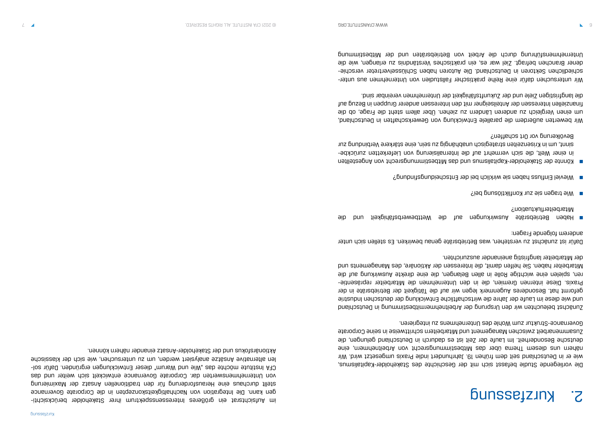Die vorliegende Studie befasst sich mit der Geschichte des Stakeholder-Kapitalismus, wie er in Deutschland seit dem frühen 19. Jahrhundert indie Praxis umgesetzt wird. Wir nähern uns diesem Thema über das Mitbestimmungsrecht von Arbeitnehmern, eine deutsche Besonderheit. Im Laufe der Zeit ist es dadurch in Deutschland gelungen, die Zusammenarbeit zwischen Management und Mitarbeitern schrittweise in seine Corporate Governance-Struktur zum Wohle des Unternehmens zu integrieren.

Zunächst beleuchten wir den Ursprung der Arbeitnehmermitbestimmung in Deutschland und wie diese im Laufe der Jahre die wirtschaftliche Entwicklung der deutschen Industrie geformt hat. Besonderes Augenmerk legen wir auf die Tätigkeit der Betriebsräte in der Praxis. Diese internen Gremien, die in den Unternehmen die Mitarbeiter repräsentieren, spielen eine wichtige Rolle in allen Belangen, die eine direkte Auswirkung auf die Mitarbeiter haben. Sie helfen damit, die Interessen der Aktionäre, des Managements und der Mitarbeiter langfristig aneinander auszurichten.

Dafür ist zunächst zu verstehen, was Betriebsräte genau bewirken. Es stellen sich unter anderem folgende Fragen:

- Haben Betriebsräte Auswirkungen auf die Wettbewerbsfähigkeit und die Mitarbeiterfluktuation?
- Wie tragen sie zur Konfliktlösung bei? ■
- Mieviel Einfluss haben sie wirklich bei der Entscheidungstindung?
- Könnte der Stakeholder-Kapitalismus und das Mitbestimmungsrecht von Angestellten Bevölkerung vor Ort schaffen?

- in einer Welt, die sich vermehrt auf die Internalisierung von Lieferketten zurückbe sinnt, um in Krisenzeiten strategisch unabhängig zu sein, eine stärkere Verbindung zur

Wir bewerten außerdem die parallele Entwicklung von Gewerkschaften in Deutschland, um einen Vergleich zu anderen Ländern zu ziehen. Über allem steht die Frage, ob die finanziellen Interessen der Anteilseigner mit den Interessen anderer Gruppen in Bezug auf die langfristigen Ziele und der Zukunftsfähigkeit der Unternehmen vereinbar sind.

- Wir untersuchen dafür eine Reihe praktischer Fallstudien von Unternehmen aus unter - schiedlichen Sektoren in Deutschland. Die Autoren haben Schlüsselvertreter verschie dener Branchen befragt. Ziel war es, ein praktisches Verständnis zu erlangen, wie die Unternehmensführung durch die Arbeit von Betriebsräten und der Mitbestimmung

# S<sup>.</sup> Kurzfassung

- im Aufsichtsrat ein größeres Interessensspektrum ihrer Stakeholder berücksichti gen kann. Die Integration von Nachhaltigkeitskonzepten in die Corporate Governance stellt durchaus eine Herausforderung für den traditionellen Ansatz der Maximierung von Unternehmenswerten dar. Corporate Governance entwickelt sich weiter und das - CFA Institute möchte das "Wie und Warum" dieser Entwicklungen ergründen. Dafür sol len alternative Ansätze analysiert werden, um zu untersuchen, wie sich der klassische Aktionärsfokus und der Stakeholder-Ansatz einander nähern können.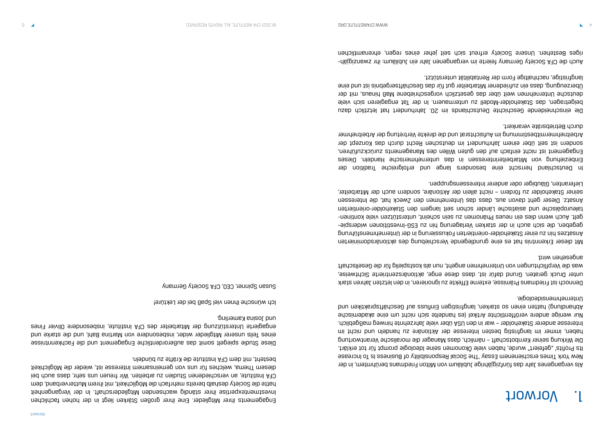# Vorwort 1.

Als vergangenes Jahr das fünfzigjährige Jubiläum von Milton Friedmans berühmtem, in der New York Times erschienenem Essay 'The Social Responsibility of Business Is To Increase Its Profits' "gefeiert" wurde, haben viele Ökonomen seine Ideologie prompt für tot erklärt. Die Wirkung seiner Kernbotschaft – nämlich, dass Manager die moralische Verantwortung haben, immer im langfristig besten Interesse der Aktionäre zu habndeln und nicht im Interesse anderer Stakeholder – war in den USA über viele Jahrzehnte hinweg maßgeblich. Nur wenige andere veröffentlichte Artikel (es handelte sich nicht um eine akademische Abhandlung) hatten einen so starken, langfristigen Einfluss auf Geschäftspraktiken und Unternehmensideologie.

Dennoch ist Friedmans Prämisse, externe Effekte zu ignorieren, in den letzten Jahren stark unter Druck geraten. Grund dafür ist, dass diese enge, aktionärszentrierte Sichtweise, was die Verpflichtungen von Unternehmen angeht, nun als kostspielig für die Gesellschaft angesehen wird.

Die einschneidende Geschichte Deutschlands im 20. Jahrhundert hat letztlich dazu beigetragen, das Stakeholder-Modell zu untermauern. In der Tat engagieren sich viele deutsche Unternehmen weit über das gesetzlich vorgeschriebene Maß hinaus, mit der Überzeugung, dass ein zufriedener Mitarbeiter gut für das Geschäftsergebnis ist und eine langfristige, nachhaltige Form der Rentabilität unterstützt.

Mit dieser Erkenntnis hat es eine grundlegende Verschiebung des aktionärsdominierten Ansatzes hin zu einer Stakeholder-orientierten Fokussierung in der Unternehmensführung - gegeben, die sich auch in der starken Verlagerung hin zu ESG-Investitionen widerspie - gelt. Auch wenn dies ein neues Phänomen zu sein scheint, unterstützen viele kontinen taleuropäische und asiatische Länder schon seit langem den Stakeholder-orientierten Ansatz. Dieser geht davon aus, dass das Unternehmen den Zweck hat, die Interessen seiner Stakeholder zu fördern – nicht allein der Aktionäre, sondern auch der Mitarbeiter, Lieferanten, Gläubiger oder anderer Interessensgruppen.

In Deutschland herrscht eine besonders lange und erfolgreiche Tradition der Einbeziehung von Mitarbeiterinteressen in das unternehmerische Handeln. Dieses Engagement ist nicht einfach auf den guten Willen des Managements zurückzuführen, sondern ist seit über einem Jahrhundert im deutschen Recht durch das Konzept der Arbeitnehmermitbestimmung im Aufsichtsrat und die direkte Vertretung der Arbeitnehmer durch Betriebsräte verankert.

- Auch die CFA Society Germany feierte im vergangenen Jahr ein Jubiläum: ihr zwanzigjäh riges Bestehen. Unsere Society erfreut sich seit jeher eines regen, ehrenamtlichen

Engagements ihrer Mitglieder. Eine ihrer großen Stärken liegt in der hohen fachlichen Investmentexpertise ihrer ständig wachsenden Mitgliederschaft. In der Vergangenheit hatte die Society deshalb bereits mehrfach die Möglichkeit, mit ihrem Mutterverband, dem CFA Institute, an verschiedenen Studien zu arbeiten. Wir freuen uns sehr, dass auch bei diesem Thema, welches für uns von gemeinsamem Interesse ist, wieder die Möglichkeit besteht, mit dem CFA Institute die Kräfte zu bündeln.

Diese Studie spiegelt somit das außerordentliche Engagement und die Fachkenntnisse eines Teils unserer Mitglieder wider, insbesondere von Martina Bahl, und die starke und engagierte Unterstützung der Mitarbeiter des CFA Institute, insbesondere Olivier Fines und Josina Kamerling.

Ich wünsche Ihnen viel Spaß bei der Lektüre!

Susan Spinner, CEO, CFA Society Germany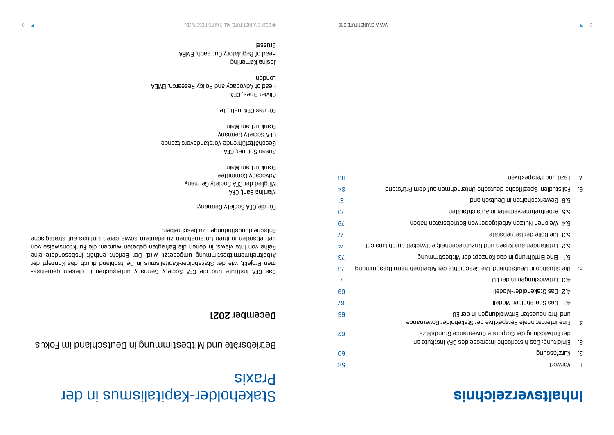# **Inhaltsverzeichnis**

- 58 Vorwort 1.
- 5<sup>.</sup> Kurztassung
- 3. Einleitung: Das historische Interesse des der Entwicklung der Corporate Governan
- Eine internationale Perspektive der Stakeholder Governance 4. of ihre neuesten Entwicklungen in der
- 67 Das Shareholder-Modell 4.1
- 4.2 Das Stakeholder-Modell
- 4.3 Entwicklungen in der EU
- 5. Die Situation in Deutschland: Die Geschi
- 5.1 Eine Einführung in das Konzept der l
- 5.2 Entstanden aus Krisen und Unzufrie
- 77 Die Rolle der Betriebsräte 5.3
- 5.4 Welchen Nutzen Arbeitgeber von Be
- 5.5 Arbeitnehmervertreter in Aufsichtsräten
- 81 Gewerkschaften in Deutschland 5.6
- 8. Fallstudien: Spezifische deutsche Unteri
- 113 Fazit und Perspektiven . 7

Mitglied der CFA Society Germany Advocacy Committee Frankfurt am Main

Susan Spinner, CFA Geschäftsführende Vorstandsvorsitzende CFA Society Germany Frankfurt am Main

# Stakeholder-Kapitalismus in der Praxis

### Betriebsräte und Mitbestimmung in Deutschland im Fokus

### December 2021

Das CFA Institute und die CFA Society Germany untersuchen in diesem gemeinsamen Projekt, wie der Stakeholder-Kapitalismus in Deutschland durch das Konzept der Arbeitnehmermitbestimmung umgesetzt wird. Der Bericht enthält insbesondere eine Reihe von Interviews, in denen die Befragten gebeten wurden, die Funktionsweise von Betriebsräten in ihren Unternehmen zu erläutern sowie deren Einfluss auf strategische Eufscµagiongungen zu pezcµiariung.

Für die CFA Society Germany: Martina Bahl, CFA

Für das CFA Institute:

Olivier Fines, CFA Head of Advocacy and Policy Research, EMEA London

Josina Kamerling Head of Regulatory Outreach, EMEA Brüssel

|                                     | εu        |
|-------------------------------------|-----------|
| bnstating meb tus nemden            | b8        |
|                                     | 18        |
| uəje.                               | 6L        |
| nedsn netäradeitts                  | 6L        |
|                                     | LL        |
| thoisnis entwickelt durch Einsicht  | ÞΖ        |
| Mitbestimmung                       | <b>SL</b> |
| pnummite9dtim19md9nti9d1A 19b 9tdpi | <b>SL</b> |
|                                     | LZ        |
|                                     | 69        |
|                                     | <b>L9</b> |
| ΠE,                                 | 99        |
| eholder Governance                  |           |
| əziësbuni9 əɔı<br>ns 9tutitan A70 a | <b>Z9</b> |
|                                     | 09        |